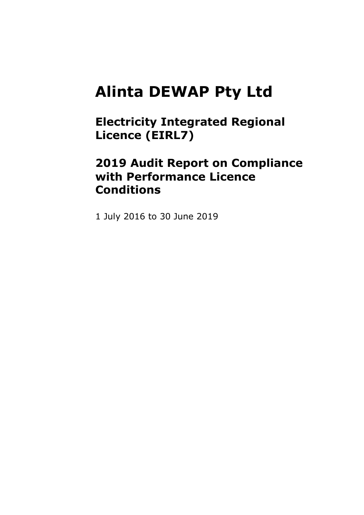### **Alinta DEWAP Pty Ltd**

**Electricity Integrated Regional Licence (EIRL7)** 

### **2019 Audit Report on Compliance with Performance Licence Conditions**

1 July 2016 to 30 June 2019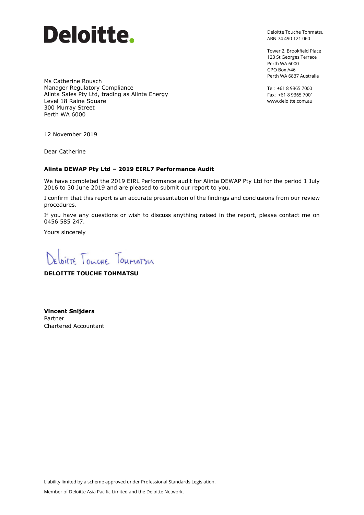

Deloitte Touche Tohmatsu ABN 74 490 121 060

Tower 2, Brookfield Place 123 St Georges Terrace Perth WA 6000 GPO Box A46 Perth WA 6837 Australia

Tel: +61 8 9365 7000 Fax: +61 8 9365 7001 www.deloitte.com.au

Ms Catherine Rousch Manager Regulatory Compliance Alinta Sales Pty Ltd, trading as Alinta Energy Level 18 Raine Square 300 Murray Street Perth WA 6000

12 November 2019

Dear Catherine

#### **Alinta DEWAP Pty Ltd – 2019 EIRL7 Performance Audit**

We have completed the 2019 EIRL Performance audit for Alinta DEWAP Pty Ltd for the period 1 July 2016 to 30 June 2019 and are pleased to submit our report to you.

I confirm that this report is an accurate presentation of the findings and conclusions from our review procedures.

If you have any questions or wish to discuss anything raised in the report, please contact me on 0456 585 247.

Yours sincerely

Deloitte Tourne Toumatsu

**DELOITTE TOUCHE TOHMATSU**

**Vincent Snijders** Partner Chartered Accountant

Liability limited by a scheme approved under Professional Standards Legislation.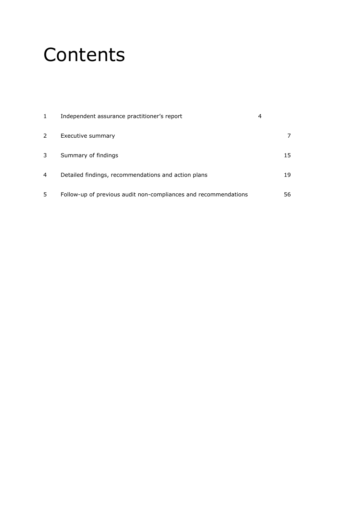## **Contents**

|   | Independent assurance practitioner's report                     |    |
|---|-----------------------------------------------------------------|----|
| 2 | Executive summary                                               | 7  |
| 3 | Summary of findings                                             | 15 |
| 4 | Detailed findings, recommendations and action plans             | 19 |
| 5 | Follow-up of previous audit non-compliances and recommendations | 56 |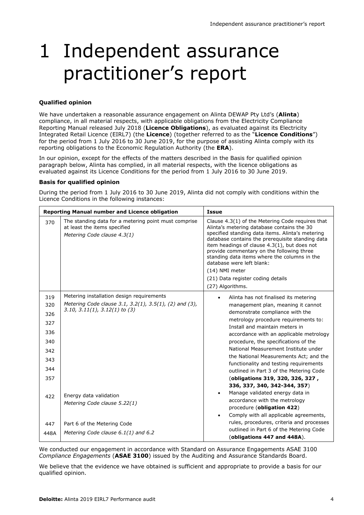## 1 Independent assurance practitioner's report

#### **Qualified opinion**

We have undertaken a reasonable assurance engagement on Alinta DEWAP Pty Ltd's (**Alinta**) compliance, in all material respects, with applicable obligations from the Electricity Compliance Reporting Manual released July 2018 (**Licence Obligations**), as evaluated against its Electricity Integrated Retail Licence (EIRL7) (the **Licence**) (together referred to as the "**Licence Conditions**") for the period from 1 July 2016 to 30 June 2019, for the purpose of assisting Alinta comply with its reporting obligations to the Economic Regulation Authority (the **ERA**).

In our opinion, except for the effects of the matters described in the Basis for qualified opinion paragraph below, Alinta has complied, in all material respects, with the licence obligations as evaluated against its Licence Conditions for the period from 1 July 2016 to 30 June 2019.

#### **Basis for qualified opinion**

During the period from 1 July 2016 to 30 June 2019, Alinta did not comply with conditions within the Licence Conditions in the following instances:

|                                               | <b>Reporting Manual number and Licence obligation</b>                                                                                | <b>Issue</b>                                                                                                                                                                                                                                                                                                                                                                                                                                                |
|-----------------------------------------------|--------------------------------------------------------------------------------------------------------------------------------------|-------------------------------------------------------------------------------------------------------------------------------------------------------------------------------------------------------------------------------------------------------------------------------------------------------------------------------------------------------------------------------------------------------------------------------------------------------------|
| 370                                           | The standing data for a metering point must comprise<br>at least the items specified<br>Metering Code clause 4.3(1)                  | Clause 4.3(1) of the Metering Code requires that<br>Alinta's metering database contains the 30<br>specified standing data items. Alinta's metering<br>database contains the prerequisite standing data<br>item headings of clause 4.3(1), but does not<br>provide commentary on the following three<br>standing data items where the columns in the<br>database were left blank:<br>(14) NMI meter<br>(21) Data register coding details<br>(27) Algorithms. |
| 319<br>320<br>326<br>327<br>336<br>340<br>342 | Metering installation design requirements<br>Metering Code clause 3.1, 3.2(1), 3.5(1), (2) and (3),<br>3.10, 3.11(1), 3.12(1) to (3) | Alinta has not finalised its metering<br>management plan, meaning it cannot<br>demonstrate compliance with the<br>metrology procedure requirements to:<br>Install and maintain meters in<br>accordance with an applicable metrology<br>procedure, the specifications of the<br>National Measurement Institute under                                                                                                                                         |
| 343                                           |                                                                                                                                      | the National Measurements Act; and the<br>functionality and testing requirements                                                                                                                                                                                                                                                                                                                                                                            |
| 344                                           |                                                                                                                                      | outlined in Part 3 of the Metering Code                                                                                                                                                                                                                                                                                                                                                                                                                     |
| 357                                           |                                                                                                                                      | (obligations 319, 320, 326, 327,<br>336, 337, 340, 342-344, 357)                                                                                                                                                                                                                                                                                                                                                                                            |
| 422                                           | Energy data validation<br>Metering Code clause 5.22(1)                                                                               | Manage validated energy data in<br>$\bullet$<br>accordance with the metrology<br>procedure (obligation 422)<br>Comply with all applicable agreements,<br>٠                                                                                                                                                                                                                                                                                                  |
| 447                                           | Part 6 of the Metering Code                                                                                                          | rules, procedures, criteria and processes                                                                                                                                                                                                                                                                                                                                                                                                                   |
| 448A                                          | Metering Code clause $6.1(1)$ and $6.2$                                                                                              | outlined in Part 6 of the Metering Code<br>(obligations 447 and 448A).                                                                                                                                                                                                                                                                                                                                                                                      |

We conducted our engagement in accordance with Standard on Assurance Engagements ASAE 3100 *Compliance Engagements* (**ASAE 3100**) issued by the Auditing and Assurance Standards Board.

We believe that the evidence we have obtained is sufficient and appropriate to provide a basis for our qualified opinion.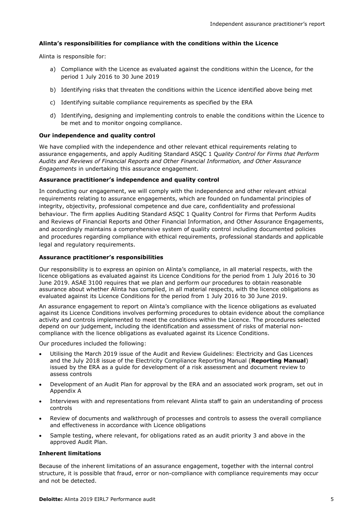#### **Alinta's responsibilities for compliance with the conditions within the Licence**

Alinta is responsible for:

- a) Compliance with the Licence as evaluated against the conditions within the Licence, for the period 1 July 2016 to 30 June 2019
- b) Identifying risks that threaten the conditions within the Licence identified above being met
- c) Identifying suitable compliance requirements as specified by the ERA
- d) Identifying, designing and implementing controls to enable the conditions within the Licence to be met and to monitor ongoing compliance.

#### **Our independence and quality control**

We have complied with the independence and other relevant ethical requirements relating to assurance engagements, and apply Auditing Standard ASQC 1 Q*uality Control for Firms that Perform Audits and Reviews of Financial Reports and Other Financial Information, and Other Assurance Engagements* in undertaking this assurance engagement.

#### **Assurance practitioner's independence and quality control**

In conducting our engagement, we will comply with the independence and other relevant ethical requirements relating to assurance engagements, which are founded on fundamental principles of integrity, objectivity, professional competence and due care, confidentiality and professional behaviour. The firm applies Auditing Standard ASQC 1 Quality Control for Firms that Perform Audits and Reviews of Financial Reports and Other Financial Information, and Other Assurance Engagements, and accordingly maintains a comprehensive system of quality control including documented policies and procedures regarding compliance with ethical requirements, professional standards and applicable legal and regulatory requirements.

#### **Assurance practitioner's responsibilities**

Our responsibility is to express an opinion on Alinta's compliance, in all material respects, with the licence obligations as evaluated against its Licence Conditions for the period from 1 July 2016 to 30 June 2019. ASAE 3100 requires that we plan and perform our procedures to obtain reasonable assurance about whether Alinta has complied, in all material respects, with the licence obligations as evaluated against its Licence Conditions for the period from 1 July 2016 to 30 June 2019.

An assurance engagement to report on Alinta's compliance with the licence obligations as evaluated against its Licence Conditions involves performing procedures to obtain evidence about the compliance activity and controls implemented to meet the conditions within the Licence. The procedures selected depend on our judgement, including the identification and assessment of risks of material noncompliance with the licence obligations as evaluated against its Licence Conditions.

Our procedures included the following:

- Utilising the March 2019 issue of the Audit and Review Guidelines: Electricity and Gas Licences and the July 2018 issue of the Electricity Compliance Reporting Manual (**Reporting Manual**) issued by the ERA as a guide for development of a risk assessment and document review to assess controls
- Development of an Audit Plan for approval by the ERA and an associated work program, set out in Appendix A
- Interviews with and representations from relevant Alinta staff to gain an understanding of process controls
- Review of documents and walkthrough of processes and controls to assess the overall compliance and effectiveness in accordance with Licence obligations
- Sample testing, where relevant, for obligations rated as an audit priority 3 and above in the approved Audit Plan.

#### **Inherent limitations**

Because of the inherent limitations of an assurance engagement, together with the internal control structure, it is possible that fraud, error or non-compliance with compliance requirements may occur and not be detected.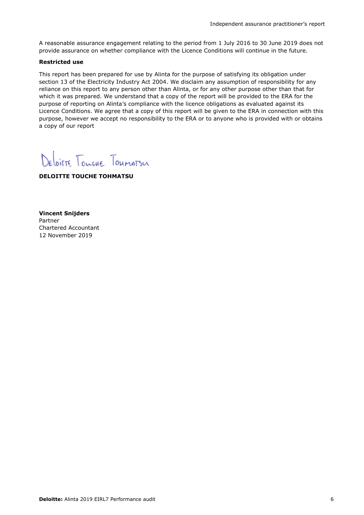A reasonable assurance engagement relating to the period from 1 July 2016 to 30 June 2019 does not provide assurance on whether compliance with the Licence Conditions will continue in the future.

#### **Restricted use**

This report has been prepared for use by Alinta for the purpose of satisfying its obligation under section 13 of the Electricity Industry Act 2004. We disclaim any assumption of responsibility for any reliance on this report to any person other than Alinta, or for any other purpose other than that for which it was prepared. We understand that a copy of the report will be provided to the ERA for the purpose of reporting on Alinta's compliance with the licence obligations as evaluated against its Licence Conditions. We agree that a copy of this report will be given to the ERA in connection with this purpose, however we accept no responsibility to the ERA or to anyone who is provided with or obtains a copy of our report

Deloitte Tourne Toumatsu

**DELOITTE TOUCHE TOHMATSU**

**Vincent Snijders** Partner Chartered Accountant 12 November 2019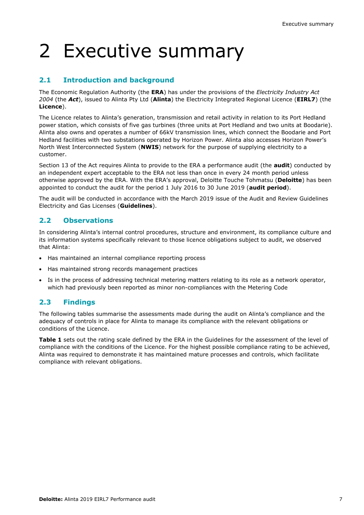# 2 Executive summary

### **2.1 Introduction and background**

The Economic Regulation Authority (the **ERA**) has under the provisions of the *Electricity Industry Act 2004* (the *Act*), issued to Alinta Pty Ltd (**Alinta**) the Electricity Integrated Regional Licence (**EIRL7**) (the **Licence**).

The Licence relates to Alinta's generation, transmission and retail activity in relation to its Port Hedland power station, which consists of five gas turbines (three units at Port Hedland and two units at Boodarie). Alinta also owns and operates a number of 66kV transmission lines, which connect the Boodarie and Port Hedland facilities with two substations operated by Horizon Power. Alinta also accesses Horizon Power's North West Interconnected System (**NWIS**) network for the purpose of supplying electricity to a customer.

Section 13 of the Act requires Alinta to provide to the ERA a performance audit (the **audit**) conducted by an independent expert acceptable to the ERA not less than once in every 24 month period unless otherwise approved by the ERA. With the ERA's approval, Deloitte Touche Tohmatsu (**Deloitte**) has been appointed to conduct the audit for the period 1 July 2016 to 30 June 2019 (**audit period**).

The audit will be conducted in accordance with the March 2019 issue of the Audit and Review Guidelines Electricity and Gas Licenses (**Guidelines**).

#### **2.2 Observations**

In considering Alinta's internal control procedures, structure and environment, its compliance culture and its information systems specifically relevant to those licence obligations subject to audit, we observed that Alinta:

- Has maintained an internal compliance reporting process
- Has maintained strong records management practices
- Is in the process of addressing technical metering matters relating to its role as a network operator, which had previously been reported as minor non-compliances with the Metering Code

#### **2.3 Findings**

The following tables summarise the assessments made during the audit on Alinta's compliance and the adequacy of controls in place for Alinta to manage its compliance with the relevant obligations or conditions of the Licence.

**Table 1** sets out the rating scale defined by the ERA in the Guidelines for the assessment of the level of compliance with the conditions of the Licence. For the highest possible compliance rating to be achieved, Alinta was required to demonstrate it has maintained mature processes and controls, which facilitate compliance with relevant obligations.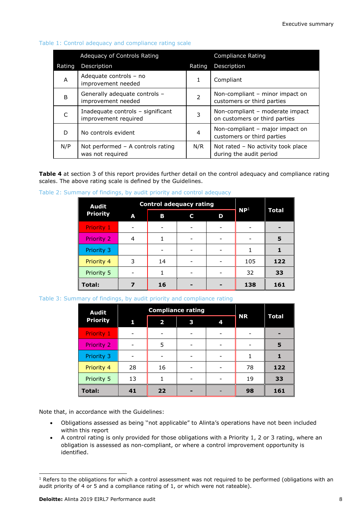|        | Adequacy of Controls Rating                               |        | Compliance Rating                                                |
|--------|-----------------------------------------------------------|--------|------------------------------------------------------------------|
| Rating | Description                                               | Rating | <b>Description</b>                                               |
| A      | Adequate controls - no<br>improvement needed              | 1      | Compliant                                                        |
| B      | Generally adequate controls -<br>improvement needed       | 2      | Non-compliant – minor impact on<br>customers or third parties    |
| C      | Inadequate controls - significant<br>improvement required | 3      | Non-compliant - moderate impact<br>on customers or third parties |
| D      | No controls evident                                       | 4      | Non-compliant – major impact on<br>customers or third parties    |
| N/P    | Not performed - A controls rating<br>was not required     | N/R    | Not rated - No activity took place<br>during the audit period    |

#### Table 1: Control adequacy and compliance rating scale

**Table 4** at section 3 of this report provides further detail on the control adequacy and compliance rating scales. The above rating scale is defined by the Guidelines.

|  | Table 2: Summary of findings, by audit priority and control adequacy |  |  |  |
|--|----------------------------------------------------------------------|--|--|--|
|  |                                                                      |  |  |  |

| <b>Audit</b>      |   | <b>Control adequacy rating</b> | NP <sup>1</sup> |   |     |       |
|-------------------|---|--------------------------------|-----------------|---|-----|-------|
| <b>Priority</b>   | A | В                              | C               | D |     | Total |
| <b>Priority 1</b> |   |                                |                 |   |     |       |
| <b>Priority 2</b> | 4 |                                |                 |   |     | 5     |
| Priority 3        |   |                                |                 |   |     |       |
| Priority 4        | 3 | 14                             |                 |   | 105 | 122   |
| Priority 5        |   |                                |                 |   | 32  | 33    |
| Total:            |   | 16                             |                 |   | 138 | 161   |

Table 3: Summary of findings, by audit priority and compliance rating

| <b>Audit</b>      |    | <b>Compliance rating</b> |   |   |           |              |
|-------------------|----|--------------------------|---|---|-----------|--------------|
| <b>Priority</b>   | 1  | $\overline{\mathbf{2}}$  | 3 | 4 | <b>NR</b> | <b>Total</b> |
| <b>Priority 1</b> |    |                          |   |   |           |              |
| Priority 2        |    | 5                        |   |   |           | 5            |
| Priority 3        |    |                          |   |   |           |              |
| Priority 4        | 28 | 16                       |   |   | 78        | 122          |
| Priority 5        | 13 |                          |   |   | 19        | 33           |
| <b>Total:</b>     | 41 | 22                       |   |   | 98        | 161          |

Note that, in accordance with the Guidelines:

- Obligations assessed as being ''not applicable" to Alinta's operations have not been included within this report
- A control rating is only provided for those obligations with a Priority 1, 2 or 3 rating, where an obligation is assessed as non-compliant, or where a control improvement opportunity is identified.

1

 $1$  Refers to the obligations for which a control assessment was not required to be performed (obligations with an audit priority of 4 or 5 and a compliance rating of 1, or which were not rateable).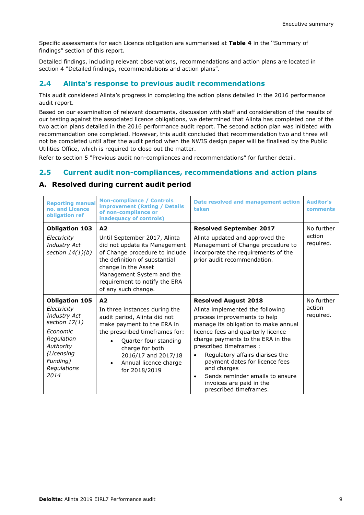Specific assessments for each Licence obligation are summarised at **Table 4** in the ''Summary of findings" section of this report.

Detailed findings, including relevant observations, recommendations and action plans are located in section 4 "Detailed findings, recommendations and action plans".

#### **2.4 Alinta's response to previous audit recommendations**

This audit considered Alinta's progress in completing the action plans detailed in the 2016 performance audit report.

Based on our examination of relevant documents, discussion with staff and consideration of the results of our testing against the associated licence obligations, we determined that Alinta has completed one of the two action plans detailed in the 2016 performance audit report. The second action plan was initiated with recommendation one completed. However, this audit concluded that recommendation two and three will not be completed until after the audit period when the NWIS design paper will be finalised by the Public Utilities Office, which is required to close out the matter.

Refer to section 5 "Previous audit non-compliances and recommendations" for further detail.

#### **2.5 Current audit non-compliances, recommendations and action plans**

#### **A. Resolved during current audit period**

| <b>Reporting manual</b><br>no. and Licence<br>obligation ref                                                                                                           | <b>Non-compliance / Controls</b><br><b>improvement (Rating / Details</b><br>of non-compliance or<br>inadequacy of controls)                                                                                                                                    | <b>Date resolved and management action</b><br>taken                                                                                                                                                                                                                                                                                                                                                                                                  | <b>Auditor's</b><br>comments      |
|------------------------------------------------------------------------------------------------------------------------------------------------------------------------|----------------------------------------------------------------------------------------------------------------------------------------------------------------------------------------------------------------------------------------------------------------|------------------------------------------------------------------------------------------------------------------------------------------------------------------------------------------------------------------------------------------------------------------------------------------------------------------------------------------------------------------------------------------------------------------------------------------------------|-----------------------------------|
| <b>Obligation 103</b><br>Electricity<br><b>Industry Act</b><br>section $14(1)(b)$                                                                                      | A <sub>2</sub><br>Until September 2017, Alinta<br>did not update its Management<br>of Change procedure to include<br>the definition of substantial<br>change in the Asset<br>Management System and the<br>requirement to notify the ERA<br>of any such change. | <b>Resolved September 2017</b><br>Alinta updated and approved the<br>Management of Change procedure to<br>incorporate the requirements of the<br>prior audit recommendation.                                                                                                                                                                                                                                                                         | No further<br>action<br>required. |
| <b>Obligation 105</b><br>Electricity<br><b>Industry Act</b><br>section $17(1)$<br>Economic<br>Regulation<br>Authority<br>(Licensing<br>Funding)<br>Regulations<br>2014 | A2<br>In three instances during the<br>audit period, Alinta did not<br>make payment to the ERA in<br>the prescribed timeframes for:<br>Quarter four standing<br>charge for both<br>2016/17 and 2017/18<br>Annual licence charge<br>$\bullet$<br>for 2018/2019  | <b>Resolved August 2018</b><br>Alinta implemented the following<br>process improvements to help<br>manage its obligation to make annual<br>licence fees and quarterly licence<br>charge payments to the ERA in the<br>prescribed timeframes :<br>Regulatory affairs diarises the<br>$\bullet$<br>payment dates for licence fees<br>and charges<br>Sends reminder emails to ensure<br>$\bullet$<br>invoices are paid in the<br>prescribed timeframes. | No further<br>action<br>required. |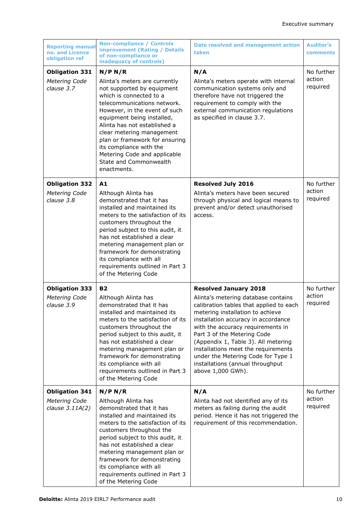| <b>Reporting manual</b><br>no. and Licence<br>obligation ref | <b>Non-compliance / Controls</b><br><b>improvement (Rating / Details</b><br>of non-compliance or<br>inadequacy of controls)                                                                                                                                                                                                                                                                        | Date resolved and management action<br>taken                                                                                                                                                                                                                                                                                                                                                                                               | <b>Auditor's</b><br>comments     |
|--------------------------------------------------------------|----------------------------------------------------------------------------------------------------------------------------------------------------------------------------------------------------------------------------------------------------------------------------------------------------------------------------------------------------------------------------------------------------|--------------------------------------------------------------------------------------------------------------------------------------------------------------------------------------------------------------------------------------------------------------------------------------------------------------------------------------------------------------------------------------------------------------------------------------------|----------------------------------|
| <b>Obligation 331</b><br>Metering Code<br>clause 3.7         | N/P N/R<br>Alinta's meters are currently<br>not supported by equipment<br>which is connected to a<br>telecommunications network.<br>However, in the event of such<br>equipment being installed,<br>Alinta has not established a<br>clear metering management<br>plan or framework for ensuring<br>its compliance with the<br>Metering Code and applicable<br>State and Commonwealth<br>enactments. | N/A<br>Alinta's meters operate with internal<br>communication systems only and<br>therefore have not triggered the<br>requirement to comply with the<br>external communication regulations<br>as specified in clause 3.7.                                                                                                                                                                                                                  | No further<br>action<br>required |
| <b>Obligation 332</b><br>Metering Code<br>clause 3.8         | A1<br>Although Alinta has<br>demonstrated that it has<br>installed and maintained its<br>meters to the satisfaction of its<br>customers throughout the<br>period subject to this audit, it<br>has not established a clear<br>metering management plan or<br>framework for demonstrating<br>its compliance with all<br>requirements outlined in Part 3<br>of the Metering Code                      | <b>Resolved July 2016</b><br>Alinta's meters have been secured<br>through physical and logical means to<br>prevent and/or detect unauthorised<br>access.                                                                                                                                                                                                                                                                                   | No further<br>action<br>required |
| <b>Obligation 333</b><br>Metering Code<br>clause 3.9         | <b>B2</b><br>Although Alinta has<br>demonstrated that it has<br>installed and maintained its<br>meters to the satisfaction of its<br>customers throughout the<br>period subject to this audit, it<br>has not established a clear<br>metering management plan or<br>framework for demonstrating<br>its compliance with all<br>requirements outlined in Part 3<br>of the Metering Code               | <b>Resolved January 2018</b><br>Alinta's metering database contains<br>calibration tables that applied to each<br>metering installation to achieve<br>installation accuracy in accordance<br>with the accuracy requirements in<br>Part 3 of the Metering Code<br>(Appendix 1, Table 3). All metering<br>installations meet the requirements<br>under the Metering Code for Type 1<br>installations (annual throughput<br>above 1,000 GWh). | No further<br>action<br>required |
| <b>Obligation 341</b><br>Metering Code<br>clause $3.11A(2)$  | N/P N/R<br>Although Alinta has<br>demonstrated that it has<br>installed and maintained its<br>meters to the satisfaction of its<br>customers throughout the<br>period subject to this audit, it<br>has not established a clear<br>metering management plan or<br>framework for demonstrating<br>its compliance with all<br>requirements outlined in Part 3<br>of the Metering Code                 | N/A<br>Alinta had not identified any of its<br>meters as failing during the audit<br>period. Hence it has not triggered the<br>requirement of this recommendation.                                                                                                                                                                                                                                                                         | No further<br>action<br>required |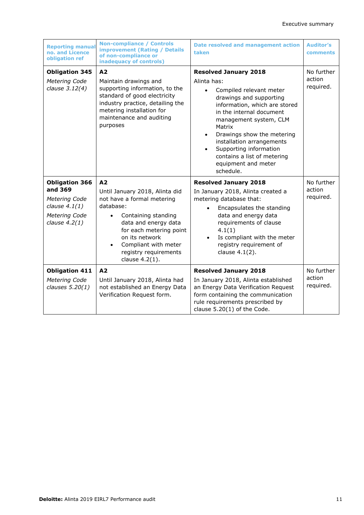| <b>Reporting manual</b><br>no. and Licence<br>obligation ref                                             | <b>Non-compliance / Controls</b><br><b>improvement (Rating / Details</b><br>of non-compliance or<br>inadequacy of controls)                                                                                                                    | <b>Date resolved and management action</b><br>taken                                                                                                                                                                                                                                                                                                                                  | <b>Auditor's</b><br><b>comments</b> |
|----------------------------------------------------------------------------------------------------------|------------------------------------------------------------------------------------------------------------------------------------------------------------------------------------------------------------------------------------------------|--------------------------------------------------------------------------------------------------------------------------------------------------------------------------------------------------------------------------------------------------------------------------------------------------------------------------------------------------------------------------------------|-------------------------------------|
| <b>Obligation 345</b><br>Metering Code<br>clause 3.12(4)                                                 | A2<br>Maintain drawings and<br>supporting information, to the<br>standard of good electricity<br>industry practice, detailing the<br>metering installation for<br>maintenance and auditing<br>purposes                                         | <b>Resolved January 2018</b><br>Alinta has:<br>Compiled relevant meter<br>$\bullet$<br>drawings and supporting<br>information, which are stored<br>in the internal document<br>management system, CLM<br>Matrix<br>Drawings show the metering<br>$\bullet$<br>installation arrangements<br>Supporting information<br>contains a list of metering<br>equipment and meter<br>schedule. | No further<br>action<br>required.   |
|                                                                                                          |                                                                                                                                                                                                                                                |                                                                                                                                                                                                                                                                                                                                                                                      |                                     |
| <b>Obligation 366</b><br>and 369<br>Metering Code<br>clause $4.1(1)$<br>Metering Code<br>clause $4.2(1)$ | A2<br>Until January 2018, Alinta did<br>not have a formal metering<br>database:<br>Containing standing<br>data and energy data<br>for each metering point<br>on its network<br>Compliant with meter<br>registry requirements<br>clause 4.2(1). | <b>Resolved January 2018</b><br>In January 2018, Alinta created a<br>metering database that:<br>Encapsulates the standing<br>data and energy data<br>requirements of clause<br>4.1(1)<br>Is compliant with the meter<br>registry requirement of<br>clause 4.1(2).                                                                                                                    | No further<br>action<br>required.   |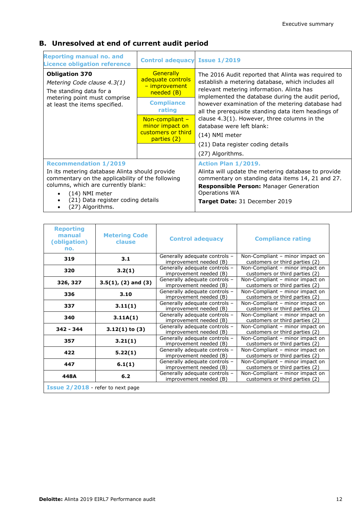### **B. Unresolved at end of current audit period**

| <b>Reporting manual no. and</b><br><b>Licence obligation reference</b>                                                                                                                                                                               | <b>Control adequacy Issue 1/2019</b>                                                                |                                                                                                                                                                                                                                                                                                                       |
|------------------------------------------------------------------------------------------------------------------------------------------------------------------------------------------------------------------------------------------------------|-----------------------------------------------------------------------------------------------------|-----------------------------------------------------------------------------------------------------------------------------------------------------------------------------------------------------------------------------------------------------------------------------------------------------------------------|
| <b>Obligation 370</b><br>Metering Code clause 4.3(1)<br>The standing data for a<br>metering point must comprise<br>at least the items specified.                                                                                                     | <b>Generally</b><br>adequate controls<br>- improvement<br>needed (B)<br><b>Compliance</b><br>rating | The 2016 Audit reported that Alinta was required to<br>establish a metering database, which includes all<br>relevant metering information. Alinta has<br>implemented the database during the audit period,<br>however examination of the metering database had<br>all the prerequisite standing data item headings of |
|                                                                                                                                                                                                                                                      | Non-compliant $-$<br>minor impact on<br>customers or third<br>parties (2)                           | clause $4.3(1)$ . However, three columns in the<br>database were left blank:<br>$(14)$ NMI meter<br>(21) Data register coding details<br>(27) Algorithms.                                                                                                                                                             |
| <b>Recommendation 1/2019</b><br>In its metering database Alinta should provide<br>commentary on the applicability of the following<br>columns, which are currently blank:<br>(14) NMI meter<br>(21) Data register coding details<br>(27) Algorithms. |                                                                                                     | Action Plan 1/2019.<br>Alinta will update the metering database to provide<br>commentary on standing data items 14, 21 and 27.<br>Responsible Person: Manager Generation<br>Operations WA<br><b>Target Date: 31 December 2019</b>                                                                                     |

| <b>Reporting</b><br>manual<br>(obligation)<br>no. | <b>Metering Code</b><br>clause | <b>Control adequacy</b>                                 | <b>Compliance rating</b>                                          |
|---------------------------------------------------|--------------------------------|---------------------------------------------------------|-------------------------------------------------------------------|
| 319                                               | 3.1                            | Generally adequate controls -<br>improvement needed (B) | Non-Compliant - minor impact on<br>customers or third parties (2) |
| 320                                               | 3.2(1)                         | Generally adequate controls -<br>improvement needed (B) | Non-Compliant - minor impact on<br>customers or third parties (2) |
| 326, 327                                          | $3.5(1)$ , $(2)$ and $(3)$     | Generally adequate controls -<br>improvement needed (B) | Non-Compliant - minor impact on<br>customers or third parties (2) |
| 336                                               | 3.10                           | Generally adequate controls -<br>improvement needed (B) | Non-Compliant - minor impact on<br>customers or third parties (2) |
| 337                                               | 3.11(1)                        | Generally adequate controls -<br>improvement needed (B) | Non-Compliant - minor impact on<br>customers or third parties (2) |
| 340                                               | 3.11A(1)                       | Generally adequate controls -<br>improvement needed (B) | Non-Compliant - minor impact on<br>customers or third parties (2) |
| $342 - 344$                                       | $3.12(1)$ to $(3)$             | Generally adequate controls -<br>improvement needed (B) | Non-Compliant - minor impact on<br>customers or third parties (2) |
| 357                                               | 3.21(1)                        | Generally adequate controls -<br>improvement needed (B) | Non-Compliant - minor impact on<br>customers or third parties (2) |
| 422                                               | 5.22(1)                        | Generally adequate controls -<br>improvement needed (B) | Non-Compliant - minor impact on<br>customers or third parties (2) |
| 447                                               | 6.1(1)                         | Generally adequate controls -<br>improvement needed (B) | Non-Compliant - minor impact on<br>customers or third parties (2) |
| 448A                                              | 6.2                            | Generally adequate controls -<br>improvement needed (B) | Non-Compliant - minor impact on<br>customers or third parties (2) |
| Issue 2/2018 - refer to next page                 |                                |                                                         |                                                                   |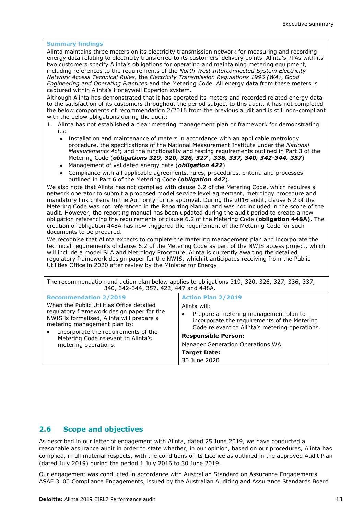#### **Summary findings**

Alinta maintains three meters on its electricity transmission network for measuring and recording energy data relating to electricity transferred to its customers' delivery points. Alinta's PPAs with its two customers specify Alinta's obligations for operating and maintaining metering equipment, including references to the requirements of the *North West Interconnected System Electricity Network Access Technical Rules,* the *Electricity Transmission Regulations 1996 (WA)*, *Good Engineering and Operating Practices* and the Metering Code. All energy data from these meters is captured within Alinta's Honeywell Experion system.

Although Alinta has demonstrated that it has operated its meters and recorded related energy data to the satisfaction of its customers throughout the period subject to this audit, it has not completed the below components of recommendation 2/2016 from the previous audit and is still non-compliant with the below obligations during the audit:

- 1. Alinta has not established a clear metering management plan or framework for demonstrating its:
	- Installation and maintenance of meters in accordance with an applicable metrology procedure, the specifications of the National Measurement Institute under the *National Measurements Act*; and the functionality and testing requirements outlined in Part 3 of the Metering Code (*obligations 319, 320, 326, 327 , 336, 337, 340, 342-344, 357*)
	- Management of validated energy data (*obligation 422*)
	- Compliance with all applicable agreements, rules, procedures, criteria and processes outlined in Part 6 of the Metering Code (*obligation 447*).

We also note that Alinta has not complied with clause 6.2 of the Metering Code, which requires a network operator to submit a proposed model service level agreement, metrology procedure and mandatory link criteria to the Authority for its approval. During the 2016 audit, clause 6.2 of the Metering Code was not referenced in the Reporting Manual and was not included in the scope of the audit. However, the reporting manual has been updated during the audit period to create a new obligation referencing the requirements of clause 6.2 of the Metering Code (**obligation 448A)**. The creation of obligation 448A has now triggered the requirement of the Metering Code for such documents to be prepared.

We recognise that Alinta expects to complete the metering management plan and incorporate the technical requirements of clause 6.2 of the Metering Code as part of the NWIS access project, which will include a model SLA and Metrology Procedure. Alinta is currently awaiting the detailed regulatory framework design paper for the NWIS, which it anticipates receiving from the Public Utilities Office in 2020 after review by the Minister for Energy.

| The recommendation and action plan below applies to obligations 319, 320, 326, 327, 336, 337,<br>340, 342-344, 357, 422, 447 and 448A.                                                                                                                                                                   |                                                                                                                                                                                                                                                                                                           |  |
|----------------------------------------------------------------------------------------------------------------------------------------------------------------------------------------------------------------------------------------------------------------------------------------------------------|-----------------------------------------------------------------------------------------------------------------------------------------------------------------------------------------------------------------------------------------------------------------------------------------------------------|--|
| <b>Recommendation 2/2019</b><br>When the Public Utilities Office detailed<br>regulatory framework design paper for the<br>NWIS is formalised, Alinta will prepare a<br>metering management plan to:<br>Incorporate the requirements of the<br>Metering Code relevant to Alinta's<br>metering operations. | <b>Action Plan 2/2019</b><br>Alinta will:<br>Prepare a metering management plan to<br>٠<br>incorporate the requirements of the Metering<br>Code relevant to Alinta's metering operations.<br><b>Responsible Person:</b><br><b>Manager Generation Operations WA</b><br><b>Target Date:</b><br>30 June 2020 |  |

#### **2.6 Scope and objectives**

As described in our letter of engagement with Alinta, dated 25 June 2019, we have conducted a reasonable assurance audit in order to state whether, in our opinion, based on our procedures, Alinta has complied, in all material respects, with the conditions of its Licence as outlined in the approved Audit Plan (dated July 2019) during the period 1 July 2016 to 30 June 2019.

Our engagement was conducted in accordance with Australian Standard on Assurance Engagements ASAE 3100 Compliance Engagements, issued by the Australian Auditing and Assurance Standards Board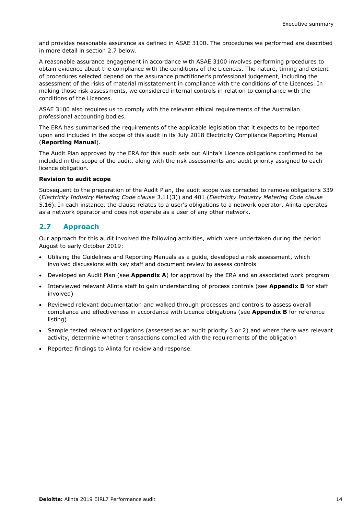and provides reasonable assurance as defined in ASAE 3100. The procedures we performed are described in more detail in section 2.7 below.

A reasonable assurance engagement in accordance with ASAE 3100 involves performing procedures to obtain evidence about the compliance with the conditions of the Licences. The nature, timing and extent of procedures selected depend on the assurance practitioner's professional judgement, including the assessment of the risks of material misstatement in compliance with the conditions of the Licences. In making those risk assessments, we considered internal controls in relation to compliance with the conditions of the Licences.

ASAE 3100 also requires us to comply with the relevant ethical requirements of the Australian professional accounting bodies.

The ERA has summarised the requirements of the applicable legislation that it expects to be reported upon and included in the scope of this audit in its July 2018 Electricity Compliance Reporting Manual (**Reporting Manual**).

The Audit Plan approved by the ERA for this audit sets out Alinta's Licence obligations confirmed to be included in the scope of the audit, along with the risk assessments and audit priority assigned to each licence obligation.

#### **Revision to audit scope**

Subsequent to the preparation of the Audit Plan, the audit scope was corrected to remove obligations 339 (*Electricity Industry Metering Code clause 3*.11(3)) and 401 (*Electricity Industry Metering Code clause*  5.16). In each instance, the clause relates to a user's obligations to a network operator. Alinta operates as a network operator and does not operate as a user of any other network.

#### **2.7 Approach**

Our approach for this audit involved the following activities, which were undertaken during the period August to early October 2019:

- Utilising the Guidelines and Reporting Manuals as a guide, developed a risk assessment, which involved discussions with key staff and document review to assess controls
- Developed an Audit Plan (see **Appendix A**) for approval by the ERA and an associated work program
- Interviewed relevant Alinta staff to gain understanding of process controls (see **Appendix B** for staff involved)
- Reviewed relevant documentation and walked through processes and controls to assess overall compliance and effectiveness in accordance with Licence obligations (see **Appendix B** for reference listing)
- Sample tested relevant obligations (assessed as an audit priority 3 or 2) and where there was relevant activity, determine whether transactions complied with the requirements of the obligation
- Reported findings to Alinta for review and response.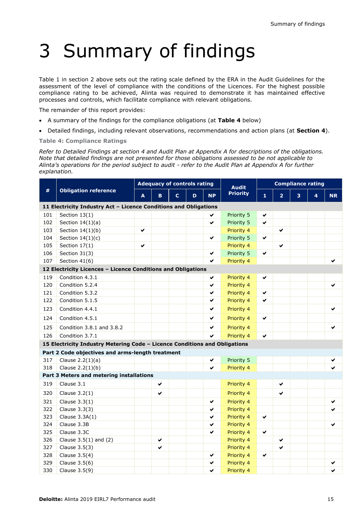# 3 Summary of findings

Table 1 in section 2 above sets out the rating scale defined by the ERA in the Audit Guidelines for the assessment of the level of compliance with the conditions of the Licences. For the highest possible compliance rating to be achieved, Alinta was required to demonstrate it has maintained effective processes and controls, which facilitate compliance with relevant obligations.

The remainder of this report provides:

- A summary of the findings for the compliance obligations (at **Table 4** below)
- Detailed findings, including relevant observations, recommendations and action plans (at **Section 4**).

**Table 4: Compliance Ratings**

*Refer to Detailed Findings at section 4 and Audit Plan at Appendix A for descriptions of the obligations. Note that detailed findings are not presented for those obligations assessed to be not applicable to Alinta's operations for the period subject to audit - refer to the Audit Plan at Appendix A for further explanation.*

|     |                                                                            | <b>Adequacy of controls rating</b> |   |    |            |           | <b>Audit</b> | <b>Compliance rating</b> |                |   |   |           |  |
|-----|----------------------------------------------------------------------------|------------------------------------|---|----|------------|-----------|--------------|--------------------------|----------------|---|---|-----------|--|
| #   | <b>Obligation reference</b>                                                | A                                  | B | C. | D          | <b>NP</b> | Priority     | $\mathbf{1}$             | $\overline{2}$ | 3 | 4 | <b>NR</b> |  |
|     | 11 Electricity Industry Act - Licence Conditions and Obligations           |                                    |   |    |            |           |              |                          |                |   |   |           |  |
| 101 | Section $13(1)$                                                            |                                    |   |    |            |           | Priority 5   | ✔                        |                |   |   |           |  |
| 102 | Section $14(1)(a)$                                                         |                                    |   |    |            | ✔         | Priority 5   | ✓                        |                |   |   |           |  |
| 103 | Section $14(1)(b)$                                                         | ✔                                  |   |    |            |           | Priority 4   |                          | ✔              |   |   |           |  |
| 104 | Section $14(1)(c)$                                                         |                                    |   |    |            | ✔         | Priority 5   | ✔                        |                |   |   |           |  |
| 105 | Section 17(1)                                                              | ✔                                  |   |    |            |           | Priority 4   |                          | ✔              |   |   |           |  |
| 106 | Section 31(3)                                                              |                                    |   |    |            | ✔         | Priority 5   | ✔                        |                |   |   |           |  |
| 107 | Section 41(6)                                                              |                                    |   |    |            | ✔         | Priority 4   |                          |                |   |   |           |  |
|     | 12 Electricity Licences - Licence Conditions and Obligations               |                                    |   |    |            |           |              |                          |                |   |   |           |  |
| 119 | Condition 4.3.1                                                            |                                    |   |    |            | ✔         | Priority 4   | ✔                        |                |   |   |           |  |
| 120 | Condition 5.2.4                                                            |                                    |   |    |            | ✔         | Priority 4   |                          |                |   |   | ✓         |  |
| 121 | Condition 5.3.2                                                            |                                    |   |    |            | ✔         | Priority 4   | ✔                        |                |   |   |           |  |
| 122 | Condition 5.1.5                                                            |                                    |   |    |            | ✔         | Priority 4   | ✔                        |                |   |   |           |  |
| 123 | Condition 4.4.1                                                            |                                    |   |    |            | ✔         | Priority 4   |                          |                |   |   | ✔         |  |
| 124 | Condition 4.5.1                                                            |                                    |   |    |            | ✔         | Priority 4   | ✔                        |                |   |   |           |  |
| 125 | Condition 3.8.1 and 3.8.2                                                  |                                    |   |    |            | ✔         | Priority 4   |                          |                |   |   | ✔         |  |
| 126 | Condition 3.7.1                                                            |                                    |   |    |            | ✔         | Priority 4   | ✓                        |                |   |   |           |  |
|     | 15 Electricity Industry Metering Code - Licence Conditions and Obligations |                                    |   |    |            |           |              |                          |                |   |   |           |  |
|     | Part 2 Code objectives and arms-length treatment                           |                                    |   |    |            |           |              |                          |                |   |   |           |  |
| 317 | Clause $2.2(1)(a)$                                                         |                                    |   |    |            | ✔         | Priority 5   |                          |                |   |   |           |  |
| 318 | Clause $2.2(1)(b)$                                                         |                                    |   |    |            | ✓         | Priority 4   |                          |                |   |   |           |  |
|     | Part 3 Meters and metering installations                                   |                                    |   |    |            |           |              |                          |                |   |   |           |  |
| 319 | Clause 3.1                                                                 |                                    | ✔ |    |            |           | Priority 4   |                          | ✔              |   |   |           |  |
| 320 | Clause $3.2(1)$                                                            |                                    | ✔ |    |            |           | Priority 4   |                          | ✔              |   |   |           |  |
| 321 | Clause $3.3(1)$                                                            |                                    |   |    |            | ✔         | Priority 4   |                          |                |   |   | ✔         |  |
| 322 | Clause 3.3(3)                                                              |                                    |   |    |            | ✔         | Priority 4   |                          |                |   |   |           |  |
| 323 | Clause 3.3A(1)                                                             |                                    |   |    |            | ✔         | Priority 4   | ✔                        |                |   |   |           |  |
| 324 | Clause 3.3B                                                                |                                    |   |    |            | ✔         | Priority 4   |                          |                |   |   | ✔         |  |
| 325 | Clause 3.3C                                                                |                                    |   |    |            | ✔         | Priority 4   | ✔                        |                |   |   |           |  |
| 326 | Clause $3.5(1)$ and $(2)$                                                  |                                    | ✔ |    |            |           | Priority 4   |                          | ✔              |   |   |           |  |
| 327 | Clause 3.5(3)                                                              |                                    | ✔ |    |            |           | Priority 4   |                          | ✔              |   |   |           |  |
| 328 | Clause $3.5(4)$                                                            |                                    |   | ✔  | Priority 4 | ✔         |              |                          |                |   |   |           |  |
| 329 | Clause 3.5(6)                                                              |                                    |   |    |            | ✔         | Priority 4   |                          |                |   |   | ✔         |  |
| 330 | Clause 3.5(9)                                                              |                                    |   |    |            | ✔         | Priority 4   |                          |                |   |   | ✔         |  |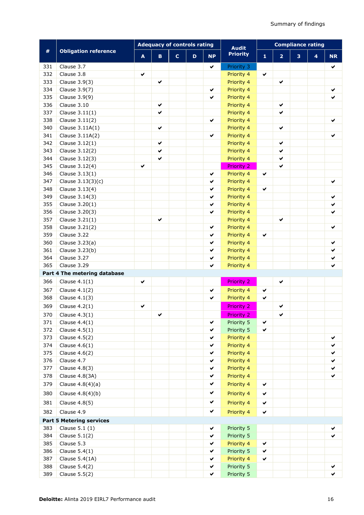|     |                                 | <b>Adequacy of controls rating</b> |              |             |   |              | <b>Audit</b>      | <b>Compliance rating</b> |                |   |                         |           |
|-----|---------------------------------|------------------------------------|--------------|-------------|---|--------------|-------------------|--------------------------|----------------|---|-------------------------|-----------|
| #   | <b>Obligation reference</b>     | $\blacktriangle$                   | $\mathbf B$  | $\mathbf c$ | D | <b>NP</b>    | <b>Priority</b>   | $\mathbf{1}$             | $\overline{2}$ | 3 | $\overline{\mathbf{4}}$ | <b>NR</b> |
| 331 | Clause 3.7                      |                                    |              |             |   | ✔            | Priority 3        |                          |                |   |                         | ✔         |
| 332 | Clause 3.8                      | ✔                                  |              |             |   |              | Priority 4        | $\checkmark$             |                |   |                         |           |
| 333 | Clause 3.9(3)                   |                                    | ✔            |             |   |              | Priority 4        |                          | $\checkmark$   |   |                         |           |
| 334 | Clause 3.9(7)                   |                                    |              |             |   | $\checkmark$ | Priority 4        |                          |                |   |                         | ✔         |
| 335 | Clause 3.9(9)                   |                                    |              |             |   | $\checkmark$ | Priority 4        |                          |                |   |                         | ✔         |
| 336 | Clause 3.10                     |                                    | $\checkmark$ |             |   |              | Priority 4        |                          | $\checkmark$   |   |                         |           |
| 337 | Clause $3.11(1)$                |                                    | ✔            |             |   |              | Priority 4        |                          | $\checkmark$   |   |                         |           |
| 338 | Clause 3.11(2)                  |                                    |              |             |   | ✔            | Priority 4        |                          |                |   |                         | ✔         |
| 340 | Clause 3.11A(1)                 |                                    | ✔            |             |   |              | Priority 4        |                          | $\checkmark$   |   |                         |           |
| 341 | Clause 3.11A(2)                 |                                    |              |             |   | ✔            | Priority 4        |                          |                |   |                         |           |
| 342 | Clause $3.12(1)$                |                                    | $\checkmark$ |             |   |              | Priority 4        |                          | $\checkmark$   |   |                         |           |
| 343 | Clause 3.12(2)                  |                                    | ✔            |             |   |              | Priority 4        |                          | $\checkmark$   |   |                         |           |
| 344 | Clause 3.12(3)                  |                                    | ✔            |             |   |              | Priority 4        |                          | $\checkmark$   |   |                         |           |
| 345 | Clause 3.12(4)                  | ✔                                  |              |             |   |              | <b>Priority 2</b> |                          | ✔              |   |                         |           |
| 346 | Clause 3.13(1)                  |                                    |              |             |   | $\checkmark$ | Priority 4        | $\checkmark$             |                |   |                         |           |
| 347 | Clause 3.13(3)(c)               |                                    |              |             |   | $\checkmark$ | Priority 4        |                          |                |   |                         | ✔         |
| 348 | Clause 3.13(4)                  |                                    |              |             |   | $\checkmark$ | Priority 4        | $\checkmark$             |                |   |                         |           |
| 349 | Clause 3.14(3)                  |                                    |              |             |   | $\checkmark$ | Priority 4        |                          |                |   |                         | ✔         |
| 355 | Clause 3.20(1)                  |                                    |              |             |   | ✔            | Priority 4        |                          |                |   |                         | ✔         |
| 356 | Clause 3.20(3)                  |                                    |              |             |   | ✔            | Priority 4        |                          |                |   |                         | ✔         |
| 357 | Clause $3.21(1)$                |                                    | ✔            |             |   |              | Priority 4        |                          | $\checkmark$   |   |                         |           |
| 358 | Clause 3.21(2)                  |                                    |              |             |   | ✔            | Priority 4        |                          |                |   |                         | ✔         |
| 359 | Clause 3.22                     |                                    |              |             |   | ✔            | Priority 4        | $\checkmark$             |                |   |                         |           |
| 360 | Clause 3.23(a)                  |                                    |              |             |   | ✔            | Priority 4        |                          |                |   |                         | ✔         |
| 361 | Clause 3.23(b)                  |                                    |              |             |   | ✔            | Priority 4        |                          |                |   |                         | ✔         |
| 364 | Clause 3.27                     |                                    |              |             |   | ✔            | Priority 4        |                          |                |   |                         | ✔         |
| 365 | Clause 3.29                     |                                    |              |             |   | ✔            | Priority 4        |                          |                |   |                         | ✔         |
|     | Part 4 The metering database    |                                    |              |             |   |              |                   |                          |                |   |                         |           |
| 366 | Clause $4.1(1)$                 | $\checkmark$                       |              |             |   |              | <b>Priority 2</b> |                          | $\checkmark$   |   |                         |           |
| 367 | Clause $4.1(2)$                 |                                    |              |             |   | $\checkmark$ | Priority 4        | ✔                        |                |   |                         |           |
| 368 | Clause $4.1(3)$                 |                                    |              |             |   | ✔            | Priority 4        | ✔                        |                |   |                         |           |
| 369 | Clause $4.2(1)$                 | $\checkmark$                       |              |             |   |              | <b>Priority 2</b> |                          | $\checkmark$   |   |                         |           |
|     | 370 Clause $4.3(1)$             |                                    | ✓            |             |   |              | <b>Priority 2</b> |                          |                |   |                         |           |
| 371 | Clause $4.4(1)$                 |                                    |              |             |   | $\checkmark$ | Priority 5        | ✔                        |                |   |                         |           |
| 372 | Clause $4.5(1)$                 |                                    |              |             |   | $\checkmark$ | Priority 5        | $\checkmark$             |                |   |                         |           |
| 373 | Clause 4.5(2)                   |                                    |              |             |   | ✔            | Priority 4        |                          |                |   |                         | ✔         |
| 374 | Clause $4.6(1)$                 |                                    |              |             |   | $\checkmark$ | Priority 4        |                          |                |   |                         | ✔         |
| 375 | Clause $4.6(2)$                 |                                    |              |             |   | ✔            | Priority 4        |                          |                |   |                         | ✔         |
| 376 | Clause 4.7                      |                                    |              |             |   | ✔            | Priority 4        |                          |                |   |                         | ✔         |
| 377 | Clause 4.8(3)                   |                                    |              |             |   | ✔            | Priority 4        |                          |                |   |                         | ✔         |
| 378 | Clause 4.8(3A)                  |                                    |              |             |   | $\checkmark$ | Priority 4        |                          |                |   |                         | ✔         |
| 379 | Clause $4.8(4)(a)$              |                                    |              |             |   | $\checkmark$ | Priority 4        | $\checkmark$             |                |   |                         |           |
| 380 | Clause $4.8(4)(b)$              |                                    |              |             |   | ✔            | Priority 4        | $\checkmark$             |                |   |                         |           |
| 381 | Clause 4.8(5)                   |                                    |              |             |   | ✔            | Priority 4        | $\checkmark$             |                |   |                         |           |
| 382 | Clause 4.9                      |                                    |              |             |   | ✔            | Priority 4        | $\checkmark$             |                |   |                         |           |
|     | <b>Part 5 Metering services</b> |                                    |              |             |   |              |                   |                          |                |   |                         |           |
| 383 | Clause 5.1 (1)                  |                                    |              |             |   | ✔            | Priority 5        |                          |                |   |                         |           |
| 384 | Clause $5.1(2)$                 |                                    |              |             |   | $\checkmark$ | Priority 5        |                          |                |   |                         | ✓         |
| 385 | Clause 5.3                      |                                    |              |             |   | $\checkmark$ | Priority 4        | $\checkmark$             |                |   |                         |           |
| 386 | Clause $5.4(1)$                 |                                    |              |             |   | ✔            | Priority 5        | ✔                        |                |   |                         |           |
| 387 | Clause 5.4(1A)                  |                                    |              |             |   | ✔            | Priority 4        | $\checkmark$             |                |   |                         |           |
| 388 | Clause 5.4(2)                   |                                    |              |             |   | ✔            | Priority 5        |                          |                |   |                         | ✔         |
| 389 | Clause 5.5(2)                   |                                    |              |             |   | ✔            | Priority 5        |                          |                |   |                         |           |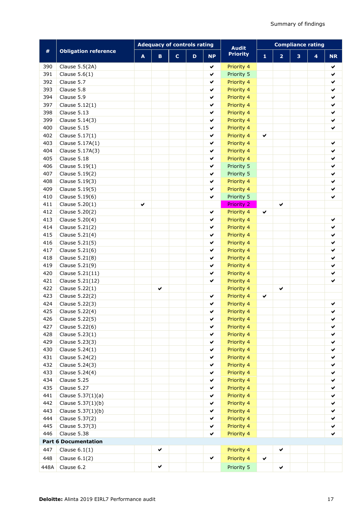|      |                             | <b>Adequacy of controls rating</b> |             |             |   |              | <b>Audit</b>      | <b>Compliance rating</b> |                |   |   |              |  |
|------|-----------------------------|------------------------------------|-------------|-------------|---|--------------|-------------------|--------------------------|----------------|---|---|--------------|--|
| #    | <b>Obligation reference</b> | A                                  | $\mathbf B$ | $\mathbf c$ | D | <b>NP</b>    | <b>Priority</b>   | 1                        | $\overline{2}$ | 3 | 4 | <b>NR</b>    |  |
| 390  | Clause 5.5(2A)              |                                    |             |             |   | ✔            | Priority 4        |                          |                |   |   | ✔            |  |
| 391  | Clause $5.6(1)$             |                                    |             |             |   | ✔            | Priority 5        |                          |                |   |   | ✔            |  |
| 392  | Clause 5.7                  |                                    |             |             |   | ✔            | Priority 4        |                          |                |   |   | $\checkmark$ |  |
| 393  | Clause 5.8                  |                                    |             |             |   | ✔            | Priority 4        |                          |                |   |   | ✔            |  |
| 394  | Clause 5.9                  |                                    |             |             |   | ✔            | Priority 4        |                          |                |   |   | ✔            |  |
| 397  | Clause 5.12(1)              |                                    |             |             |   | ✔            | Priority 4        |                          |                |   |   | ✔            |  |
| 398  | Clause 5.13                 |                                    |             |             |   | ✔            | Priority 4        |                          |                |   |   | ✔            |  |
| 399  | Clause 5.14(3)              |                                    |             |             |   | $\checkmark$ | Priority 4        |                          |                |   |   | ✔            |  |
| 400  | Clause 5.15                 |                                    |             |             |   | $\checkmark$ | Priority 4        |                          |                |   |   | $\checkmark$ |  |
| 402  | Clause 5.17(1)              |                                    |             |             |   | $\checkmark$ | Priority 4        | ✔                        |                |   |   |              |  |
| 403  | Clause 5.17A(1)             |                                    |             |             |   | ✔            | Priority 4        |                          |                |   |   | ✔            |  |
| 404  | Clause 5.17A(3)             |                                    |             |             |   | ✔            | Priority 4        |                          |                |   |   | ✔            |  |
| 405  | Clause 5.18                 |                                    |             |             |   | ✔            | Priority 4        |                          |                |   |   | ✔            |  |
| 406  | Clause 5.19(1)              |                                    |             |             |   | $\checkmark$ | Priority 5        |                          |                |   |   | $\checkmark$ |  |
| 407  | Clause 5.19(2)              |                                    |             |             |   | ✔            | Priority 5        |                          |                |   |   | ✔            |  |
| 408  | Clause 5.19(3)              |                                    |             |             |   | ✔            | Priority 4        |                          |                |   |   | ✔            |  |
| 409  | Clause 5.19(5)              |                                    |             |             |   | ✔            | Priority 4        |                          |                |   |   | ✔            |  |
| 410  | Clause 5.19(6)              |                                    |             |             |   | $\checkmark$ | Priority 5        |                          |                |   |   | ✓            |  |
| 411  | Clause 5.20(1)              | ✔                                  |             |             |   |              | <b>Priority 2</b> |                          | ✔              |   |   |              |  |
| 412  | Clause 5.20(2)              |                                    |             |             |   | ✔            | Priority 4        | ✔                        |                |   |   |              |  |
| 413  | Clause 5.20(4)              |                                    |             |             |   | $\checkmark$ | Priority 4        |                          |                |   |   | ✔            |  |
| 414  | Clause 5.21(2)              |                                    |             |             |   | ✔            | Priority 4        |                          |                |   |   | ✔            |  |
| 415  | Clause 5.21(4)              |                                    |             |             |   | ✔            | Priority 4        |                          |                |   |   | ✔            |  |
| 416  | Clause 5.21(5)              |                                    |             |             |   | ✔            | Priority 4        |                          |                |   |   | ✔            |  |
| 417  | Clause 5.21(6)              |                                    |             |             |   | ✔            | Priority 4        |                          |                |   |   | ✔            |  |
| 418  | Clause 5.21(8)              |                                    |             |             |   | ✔            | Priority 4        |                          |                |   |   | $\checkmark$ |  |
| 419  | Clause 5.21(9)              |                                    |             |             |   | ✔            | Priority 4        |                          |                |   |   | $\checkmark$ |  |
| 420  | Clause 5.21(11)             |                                    |             |             |   | ✔            | Priority 4        |                          |                |   |   | $\checkmark$ |  |
| 421  | Clause 5.21(12)             |                                    |             |             |   | ✔            | Priority 4        |                          |                |   |   | ✔            |  |
| 422  | Clause 5.22(1)              |                                    | ✔           |             |   |              | Priority 4        |                          | ✓              |   |   |              |  |
| 423  | Clause 5.22(2)              |                                    |             |             |   | ✔            | Priority 4        | ✔                        |                |   |   |              |  |
| 424  | Clause 5.22(3)              |                                    |             |             |   | $\checkmark$ | Priority 4        |                          |                |   |   | ✔            |  |
| 425  | Clause 5.22(4)              |                                    |             |             |   | ✔            | Priority 4        |                          |                |   |   | ✔            |  |
| 426  | Clause 5.22(5)              |                                    |             |             |   | ✔            | Priority 4        |                          |                |   |   | ✔            |  |
| 427  | Clause 5.22(6)              |                                    |             |             |   | ✔            | Priority 4        |                          |                |   |   | ✔            |  |
| 428  | Clause 5.23(1)              |                                    |             |             |   | ✔            | Priority 4        |                          |                |   |   | ✔            |  |
| 429  | Clause 5.23(3)              |                                    |             |             |   | ✔            | Priority 4        |                          |                |   |   | ✔            |  |
| 430  | Clause 5.24(1)              |                                    |             |             |   | ✔            | Priority 4        |                          |                |   |   | ✔            |  |
| 431  | Clause 5.24(2)              |                                    |             |             |   | ✔            | Priority 4        |                          |                |   |   | ✔            |  |
| 432  | Clause 5.24(3)              |                                    |             |             |   | ✔            | Priority 4        |                          |                |   |   | ✔            |  |
| 433  | Clause 5.24(4)              |                                    |             |             |   | ✔            | Priority 4        |                          |                |   |   | ✔            |  |
| 434  | Clause 5.25                 |                                    |             |             |   | ✔            | Priority 4        |                          |                |   |   | ✔            |  |
| 435  | Clause 5.27                 |                                    |             |             |   | ✔            | Priority 4        |                          |                |   |   | ✔            |  |
| 441  | Clause 5.37(1)(a)           |                                    |             |             |   | ✔            | Priority 4        |                          |                |   |   | ✔            |  |
| 442  | Clause 5.37(1)(b)           |                                    |             |             |   | ✔            | Priority 4        |                          |                |   |   | ✔            |  |
| 443  | Clause 5.37(1)(b)           |                                    |             |             |   | ✔            | Priority 4        |                          |                |   |   | ✔            |  |
| 444  | Clause 5.37(2)              |                                    |             |             |   | ✔            | Priority 4        |                          |                |   |   | ✔            |  |
| 445  | Clause 5.37(3)<br>✔         |                                    |             | Priority 4  |   |              |                   |                          | ✔              |   |   |              |  |
| 446  | Clause 5.38                 |                                    |             |             |   | ✔            | Priority 4        |                          |                |   |   | ✔            |  |
|      | <b>Part 6 Documentation</b> |                                    |             |             |   |              |                   |                          |                |   |   |              |  |
| 447  | Clause $6.1(1)$             |                                    | ✔           |             |   |              | Priority 4        |                          | ✔              |   |   |              |  |
| 448  | Clause $6.1(2)$             |                                    |             |             |   | ✔            | Priority 4        | ✔                        |                |   |   |              |  |
| 448A | Clause 6.2                  |                                    | ✔           |             |   |              | Priority 5        |                          | ✔              |   |   |              |  |
|      |                             |                                    |             |             |   |              |                   |                          |                |   |   |              |  |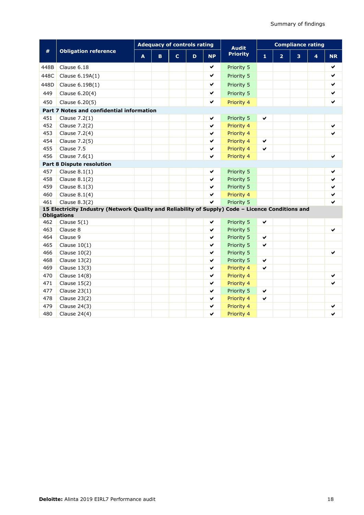|                                  |                                                                                                                         | <b>Adequacy of controls rating</b> |    |                |   |           | <b>Audit</b>    | <b>Compliance rating</b> |                |   |                         |           |  |
|----------------------------------|-------------------------------------------------------------------------------------------------------------------------|------------------------------------|----|----------------|---|-----------|-----------------|--------------------------|----------------|---|-------------------------|-----------|--|
| #                                | <b>Obligation reference</b>                                                                                             | A                                  | B. | $\overline{c}$ | D | <b>NP</b> | <b>Priority</b> | 1                        | $\overline{2}$ | 3 | $\overline{\mathbf{4}}$ | <b>NR</b> |  |
| 448B                             | Clause 6.18                                                                                                             |                                    |    |                |   | ✔         | Priority 5      |                          |                |   |                         | ✔         |  |
| 448C                             | Clause 6.19A(1)                                                                                                         |                                    |    |                |   | ✔         | Priority 5      |                          |                |   |                         | ✔         |  |
| 448D                             | Clause 6.19B(1)                                                                                                         |                                    |    |                |   | ✔         | Priority 5      |                          |                |   |                         | ✔         |  |
| 449                              | Clause 6.20(4)                                                                                                          |                                    |    |                |   | ✔         | Priority 5      |                          |                |   |                         | ✔         |  |
| 450                              | Clause 6.20(5)                                                                                                          |                                    |    |                |   | ✔         | Priority 4      |                          |                |   |                         | ✔         |  |
|                                  | Part 7 Notes and confidential information                                                                               |                                    |    |                |   |           |                 |                          |                |   |                         |           |  |
| 451                              | Clause 7.2(1)                                                                                                           |                                    |    |                |   | ✔         | Priority 5      | ✔                        |                |   |                         |           |  |
| 452                              | Clause 7.2(2)                                                                                                           |                                    |    |                |   | ✔         | Priority 4      |                          |                |   |                         | ✔         |  |
| 453                              | Clause 7.2(4)                                                                                                           |                                    |    |                |   | ✔         | Priority 4      |                          |                |   |                         |           |  |
| 454                              | Clause 7.2(5)                                                                                                           |                                    |    |                |   | ✔         | Priority 4      | ✔                        |                |   |                         |           |  |
| 455                              | Clause 7.5                                                                                                              |                                    |    |                |   | ✔         | Priority 4      | ✔                        |                |   |                         |           |  |
| 456                              | Clause $7.6(1)$                                                                                                         |                                    |    |                |   | ✔         | Priority 4      |                          |                |   |                         | ✔         |  |
| <b>Part 8 Dispute resolution</b> |                                                                                                                         |                                    |    |                |   |           |                 |                          |                |   |                         |           |  |
| 457                              | Clause $8.1(1)$                                                                                                         |                                    |    |                |   | ✔         | Priority 5      |                          |                |   |                         | ✔         |  |
| 458                              | Clause $8.1(2)$                                                                                                         |                                    |    |                |   | ✔         | Priority 5      |                          |                |   |                         | ✔         |  |
| 459                              | Clause $8.1(3)$                                                                                                         |                                    |    |                |   | ✔         | Priority 5      |                          |                |   |                         | ✔         |  |
| 460                              | Clause $8.1(4)$                                                                                                         |                                    |    |                |   | ✔         | Priority 4      |                          |                |   |                         | ✔         |  |
| 461                              | Clause 8.3(2)                                                                                                           |                                    |    |                |   | ✓         | Priority 5      |                          |                |   |                         | ✓         |  |
|                                  | 15 Electricity Industry (Network Quality and Reliability of Supply) Code - Licence Conditions and<br><b>Obligations</b> |                                    |    |                |   |           |                 |                          |                |   |                         |           |  |
| 462                              | Clause $5(1)$                                                                                                           |                                    |    |                |   | ✔         | Priority 5      | ✔                        |                |   |                         |           |  |
| 463                              | Clause 8                                                                                                                |                                    |    |                |   | ✔         | Priority 5      |                          |                |   |                         | ✔         |  |
| 464                              | Clause 9                                                                                                                |                                    |    |                |   | ✔         | Priority 5      | ✔                        |                |   |                         |           |  |
| 465                              | Clause $10(1)$                                                                                                          |                                    |    |                |   | ✔         | Priority 5      | ✔                        |                |   |                         |           |  |
| 466                              | Clause $10(2)$                                                                                                          |                                    |    |                |   | ✔         | Priority 5      |                          |                |   |                         | ✔         |  |
| 468                              | Clause $13(2)$                                                                                                          |                                    |    |                |   | ✔         | Priority 5      | ✔                        |                |   |                         |           |  |
| 469                              | Clause $13(3)$                                                                                                          |                                    |    |                |   | ✔         | Priority 4      | ✔                        |                |   |                         |           |  |
| 470                              | Clause $14(8)$                                                                                                          |                                    |    |                |   | ✔         | Priority 4      |                          |                |   |                         | ✔         |  |
| 471                              | Clause $15(2)$                                                                                                          |                                    |    |                |   | ✔         | Priority 4      |                          |                |   |                         | ✔         |  |
| 477                              | Clause $23(1)$                                                                                                          |                                    |    |                |   | ✔         | Priority 5      | ✔                        |                |   |                         |           |  |
| 478                              | Clause $23(2)$                                                                                                          |                                    |    |                |   | ✔         | Priority 4      | ✔                        |                |   |                         |           |  |
| 479                              | Clause 24(3)                                                                                                            |                                    |    |                |   | ✔         | Priority 4      |                          |                |   |                         | ✔         |  |
| 480                              | Clause $24(4)$                                                                                                          |                                    |    |                |   | ✔         | Priority 4      |                          |                |   |                         | ✔         |  |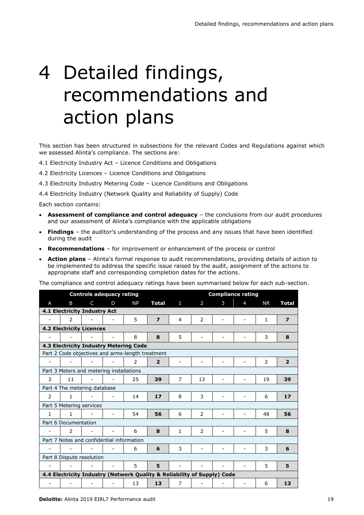# 4 Detailed findings, recommendations and action plans

This section has been structured in subsections for the relevant Codes and Regulations against which we assessed Alinta's compliance. The sections are:

- 4.1 Electricity Industry Act Licence Conditions and Obligations
- 4.2 Electricity Licences Licence Conditions and Obligations
- 4.3 Electricity Industry Metering Code Licence Conditions and Obligations

4.4 Electricity Industry (Network Quality and Reliability of Supply) Code

Each section contains:

- **Assessment of compliance and control adequacy**  the conclusions from our audit procedures and our assessment of Alinta's compliance with the applicable obligations
- **Findings**  the auditor's understanding of the process and any issues that have been identified during the audit
- **Recommendations** for improvement or enhancement of the process or control
- **Action plans** Alinta's formal response to audit recommendations, providing details of action to be implemented to address the specific issue raised by the audit, assignment of the actions to appropriate staff and corresponding completion dates for the actions.

The compliance and control adequacy ratings have been summarised below for each sub-section.

|              |                                                  | <b>Controls adequacy rating</b> |                          |                                                                         |                         | <b>Compliance rating</b> |    |   |                          |              |                |  |  |
|--------------|--------------------------------------------------|---------------------------------|--------------------------|-------------------------------------------------------------------------|-------------------------|--------------------------|----|---|--------------------------|--------------|----------------|--|--|
| A            | B                                                | C                               | D                        | <b>NP</b>                                                               | <b>Total</b>            | $\mathbf{1}$             | 2  | 3 | 4                        | <b>NR</b>    | Total          |  |  |
|              | 4.1 Electricity Industry Act                     |                                 |                          |                                                                         |                         |                          |    |   |                          |              |                |  |  |
|              | 2                                                |                                 |                          | 5                                                                       | $\overline{\mathbf{z}}$ | $\overline{4}$           | 2  |   |                          | $\mathbf{1}$ | $\overline{ }$ |  |  |
|              | <b>4.2 Electricity Licences</b>                  |                                 |                          |                                                                         |                         |                          |    |   |                          |              |                |  |  |
|              |                                                  |                                 |                          | 8                                                                       | 8                       | 5                        |    |   |                          | 3            | 8              |  |  |
|              |                                                  |                                 |                          | 4.3 Electricity Industry Metering Code                                  |                         |                          |    |   |                          |              |                |  |  |
|              | Part 2 Code objectives and arms-length treatment |                                 |                          |                                                                         |                         |                          |    |   |                          |              |                |  |  |
|              |                                                  |                                 |                          | $\mathcal{P}$                                                           | $\overline{2}$          |                          |    |   |                          | 2            | $\overline{2}$ |  |  |
|              | Part 3 Meters and metering installations         |                                 |                          |                                                                         |                         |                          |    |   |                          |              |                |  |  |
| 3            | 11                                               |                                 |                          | 25                                                                      | 39                      | 7                        | 13 |   |                          | 19           | 39             |  |  |
|              | Part 4 The metering database                     |                                 |                          |                                                                         |                         |                          |    |   |                          |              |                |  |  |
| 2            | 1                                                |                                 |                          | 14                                                                      | 17                      | 8                        | 3  |   |                          | 6            | 17             |  |  |
|              | Part 5 Metering services                         |                                 |                          |                                                                         |                         |                          |    |   |                          |              |                |  |  |
| $\mathbf{1}$ | 1                                                |                                 | $\overline{\phantom{0}}$ | 54                                                                      | 56                      | 6                        | 2  | ۰ | $\overline{\phantom{0}}$ | 48           | 56             |  |  |
|              | Part 6 Documentation                             |                                 |                          |                                                                         |                         |                          |    |   |                          |              |                |  |  |
|              | $\mathcal{P}$                                    |                                 |                          | 6                                                                       | 8                       | $\mathbf{1}$             | 2  |   |                          | 5            | 8              |  |  |
|              | Part 7 Notes and confidential information        |                                 |                          |                                                                         |                         |                          |    |   |                          |              |                |  |  |
|              |                                                  |                                 |                          | 6                                                                       | 6                       | 3                        |    |   |                          | 3            | 6              |  |  |
|              | Part 8 Dispute resolution                        |                                 |                          |                                                                         |                         |                          |    |   |                          |              |                |  |  |
|              |                                                  |                                 |                          | 5                                                                       | 5                       |                          |    |   |                          | 5            | 5              |  |  |
|              |                                                  |                                 |                          | 4.4 Electricity Industry (Network Quality & Reliability of Supply) Code |                         |                          |    |   |                          |              |                |  |  |
|              |                                                  |                                 |                          | 13                                                                      | 13                      | $\overline{7}$           |    |   | $\overline{\phantom{a}}$ | 6            | 13             |  |  |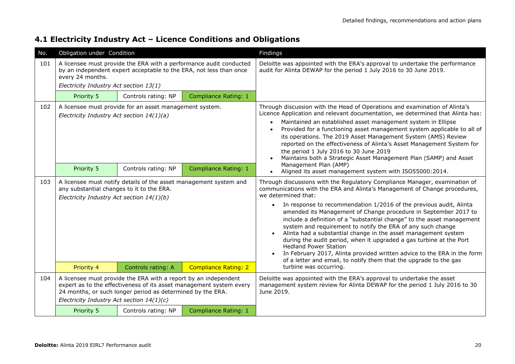### **4.1 Electricity Industry Act – Licence Conditions and Obligations**

| No. | Obligation under Condition                                                             |                                                                                                                               |                                                                                                                                          | Findings                                                                                                                                                                                                                                                                                                                                                                                                                                                                                                                                                                                                                                                                                                                                                                                               |  |  |  |  |
|-----|----------------------------------------------------------------------------------------|-------------------------------------------------------------------------------------------------------------------------------|------------------------------------------------------------------------------------------------------------------------------------------|--------------------------------------------------------------------------------------------------------------------------------------------------------------------------------------------------------------------------------------------------------------------------------------------------------------------------------------------------------------------------------------------------------------------------------------------------------------------------------------------------------------------------------------------------------------------------------------------------------------------------------------------------------------------------------------------------------------------------------------------------------------------------------------------------------|--|--|--|--|
| 101 | every 24 months.<br>Electricity Industry Act section 13(1)                             |                                                                                                                               | A licensee must provide the ERA with a performance audit conducted<br>by an independent expert acceptable to the ERA, not less than once | Deloitte was appointed with the ERA's approval to undertake the performance<br>audit for Alinta DEWAP for the period 1 July 2016 to 30 June 2019.                                                                                                                                                                                                                                                                                                                                                                                                                                                                                                                                                                                                                                                      |  |  |  |  |
|     | Priority 5                                                                             | Controls rating: NP                                                                                                           | <b>Compliance Rating: 1</b>                                                                                                              |                                                                                                                                                                                                                                                                                                                                                                                                                                                                                                                                                                                                                                                                                                                                                                                                        |  |  |  |  |
| 102 | Electricity Industry Act section 14(1)(a)                                              | A licensee must provide for an asset management system.                                                                       |                                                                                                                                          | Through discussion with the Head of Operations and examination of Alinta's<br>Licence Application and relevant documentation, we determined that Alinta has:<br>Maintained an established asset management system in Ellipse<br>Provided for a functioning asset management system applicable to all of<br>its operations. The 2019 Asset Management System (AMS) Review<br>reported on the effectiveness of Alinta's Asset Management System for<br>the period 1 July 2016 to 30 June 2019<br>Maintains both a Strategic Asset Management Plan (SAMP) and Asset                                                                                                                                                                                                                                       |  |  |  |  |
|     | Priority 5                                                                             | Controls rating: NP                                                                                                           | <b>Compliance Rating: 1</b>                                                                                                              | Management Plan (AMP)<br>Aligned its asset management system with ISO55000:2014.                                                                                                                                                                                                                                                                                                                                                                                                                                                                                                                                                                                                                                                                                                                       |  |  |  |  |
| 103 | any substantial changes to it to the ERA.<br>Electricity Industry Act section 14(1)(b) | A licensee must notify details of the asset management system and                                                             |                                                                                                                                          | Through discussions with the Regulatory Compliance Manager, examination of<br>communications with the ERA and Alinta's Management of Change procedures,<br>we determined that:<br>In response to recommendation 1/2016 of the previous audit, Alinta<br>$\bullet$<br>amended its Management of Change procedure in September 2017 to<br>include a definition of a "substantial change" to the asset management<br>system and requirement to notify the ERA of any such change<br>Alinta had a substantial change in the asset management system<br>during the audit period, when it upgraded a gas turbine at the Port<br><b>Hedland Power Station</b><br>In February 2017, Alinta provided written advice to the ERA in the form<br>of a letter and email, to notify them that the upgrade to the gas |  |  |  |  |
|     | Priority 4                                                                             | Controls rating: A                                                                                                            | <b>Compliance Rating: 2</b>                                                                                                              | turbine was occurring.                                                                                                                                                                                                                                                                                                                                                                                                                                                                                                                                                                                                                                                                                                                                                                                 |  |  |  |  |
| 104 | Electricity Industry Act section 14(1)(c)                                              | A licensee must provide the ERA with a report by an independent<br>24 months, or such longer period as determined by the ERA. | expert as to the effectiveness of its asset management system every                                                                      | Deloitte was appointed with the ERA's approval to undertake the asset<br>management system review for Alinta DEWAP for the period 1 July 2016 to 30<br>June 2019.                                                                                                                                                                                                                                                                                                                                                                                                                                                                                                                                                                                                                                      |  |  |  |  |
|     | Priority 5                                                                             | Controls rating: NP                                                                                                           | <b>Compliance Rating: 1</b>                                                                                                              |                                                                                                                                                                                                                                                                                                                                                                                                                                                                                                                                                                                                                                                                                                                                                                                                        |  |  |  |  |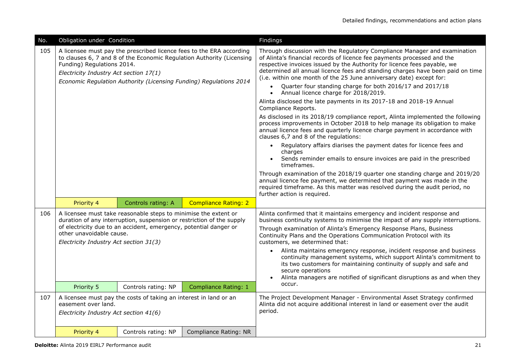| No. | Obligation under Condition                                           |                                                                                                                                                                                                               |                                                                                                                                                                                                                     | Findings                                                                                                                                                                                                                                                                                                                                                                                                                                                                                                                                                                                                                                                                                                                                                                                                                                                                                                                                                                                                                                                                                                                                                                                                                                                                                                                       |
|-----|----------------------------------------------------------------------|---------------------------------------------------------------------------------------------------------------------------------------------------------------------------------------------------------------|---------------------------------------------------------------------------------------------------------------------------------------------------------------------------------------------------------------------|--------------------------------------------------------------------------------------------------------------------------------------------------------------------------------------------------------------------------------------------------------------------------------------------------------------------------------------------------------------------------------------------------------------------------------------------------------------------------------------------------------------------------------------------------------------------------------------------------------------------------------------------------------------------------------------------------------------------------------------------------------------------------------------------------------------------------------------------------------------------------------------------------------------------------------------------------------------------------------------------------------------------------------------------------------------------------------------------------------------------------------------------------------------------------------------------------------------------------------------------------------------------------------------------------------------------------------|
| 105 | Funding) Regulations 2014.<br>Electricity Industry Act section 17(1) |                                                                                                                                                                                                               | A licensee must pay the prescribed licence fees to the ERA according<br>to clauses 6, 7 and 8 of the Economic Regulation Authority (Licensing<br>Economic Regulation Authority (Licensing Funding) Regulations 2014 | Through discussion with the Regulatory Compliance Manager and examination<br>of Alinta's financial records of licence fee payments processed and the<br>respective invoices issued by the Authority for licence fees payable, we<br>determined all annual licence fees and standing charges have been paid on time<br>(i.e. within one month of the 25 June anniversary date) except for:<br>Quarter four standing charge for both 2016/17 and 2017/18<br>$\bullet$<br>Annual licence charge for 2018/2019.<br>$\bullet$<br>Alinta disclosed the late payments in its 2017-18 and 2018-19 Annual<br>Compliance Reports.<br>As disclosed in its 2018/19 compliance report, Alinta implemented the following<br>process improvements in October 2018 to help manage its obligation to make<br>annual licence fees and quarterly licence charge payment in accordance with<br>clauses 6,7 and 8 of the regulations:<br>Regulatory affairs diarises the payment dates for licence fees and<br>charges<br>Sends reminder emails to ensure invoices are paid in the prescribed<br>timeframes.<br>Through examination of the 2018/19 quarter one standing charge and 2019/20<br>annual licence fee payment, we determined that payment was made in the<br>required timeframe. As this matter was resolved during the audit period, no |
|     | Priority 4                                                           | Controls rating: A                                                                                                                                                                                            | <b>Compliance Rating: 2</b>                                                                                                                                                                                         | further action is required.                                                                                                                                                                                                                                                                                                                                                                                                                                                                                                                                                                                                                                                                                                                                                                                                                                                                                                                                                                                                                                                                                                                                                                                                                                                                                                    |
| 106 | other unavoidable cause.<br>Electricity Industry Act section 31(3)   | A licensee must take reasonable steps to minimise the extent or<br>duration of any interruption, suspension or restriction of the supply<br>of electricity due to an accident, emergency, potential danger or |                                                                                                                                                                                                                     | Alinta confirmed that it maintains emergency and incident response and<br>business continuity systems to minimise the impact of any supply interruptions.<br>Through examination of Alinta's Emergency Response Plans, Business<br>Continuity Plans and the Operations Communication Protocol with its<br>customers, we determined that:<br>Alinta maintains emergency response, incident response and business<br>continuity management systems, which support Alinta's commitment to<br>its two customers for maintaining continuity of supply and safe and<br>secure operations<br>Alinta managers are notified of significant disruptions as and when they                                                                                                                                                                                                                                                                                                                                                                                                                                                                                                                                                                                                                                                                 |
|     | Priority 5                                                           | Controls rating: NP                                                                                                                                                                                           | <b>Compliance Rating: 1</b>                                                                                                                                                                                         | occur.                                                                                                                                                                                                                                                                                                                                                                                                                                                                                                                                                                                                                                                                                                                                                                                                                                                                                                                                                                                                                                                                                                                                                                                                                                                                                                                         |
| 107 | easement over land.<br>Electricity Industry Act section 41(6)        | A licensee must pay the costs of taking an interest in land or an                                                                                                                                             |                                                                                                                                                                                                                     | The Project Development Manager - Environmental Asset Strategy confirmed<br>Alinta did not acquire additional interest in land or easement over the audit<br>period.                                                                                                                                                                                                                                                                                                                                                                                                                                                                                                                                                                                                                                                                                                                                                                                                                                                                                                                                                                                                                                                                                                                                                           |
|     | Priority 4                                                           | Controls rating: NP                                                                                                                                                                                           | Compliance Rating: NR                                                                                                                                                                                               |                                                                                                                                                                                                                                                                                                                                                                                                                                                                                                                                                                                                                                                                                                                                                                                                                                                                                                                                                                                                                                                                                                                                                                                                                                                                                                                                |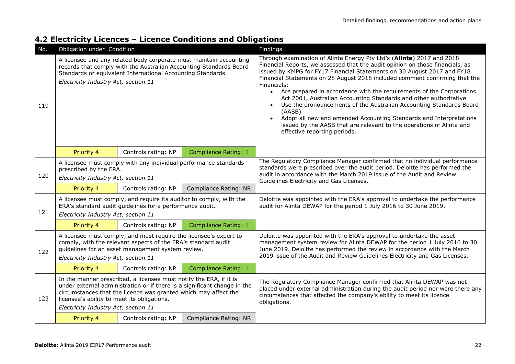### **4.2 Electricity Licences – Licence Conditions and Obligations**

| No. | Obligation under Condition                                                          |                                                                                                                                                                                         |                                                                                                                                          | Findings                                                                                                                                                                                                                                                                                                                                                                                                                                                                                                                                                                                                                                                                                                                                                   |  |  |  |  |  |
|-----|-------------------------------------------------------------------------------------|-----------------------------------------------------------------------------------------------------------------------------------------------------------------------------------------|------------------------------------------------------------------------------------------------------------------------------------------|------------------------------------------------------------------------------------------------------------------------------------------------------------------------------------------------------------------------------------------------------------------------------------------------------------------------------------------------------------------------------------------------------------------------------------------------------------------------------------------------------------------------------------------------------------------------------------------------------------------------------------------------------------------------------------------------------------------------------------------------------------|--|--|--|--|--|
| 119 | Electricity Industry Act, section 11                                                | Standards or equivalent International Accounting Standards.                                                                                                                             | A licensee and any related body corporate must maintain accounting<br>records that comply with the Australian Accounting Standards Board | Through examination of Alinta Energy Pty Ltd's (Alinta) 2017 and 2018<br>Financial Reports, we assessed that the audit opinion on those financials, as<br>issued by KMPG for FY17 Financial Statements on 30 August 2017 and FY18<br>Financial Statements on 28 August 2018 included comment confirming that the<br>Financials:<br>• Are prepared in accordance with the requirements of the Corporations<br>Act 2001, Australian Accounting Standards and other authoritative<br>Use the pronouncements of the Australian Accounting Standards Board<br>$\bullet$<br>(AASB)<br>Adopt all new and amended Accounting Standards and Interpretations<br>issued by the AASB that are relevant to the operations of Alinta and<br>effective reporting periods. |  |  |  |  |  |
|     | Priority 4                                                                          | Controls rating: NP                                                                                                                                                                     | <b>Compliance Rating: 1</b>                                                                                                              |                                                                                                                                                                                                                                                                                                                                                                                                                                                                                                                                                                                                                                                                                                                                                            |  |  |  |  |  |
| 120 | prescribed by the ERA.<br>Electricity Industry Act, section 11                      | A licensee must comply with any individual performance standards                                                                                                                        |                                                                                                                                          | The Regulatory Compliance Manager confirmed that no individual performance<br>standards were prescribed over the audit period. Deloitte has performed the<br>audit in accordance with the March 2019 issue of the Audit and Review<br>Guidelines Electricity and Gas Licenses.                                                                                                                                                                                                                                                                                                                                                                                                                                                                             |  |  |  |  |  |
|     | Priority 4                                                                          | Controls rating: NP                                                                                                                                                                     | Compliance Rating: NR                                                                                                                    |                                                                                                                                                                                                                                                                                                                                                                                                                                                                                                                                                                                                                                                                                                                                                            |  |  |  |  |  |
| 121 | Electricity Industry Act, section 11                                                | A licensee must comply, and require its auditor to comply, with the<br>ERA's standard audit quidelines for a performance audit.                                                         |                                                                                                                                          | Deloitte was appointed with the ERA's approval to undertake the performance<br>audit for Alinta DEWAP for the period 1 July 2016 to 30 June 2019.                                                                                                                                                                                                                                                                                                                                                                                                                                                                                                                                                                                                          |  |  |  |  |  |
|     | Priority 4                                                                          | Controls rating: NP                                                                                                                                                                     | <b>Compliance Rating: 1</b>                                                                                                              |                                                                                                                                                                                                                                                                                                                                                                                                                                                                                                                                                                                                                                                                                                                                                            |  |  |  |  |  |
| 122 | Electricity Industry Act, section 11                                                | A licensee must comply, and must require the licensee's expert to<br>comply, with the relevant aspects of the ERA's standard audit<br>quidelines for an asset management system review. |                                                                                                                                          | Deloitte was appointed with the ERA's approval to undertake the asset<br>management system review for Alinta DEWAP for the period 1 July 2016 to 30<br>June 2019. Deloitte has performed the review in accordance with the March<br>2019 issue of the Audit and Review Guidelines Electricity and Gas Licenses.                                                                                                                                                                                                                                                                                                                                                                                                                                            |  |  |  |  |  |
|     | Priority 4                                                                          | Controls rating: NP                                                                                                                                                                     | Compliance Rating: 1                                                                                                                     |                                                                                                                                                                                                                                                                                                                                                                                                                                                                                                                                                                                                                                                                                                                                                            |  |  |  |  |  |
| 123 | licensee's ability to meet its obligations.<br>Electricity Industry Act, section 11 | In the manner prescribed, a licensee must notify the ERA, if it is<br>circumstances that the licence was granted which may affect the                                                   | under external administration or if there is a significant change in the                                                                 | The Regulatory Compliance Manager confirmed that Alinta DEWAP was not<br>placed under external administration during the audit period nor were there any<br>circumstances that affected the company's ability to meet its licence<br>obligations.                                                                                                                                                                                                                                                                                                                                                                                                                                                                                                          |  |  |  |  |  |
|     | Priority 4                                                                          | Controls rating: NP                                                                                                                                                                     | Compliance Rating: NR                                                                                                                    |                                                                                                                                                                                                                                                                                                                                                                                                                                                                                                                                                                                                                                                                                                                                                            |  |  |  |  |  |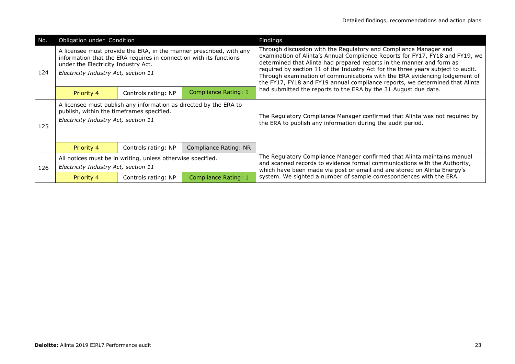| No. | Obligation under Condition                                                        |                                                                    |                                                                     | Findings                                                                                                                                                                                                                                                                                                                                                                                                                                                                      |
|-----|-----------------------------------------------------------------------------------|--------------------------------------------------------------------|---------------------------------------------------------------------|-------------------------------------------------------------------------------------------------------------------------------------------------------------------------------------------------------------------------------------------------------------------------------------------------------------------------------------------------------------------------------------------------------------------------------------------------------------------------------|
| 124 | under the Electricity Industry Act.<br>Electricity Industry Act, section 11       | information that the ERA requires in connection with its functions | A licensee must provide the ERA, in the manner prescribed, with any | Through discussion with the Regulatory and Compliance Manager and<br>examination of Alinta's Annual Compliance Reports for FY17, FY18 and FY19, we<br>determined that Alinta had prepared reports in the manner and form as<br>required by section 11 of the Industry Act for the three years subject to audit.<br>Through examination of communications with the ERA evidencing lodgement of<br>the FY17, FY18 and FY19 annual compliance reports, we determined that Alinta |
|     | Priority 4                                                                        | Controls rating: NP                                                | Compliance Rating: 1                                                | had submitted the reports to the ERA by the 31 August due date.                                                                                                                                                                                                                                                                                                                                                                                                               |
| 125 | publish, within the timeframes specified.<br>Electricity Industry Act, section 11 | A licensee must publish any information as directed by the ERA to  |                                                                     | The Regulatory Compliance Manager confirmed that Alinta was not required by<br>the ERA to publish any information during the audit period.                                                                                                                                                                                                                                                                                                                                    |
|     | Priority 4                                                                        | Controls rating: NP                                                | Compliance Rating: NR                                               |                                                                                                                                                                                                                                                                                                                                                                                                                                                                               |
| 126 | Electricity Industry Act, section 11                                              | All notices must be in writing, unless otherwise specified.        |                                                                     | The Regulatory Compliance Manager confirmed that Alinta maintains manual<br>and scanned records to evidence formal communications with the Authority,<br>which have been made via post or email and are stored on Alinta Energy's                                                                                                                                                                                                                                             |
|     | Priority 4                                                                        | Controls rating: NP                                                | Compliance Rating: 1                                                | system. We sighted a number of sample correspondences with the ERA.                                                                                                                                                                                                                                                                                                                                                                                                           |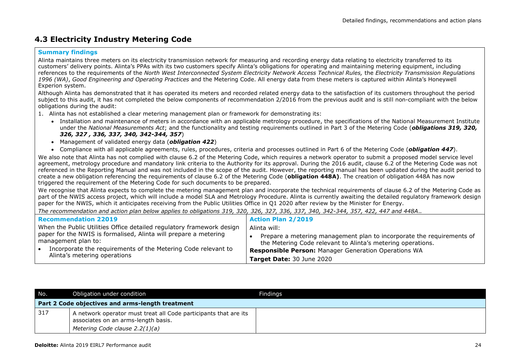### **4.3 Electricity Industry Metering Code**

#### **Summary findings**

Alinta maintains three meters on its electricity transmission network for measuring and recording energy data relating to electricity transferred to its customers' delivery points. Alinta's PPAs with its two customers specify Alinta's obligations for operating and maintaining metering equipment, including references to the requirements of the *North West Interconnected System Electricity Network Access Technical Rules,* the *Electricity Transmission Regulations 1996 (WA)*, *Good Engineering and Operating Practices* and the Metering Code. All energy data from these meters is captured within Alinta's Honeywell Experion system.

Although Alinta has demonstrated that it has operated its meters and recorded related energy data to the satisfaction of its customers throughout the period subject to this audit, it has not completed the below components of recommendation 2/2016 from the previous audit and is still non-compliant with the below obligations during the audit:

- 1. Alinta has not established a clear metering management plan or framework for demonstrating its:
	- Installation and maintenance of meters in accordance with an applicable metrology procedure, the specifications of the National Measurement Institute under the *National Measurements Act*; and the functionality and testing requirements outlined in Part 3 of the Metering Code (*obligations 319, 320, 326, 327 , 336, 337, 340, 342-344, 357*)
	- Management of validated energy data (*obligation 422*)
	- Compliance with all applicable agreements, rules, procedures, criteria and processes outlined in Part 6 of the Metering Code (*obligation 447*).

We also note that Alinta has not complied with clause 6.2 of the Metering Code, which requires a network operator to submit a proposed model service level agreement, metrology procedure and mandatory link criteria to the Authority for its approval. During the 2016 audit, clause 6.2 of the Metering Code was not referenced in the Reporting Manual and was not included in the scope of the audit. However, the reporting manual has been updated during the audit period to create a new obligation referencing the requirements of clause 6.2 of the Metering Code (**obligation 448A)**. The creation of obligation 448A has now triggered the requirement of the Metering Code for such documents to be prepared.

We recognise that Alinta expects to complete the metering management plan and incorporate the technical requirements of clause 6.2 of the Metering Code as part of the NWIS access project, which will include a model SLA and Metrology Procedure. Alinta is currently awaiting the detailed regulatory framework design paper for the NWIS, which it anticipates receiving from the Public Utilities Office in Q1 2020 after review by the Minister for Energy.

*The recommendation and action plan below applies to obligations 319, 320, 326, 327, 336, 337, 340, 342-344, 357, 422, 447 and 448A*.*.* 

| <b>Recommendation 22019</b>                                                             | <b>Action Plan 2/2019</b>                                                                                                            |
|-----------------------------------------------------------------------------------------|--------------------------------------------------------------------------------------------------------------------------------------|
| When the Public Utilities Office detailed regulatory framework design                   | Alinta will:                                                                                                                         |
| paper for the NWIS is formalised, Alinta will prepare a metering<br>management plan to: | Prepare a metering management plan to incorporate the requirements of<br>the Metering Code relevant to Alinta's metering operations. |
| Incorporate the requirements of the Metering Code relevant to                           | <b>Responsible Person: Manager Generation Operations WA</b>                                                                          |
| Alinta's metering operations                                                            | Target Date: 30 June 2020                                                                                                            |

| No. | Obligation under condition                                                                                                                | Findings |
|-----|-------------------------------------------------------------------------------------------------------------------------------------------|----------|
|     | Part 2 Code objectives and arms-length treatment                                                                                          |          |
| 317 | A network operator must treat all Code participants that are its<br>associates on an arms-length basis.<br>Metering Code clause 2.2(1)(a) |          |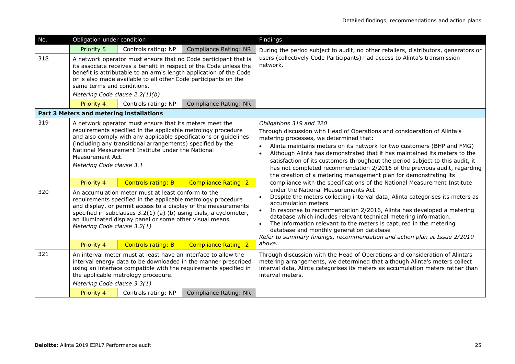| No.        | Obligation under condition                                                                |                                                                                                                                                                                                                                                                                                                                                                                                                                                           |                                                                                                                                                                                                                                        | Findings                                                                                                                                                                                                                                                                                                                                                                                                                                                                                                                                                                                                                                                                                                                                                                                                                                                                                                                                                                                                                                                                                                                   |
|------------|-------------------------------------------------------------------------------------------|-----------------------------------------------------------------------------------------------------------------------------------------------------------------------------------------------------------------------------------------------------------------------------------------------------------------------------------------------------------------------------------------------------------------------------------------------------------|----------------------------------------------------------------------------------------------------------------------------------------------------------------------------------------------------------------------------------------|----------------------------------------------------------------------------------------------------------------------------------------------------------------------------------------------------------------------------------------------------------------------------------------------------------------------------------------------------------------------------------------------------------------------------------------------------------------------------------------------------------------------------------------------------------------------------------------------------------------------------------------------------------------------------------------------------------------------------------------------------------------------------------------------------------------------------------------------------------------------------------------------------------------------------------------------------------------------------------------------------------------------------------------------------------------------------------------------------------------------------|
|            | Priority 5                                                                                | Controls rating: NP                                                                                                                                                                                                                                                                                                                                                                                                                                       | Compliance Rating: NR                                                                                                                                                                                                                  | During the period subject to audit, no other retailers, distributors, generators or                                                                                                                                                                                                                                                                                                                                                                                                                                                                                                                                                                                                                                                                                                                                                                                                                                                                                                                                                                                                                                        |
| 318        | same terms and conditions.<br>Metering Code clause 2.2(1)(b)<br>Priority 4                | or is also made available to all other Code participants on the<br>Controls rating: NP                                                                                                                                                                                                                                                                                                                                                                    | A network operator must ensure that no Code participant that is<br>its associate receives a benefit in respect of the Code unless the<br>benefit is attributable to an arm's length application of the Code<br>Compliance Rating: NR   | users (collectively Code Participants) had access to Alinta's transmission<br>network.                                                                                                                                                                                                                                                                                                                                                                                                                                                                                                                                                                                                                                                                                                                                                                                                                                                                                                                                                                                                                                     |
|            | Part 3 Meters and metering installations                                                  |                                                                                                                                                                                                                                                                                                                                                                                                                                                           |                                                                                                                                                                                                                                        |                                                                                                                                                                                                                                                                                                                                                                                                                                                                                                                                                                                                                                                                                                                                                                                                                                                                                                                                                                                                                                                                                                                            |
| 319<br>320 | Measurement Act.<br>Metering Code clause 3.1<br>Priority 4<br>Metering Code clause 3.2(1) | A network operator must ensure that its meters meet the<br>requirements specified in the applicable metrology procedure<br>(including any transitional arrangements) specified by the<br>National Measurement Institute under the National<br><b>Controls rating: B</b><br>An accumulation meter must at least conform to the<br>requirements specified in the applicable metrology procedure<br>an illuminated display panel or some other visual means. | and also comply with any applicable specifications or guidelines<br><b>Compliance Rating: 2</b><br>and display, or permit access to a display of the measurements<br>specified in subclauses 3.2(1) (a) (b) using dials, a cyclometer, | Obligations 319 and 320<br>Through discussion with Head of Operations and consideration of Alinta's<br>metering processes, we determined that:<br>Alinta maintains meters on its network for two customers (BHP and FMG)<br>Although Alinta has demonstrated that it has maintained its meters to the<br>$\bullet$<br>satisfaction of its customers throughout the period subject to this audit, it<br>has not completed recommendation 2/2016 of the previous audit, regarding<br>the creation of a metering management plan for demonstrating its<br>compliance with the specifications of the National Measurement Institute<br>under the National Measurements Act<br>Despite the meters collecting interval data, Alinta categorises its meters as<br>accumulation meters<br>In response to recommendation 2/2016, Alinta has developed a metering<br>database which includes relevant technical metering information.<br>The information relevant to the meters is captured in the metering<br>database and monthly generation database<br>Refer to summary findings, recommendation and action plan at Issue 2/2019 |
|            | Priority 4                                                                                | <b>Controls rating: B</b>                                                                                                                                                                                                                                                                                                                                                                                                                                 | <b>Compliance Rating: 2</b>                                                                                                                                                                                                            | above.                                                                                                                                                                                                                                                                                                                                                                                                                                                                                                                                                                                                                                                                                                                                                                                                                                                                                                                                                                                                                                                                                                                     |
| 321        | Metering Code clause 3.3(1)                                                               | An interval meter must at least have an interface to allow the<br>the applicable metrology procedure.                                                                                                                                                                                                                                                                                                                                                     | interval energy data to be downloaded in the manner prescribed<br>using an interface compatible with the requirements specified in                                                                                                     | Through discussion with the Head of Operations and consideration of Alinta's<br>metering arrangements, we determined that although Alinta's meters collect<br>interval data, Alinta categorises its meters as accumulation meters rather than<br>interval meters.                                                                                                                                                                                                                                                                                                                                                                                                                                                                                                                                                                                                                                                                                                                                                                                                                                                          |
|            | Priority 4                                                                                | Controls rating: NP                                                                                                                                                                                                                                                                                                                                                                                                                                       | Compliance Rating: NR                                                                                                                                                                                                                  |                                                                                                                                                                                                                                                                                                                                                                                                                                                                                                                                                                                                                                                                                                                                                                                                                                                                                                                                                                                                                                                                                                                            |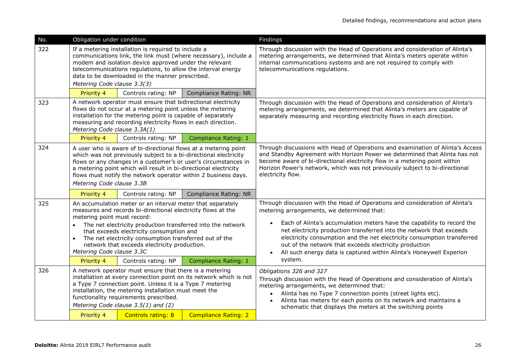|                                                                                                                                                                                                                                                                                                                                                                                                                                       | Obligation under condition |                                                                                  | Findings                                                                                                                                                                                                                                                                                                                                                                                                                                                                                            |
|---------------------------------------------------------------------------------------------------------------------------------------------------------------------------------------------------------------------------------------------------------------------------------------------------------------------------------------------------------------------------------------------------------------------------------------|----------------------------|----------------------------------------------------------------------------------|-----------------------------------------------------------------------------------------------------------------------------------------------------------------------------------------------------------------------------------------------------------------------------------------------------------------------------------------------------------------------------------------------------------------------------------------------------------------------------------------------------|
| If a metering installation is required to include a<br>communications link, the link must (where necessary), include a<br>modem and isolation device approved under the relevant<br>telecommunications regulations, to allow the interval energy<br>data to be downloaded in the manner prescribed.<br>Metering Code clause 3.3(3)                                                                                                    |                            |                                                                                  | Through discussion with the Head of Operations and consideration of Alinta's<br>metering arrangements, we determined that Alinta's meters operate within<br>internal communications systems and are not required to comply with<br>telecommunications regulations.                                                                                                                                                                                                                                  |
| Priority 4                                                                                                                                                                                                                                                                                                                                                                                                                            | Controls rating: NP        | <b>Compliance Rating: NR</b>                                                     |                                                                                                                                                                                                                                                                                                                                                                                                                                                                                                     |
| A network operator must ensure that bidirectional electricity<br>flows do not occur at a metering point unless the metering<br>installation for the metering point is capable of separately<br>measuring and recording electricity flows in each direction.                                                                                                                                                                           |                            |                                                                                  | Through discussion with the Head of Operations and consideration of Alinta's<br>metering arrangements, we determined that Alinta's meters are capable of<br>separately measuring and recording electricity flows in each direction.                                                                                                                                                                                                                                                                 |
| Priority 4                                                                                                                                                                                                                                                                                                                                                                                                                            | Controls rating: NP        | <b>Compliance Rating: 1</b>                                                      |                                                                                                                                                                                                                                                                                                                                                                                                                                                                                                     |
| A user who is aware of bi-directional flows at a metering point<br>which was not previously subject to a bi-directional electricity<br>flows or any changes in a customer's or user's circumstances in<br>a metering point which will result in bi-directional electricity<br>flows must notify the network operator within 2 business days.<br>Metering Code clause 3.3B                                                             |                            |                                                                                  | Through discussions with Head of Operations and examination of Alinta's Access<br>and Standby Agreement with Horizon Power we determined that Alinta has not<br>become aware of bi-directional electricity flow in a metering point within<br>Horizon Power's network, which was not previously subject to bi-directional<br>electricity flow.                                                                                                                                                      |
| Priority 4                                                                                                                                                                                                                                                                                                                                                                                                                            | Controls rating: NP        | <b>Compliance Rating: NR</b>                                                     |                                                                                                                                                                                                                                                                                                                                                                                                                                                                                                     |
| An accumulation meter or an interval meter that separately<br>measures and records bi-directional electricity flows at the<br>metering point must record:<br>The net electricity production transferred into the network<br>$\bullet$<br>that exceeds electricity consumption and<br>The net electricity consumption transferred out of the<br>$\bullet$<br>network that exceeds electricity production.<br>Metering Code clause 3.3C |                            |                                                                                  | Through discussion with the Head of Operations and consideration of Alinta's<br>metering arrangements, we determined that:<br>Each of Alinta's accumulation meters have the capability to record the<br>net electricity production transferred into the network that exceeds<br>electricity consumption and the net electricity consumption transferred<br>out of the network that exceeds electricity production<br>All such energy data is captured within Alinta's Honeywell Experion<br>system. |
|                                                                                                                                                                                                                                                                                                                                                                                                                                       |                            |                                                                                  |                                                                                                                                                                                                                                                                                                                                                                                                                                                                                                     |
| A network operator must ensure that there is a metering<br>installation at every connection point on its network which is not<br>a Type 7 connection point. Unless it is a Type 7 metering<br>installation, the metering installation must meet the<br>functionality requirements prescribed.<br>Metering Code clause 3.5(1) and (2)                                                                                                  |                            |                                                                                  | Obligations 326 and 327<br>Through discussion with the Head of Operations and consideration of Alinta's<br>metering arrangements, we determined that:<br>Alinta has no Type 7 connection points (street lights etc).<br>$\bullet$<br>Alinta has meters for each points on its network and maintains a<br>$\bullet$<br>schematic that displays the meters at the switching points                                                                                                                    |
|                                                                                                                                                                                                                                                                                                                                                                                                                                       | Priority 4<br>Priority 4   | Metering Code clause 3.3A(1)<br>Controls rating: NP<br><b>Controls rating: B</b> | <b>Compliance Rating: 1</b><br><b>Compliance Rating: 2</b>                                                                                                                                                                                                                                                                                                                                                                                                                                          |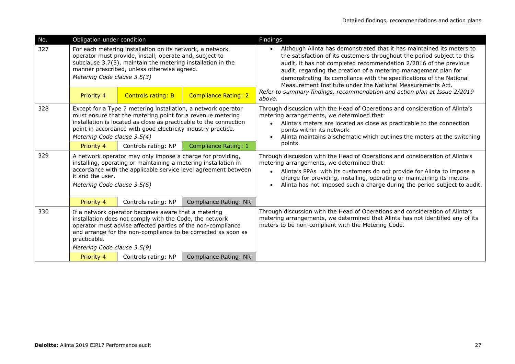| No.                                                                                                                                                                                                                                                                     | Obligation under condition                                                                                                                                                                                                                                                                      |                           |                              | Findings                                                                                                                                                                                                                                                                                                                                                                                                                                    |
|-------------------------------------------------------------------------------------------------------------------------------------------------------------------------------------------------------------------------------------------------------------------------|-------------------------------------------------------------------------------------------------------------------------------------------------------------------------------------------------------------------------------------------------------------------------------------------------|---------------------------|------------------------------|---------------------------------------------------------------------------------------------------------------------------------------------------------------------------------------------------------------------------------------------------------------------------------------------------------------------------------------------------------------------------------------------------------------------------------------------|
| 327<br>For each metering installation on its network, a network<br>operator must provide, install, operate and, subject to<br>subclause 3.7(5), maintain the metering installation in the<br>manner prescribed, unless otherwise agreed.<br>Metering Code clause 3.5(3) |                                                                                                                                                                                                                                                                                                 |                           |                              | Although Alinta has demonstrated that it has maintained its meters to<br>$\bullet$<br>the satisfaction of its customers throughout the period subject to this<br>audit, it has not completed recommendation 2/2016 of the previous<br>audit, regarding the creation of a metering management plan for<br>demonstrating its compliance with the specifications of the National<br>Measurement Institute under the National Measurements Act. |
|                                                                                                                                                                                                                                                                         | Priority 4                                                                                                                                                                                                                                                                                      | <b>Controls rating: B</b> | <b>Compliance Rating: 2</b>  | Refer to summary findings, recommendation and action plan at Issue 2/2019<br>above.                                                                                                                                                                                                                                                                                                                                                         |
| 328                                                                                                                                                                                                                                                                     | Except for a Type 7 metering installation, a network operator<br>must ensure that the metering point for a revenue metering<br>installation is located as close as practicable to the connection<br>point in accordance with good electricity industry practice.<br>Metering Code clause 3.5(4) |                           |                              | Through discussion with the Head of Operations and consideration of Alinta's<br>metering arrangements, we determined that:<br>Alinta's meters are located as close as practicable to the connection<br>points within its network<br>Alinta maintains a schematic which outlines the meters at the switching                                                                                                                                 |
|                                                                                                                                                                                                                                                                         | Priority 4                                                                                                                                                                                                                                                                                      | Controls rating: NP       | <b>Compliance Rating: 1</b>  | points.                                                                                                                                                                                                                                                                                                                                                                                                                                     |
| 329                                                                                                                                                                                                                                                                     | A network operator may only impose a charge for providing,<br>installing, operating or maintaining a metering installation in<br>accordance with the applicable service level agreement between<br>it and the user.<br>Metering Code clause 3.5(6)                                              |                           |                              | Through discussion with the Head of Operations and consideration of Alinta's<br>metering arrangements, we determined that:<br>Alinta's PPAs with its customers do not provide for Alinta to impose a<br>charge for providing, installing, operating or maintaining its meters<br>Alinta has not imposed such a charge during the period subject to audit.                                                                                   |
|                                                                                                                                                                                                                                                                         | Priority 4                                                                                                                                                                                                                                                                                      | Controls rating: NP       | <b>Compliance Rating: NR</b> |                                                                                                                                                                                                                                                                                                                                                                                                                                             |
| 330                                                                                                                                                                                                                                                                     | If a network operator becomes aware that a metering<br>installation does not comply with the Code, the network<br>operator must advise affected parties of the non-compliance<br>and arrange for the non-compliance to be corrected as soon as<br>practicable.                                  |                           |                              | Through discussion with the Head of Operations and consideration of Alinta's<br>metering arrangements, we determined that Alinta has not identified any of its<br>meters to be non-compliant with the Metering Code.                                                                                                                                                                                                                        |
|                                                                                                                                                                                                                                                                         | Metering Code clause 3.5(9)<br>Priority 4                                                                                                                                                                                                                                                       | Controls rating: NP       | Compliance Rating: NR        |                                                                                                                                                                                                                                                                                                                                                                                                                                             |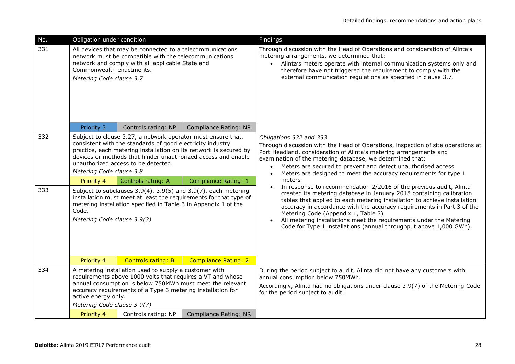| No.        | Obligation under condition                                                                                                                                                                                                                                                                                                                                                                                                                                                                                                                                                                                                                        |                     |                              | Findings                                                                                                                                                                                                                                                                                                                                                                                                                                                                                                                                                                                                                                                                                                                                                                                                                                  |
|------------|---------------------------------------------------------------------------------------------------------------------------------------------------------------------------------------------------------------------------------------------------------------------------------------------------------------------------------------------------------------------------------------------------------------------------------------------------------------------------------------------------------------------------------------------------------------------------------------------------------------------------------------------------|---------------------|------------------------------|-------------------------------------------------------------------------------------------------------------------------------------------------------------------------------------------------------------------------------------------------------------------------------------------------------------------------------------------------------------------------------------------------------------------------------------------------------------------------------------------------------------------------------------------------------------------------------------------------------------------------------------------------------------------------------------------------------------------------------------------------------------------------------------------------------------------------------------------|
| 331        | All devices that may be connected to a telecommunications<br>network must be compatible with the telecommunications<br>network and comply with all applicable State and<br>Commonwealth enactments.<br>Metering Code clause 3.7                                                                                                                                                                                                                                                                                                                                                                                                                   |                     |                              | Through discussion with the Head of Operations and consideration of Alinta's<br>metering arrangements, we determined that:<br>• Alinta's meters operate with internal communication systems only and<br>therefore have not triggered the requirement to comply with the<br>external communication regulations as specified in clause 3.7.                                                                                                                                                                                                                                                                                                                                                                                                                                                                                                 |
|            | Priority 3                                                                                                                                                                                                                                                                                                                                                                                                                                                                                                                                                                                                                                        | Controls rating: NP | <b>Compliance Rating: NR</b> |                                                                                                                                                                                                                                                                                                                                                                                                                                                                                                                                                                                                                                                                                                                                                                                                                                           |
| 332<br>333 | Subject to clause 3.27, a network operator must ensure that,<br>consistent with the standards of good electricity industry<br>practice, each metering installation on its network is secured by<br>devices or methods that hinder unauthorized access and enable<br>unauthorized access to be detected.<br>Metering Code clause 3.8<br>Compliance Rating: 1<br>Priority 4<br>Controls rating: A<br>Subject to subclauses 3.9(4), 3.9(5) and 3.9(7), each metering<br>installation must meet at least the requirements for that type of<br>metering installation specified in Table 3 in Appendix 1 of the<br>Code.<br>Metering Code clause 3.9(3) |                     |                              | Obligations 332 and 333<br>Through discussion with the Head of Operations, inspection of site operations at<br>Port Headland, consideration of Alinta's metering arrangements and<br>examination of the metering database, we determined that:<br>Meters are secured to prevent and detect unauthorised access<br>$\bullet$<br>Meters are designed to meet the accuracy requirements for type 1<br>$\bullet$<br>meters<br>In response to recommendation 2/2016 of the previous audit, Alinta<br>created its metering database in January 2018 containing calibration<br>tables that applied to each metering installation to achieve installation<br>accuracy in accordance with the accuracy requirements in Part 3 of the<br>Metering Code (Appendix 1, Table 3)<br>All metering installations meet the requirements under the Metering |
|            | Priority 4                                                                                                                                                                                                                                                                                                                                                                                                                                                                                                                                                                                                                                        | Controls rating: B  | <b>Compliance Rating: 2</b>  | Code for Type 1 installations (annual throughput above 1,000 GWh).                                                                                                                                                                                                                                                                                                                                                                                                                                                                                                                                                                                                                                                                                                                                                                        |
| 334        | A metering installation used to supply a customer with<br>requirements above 1000 volts that requires a VT and whose<br>annual consumption is below 750MWh must meet the relevant<br>accuracy requirements of a Type 3 metering installation for<br>active energy only.<br>Metering Code clause 3.9(7)                                                                                                                                                                                                                                                                                                                                            |                     |                              | During the period subject to audit, Alinta did not have any customers with<br>annual consumption below 750MWh.<br>Accordingly, Alinta had no obligations under clause 3.9(7) of the Metering Code<br>for the period subject to audit.                                                                                                                                                                                                                                                                                                                                                                                                                                                                                                                                                                                                     |
|            | Priority 4                                                                                                                                                                                                                                                                                                                                                                                                                                                                                                                                                                                                                                        | Controls rating: NP | <b>Compliance Rating: NR</b> |                                                                                                                                                                                                                                                                                                                                                                                                                                                                                                                                                                                                                                                                                                                                                                                                                                           |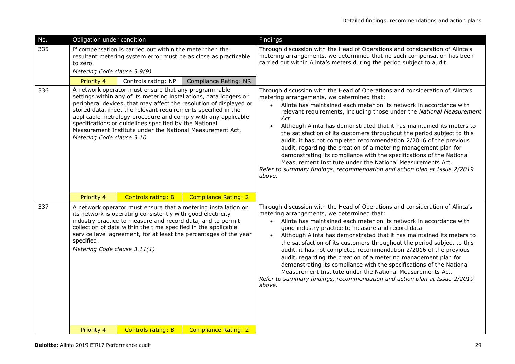| No. | Obligation under condition                                                                                                                                                                                                                                                                                                                                                                                                                                                            |                           |                              | Findings                                                                                                                                                                                                                                                                                                                                                                                                                                                                                                                                                                                                                                                                                                                                                                                                                            |
|-----|---------------------------------------------------------------------------------------------------------------------------------------------------------------------------------------------------------------------------------------------------------------------------------------------------------------------------------------------------------------------------------------------------------------------------------------------------------------------------------------|---------------------------|------------------------------|-------------------------------------------------------------------------------------------------------------------------------------------------------------------------------------------------------------------------------------------------------------------------------------------------------------------------------------------------------------------------------------------------------------------------------------------------------------------------------------------------------------------------------------------------------------------------------------------------------------------------------------------------------------------------------------------------------------------------------------------------------------------------------------------------------------------------------------|
| 335 | If compensation is carried out within the meter then the<br>resultant metering system error must be as close as practicable<br>to zero.<br>Metering Code clause 3.9(9)                                                                                                                                                                                                                                                                                                                |                           |                              | Through discussion with the Head of Operations and consideration of Alinta's<br>metering arrangements, we determined that no such compensation has been<br>carried out within Alinta's meters during the period subject to audit.                                                                                                                                                                                                                                                                                                                                                                                                                                                                                                                                                                                                   |
|     | Priority 4                                                                                                                                                                                                                                                                                                                                                                                                                                                                            | Controls rating: NP       | <b>Compliance Rating: NR</b> |                                                                                                                                                                                                                                                                                                                                                                                                                                                                                                                                                                                                                                                                                                                                                                                                                                     |
| 336 | A network operator must ensure that any programmable<br>settings within any of its metering installations, data loggers or<br>peripheral devices, that may affect the resolution of displayed or<br>stored data, meet the relevant requirements specified in the<br>applicable metrology procedure and comply with any applicable<br>specifications or guidelines specified by the National<br>Measurement Institute under the National Measurement Act.<br>Metering Code clause 3.10 |                           |                              | Through discussion with the Head of Operations and consideration of Alinta's<br>metering arrangements, we determined that:<br>Alinta has maintained each meter on its network in accordance with<br>$\bullet$<br>relevant requirements, including those under the National Measurement<br>Act<br>Although Alinta has demonstrated that it has maintained its meters to<br>$\bullet$<br>the satisfaction of its customers throughout the period subject to this<br>audit, it has not completed recommendation 2/2016 of the previous<br>audit, regarding the creation of a metering management plan for<br>demonstrating its compliance with the specifications of the National<br>Measurement Institute under the National Measurements Act.<br>Refer to summary findings, recommendation and action plan at Issue 2/2019<br>above. |
|     | Priority 4                                                                                                                                                                                                                                                                                                                                                                                                                                                                            | <b>Controls rating: B</b> | <b>Compliance Rating: 2</b>  |                                                                                                                                                                                                                                                                                                                                                                                                                                                                                                                                                                                                                                                                                                                                                                                                                                     |
| 337 | A network operator must ensure that a metering installation on<br>its network is operating consistently with good electricity<br>industry practice to measure and record data, and to permit<br>collection of data within the time specified in the applicable<br>service level agreement, for at least the percentages of the year<br>specified.<br>Metering Code clause 3.11(1)                                                                                                     |                           |                              | Through discussion with the Head of Operations and consideration of Alinta's<br>metering arrangements, we determined that:<br>• Alinta has maintained each meter on its network in accordance with<br>good industry practice to measure and record data<br>Although Alinta has demonstrated that it has maintained its meters to<br>$\bullet$<br>the satisfaction of its customers throughout the period subject to this<br>audit, it has not completed recommendation 2/2016 of the previous<br>audit, regarding the creation of a metering management plan for<br>demonstrating its compliance with the specifications of the National<br>Measurement Institute under the National Measurements Act.<br>Refer to summary findings, recommendation and action plan at Issue 2/2019<br>above.                                       |
|     | Priority 4                                                                                                                                                                                                                                                                                                                                                                                                                                                                            | <b>Controls rating: B</b> | <b>Compliance Rating: 2</b>  |                                                                                                                                                                                                                                                                                                                                                                                                                                                                                                                                                                                                                                                                                                                                                                                                                                     |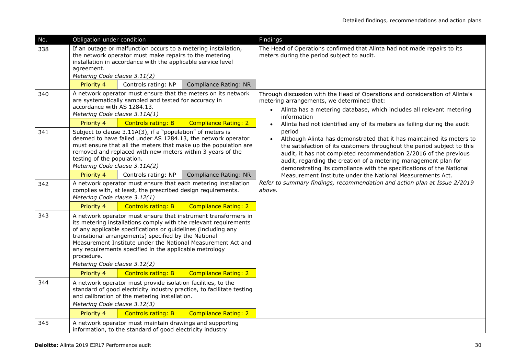| No. | Obligation under condition                                                                                                                                                                                                                                                                                                                                                                                                          |                                                                                                                       |                                                               | Findings                                                                                                                                                                                                                                                                                                                                                                   |
|-----|-------------------------------------------------------------------------------------------------------------------------------------------------------------------------------------------------------------------------------------------------------------------------------------------------------------------------------------------------------------------------------------------------------------------------------------|-----------------------------------------------------------------------------------------------------------------------|---------------------------------------------------------------|----------------------------------------------------------------------------------------------------------------------------------------------------------------------------------------------------------------------------------------------------------------------------------------------------------------------------------------------------------------------------|
| 338 | If an outage or malfunction occurs to a metering installation,<br>the network operator must make repairs to the metering<br>installation in accordance with the applicable service level<br>agreement.<br>Metering Code clause 3.11(2)                                                                                                                                                                                              |                                                                                                                       |                                                               | The Head of Operations confirmed that Alinta had not made repairs to its<br>meters during the period subject to audit.                                                                                                                                                                                                                                                     |
|     | Priority 4                                                                                                                                                                                                                                                                                                                                                                                                                          | Controls rating: NP                                                                                                   | Compliance Rating: NR                                         |                                                                                                                                                                                                                                                                                                                                                                            |
| 340 | accordance with AS 1284.13.<br>Metering Code clause 3.11A(1)                                                                                                                                                                                                                                                                                                                                                                        | are systematically sampled and tested for accuracy in                                                                 | A network operator must ensure that the meters on its network | Through discussion with the Head of Operations and consideration of Alinta's<br>metering arrangements, we determined that:<br>Alinta has a metering database, which includes all relevant metering<br>$\bullet$<br>information                                                                                                                                             |
|     | Priority 4                                                                                                                                                                                                                                                                                                                                                                                                                          | <b>Controls rating: B</b>                                                                                             | <b>Compliance Rating: 2</b>                                   | Alinta had not identified any of its meters as failing during the audit<br>$\bullet$                                                                                                                                                                                                                                                                                       |
| 341 | Subject to clause 3.11A(3), if a "population" of meters is<br>deemed to have failed under AS 1284.13, the network operator<br>must ensure that all the meters that make up the population are<br>removed and replaced with new meters within 3 years of the<br>testing of the population.<br>Metering Code clause 3.11A(2)                                                                                                          |                                                                                                                       |                                                               | period<br>Although Alinta has demonstrated that it has maintained its meters to<br>the satisfaction of its customers throughout the period subject to this<br>audit, it has not completed recommendation 2/2016 of the previous<br>audit, regarding the creation of a metering management plan for<br>demonstrating its compliance with the specifications of the National |
|     | Priority 4                                                                                                                                                                                                                                                                                                                                                                                                                          | Controls rating: NP                                                                                                   | Compliance Rating: NR                                         | Measurement Institute under the National Measurements Act.                                                                                                                                                                                                                                                                                                                 |
| 342 | A network operator must ensure that each metering installation<br>complies with, at least, the prescribed design requirements.<br>Metering Code clause 3.12(1)                                                                                                                                                                                                                                                                      |                                                                                                                       |                                                               | Refer to summary findings, recommendation and action plan at Issue 2/2019<br>above.                                                                                                                                                                                                                                                                                        |
|     | Priority 4                                                                                                                                                                                                                                                                                                                                                                                                                          | <b>Controls rating: B</b>                                                                                             | <b>Compliance Rating: 2</b>                                   |                                                                                                                                                                                                                                                                                                                                                                            |
| 343 | A network operator must ensure that instrument transformers in<br>its metering installations comply with the relevant requirements<br>of any applicable specifications or guidelines (including any<br>transitional arrangements) specified by the National<br>Measurement Institute under the National Measurement Act and<br>any requirements specified in the applicable metrology<br>procedure.<br>Metering Code clause 3.12(2) |                                                                                                                       |                                                               |                                                                                                                                                                                                                                                                                                                                                                            |
|     | Priority 4                                                                                                                                                                                                                                                                                                                                                                                                                          | <b>Controls rating: B</b>                                                                                             | <b>Compliance Rating: 2</b>                                   |                                                                                                                                                                                                                                                                                                                                                                            |
| 344 | A network operator must provide isolation facilities, to the<br>standard of good electricity industry practice, to facilitate testing<br>and calibration of the metering installation.<br>Metering Code clause 3.12(3)                                                                                                                                                                                                              |                                                                                                                       |                                                               |                                                                                                                                                                                                                                                                                                                                                                            |
|     | Priority 4                                                                                                                                                                                                                                                                                                                                                                                                                          | <b>Controls rating: B</b>                                                                                             | <b>Compliance Rating: 2</b>                                   |                                                                                                                                                                                                                                                                                                                                                                            |
| 345 |                                                                                                                                                                                                                                                                                                                                                                                                                                     | A network operator must maintain drawings and supporting<br>information, to the standard of good electricity industry |                                                               |                                                                                                                                                                                                                                                                                                                                                                            |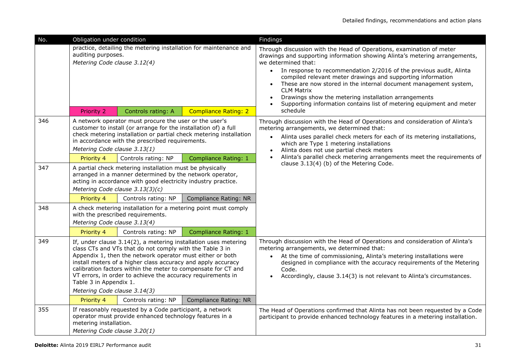| No. | Obligation under condition                                                                                                                                                                                                                                                                                                                                                                                                                         |                                                                                                                     |                                                                | Findings                                                                                                                                                                                                                                                                                                                                                                                                                                                                                                                                                          |
|-----|----------------------------------------------------------------------------------------------------------------------------------------------------------------------------------------------------------------------------------------------------------------------------------------------------------------------------------------------------------------------------------------------------------------------------------------------------|---------------------------------------------------------------------------------------------------------------------|----------------------------------------------------------------|-------------------------------------------------------------------------------------------------------------------------------------------------------------------------------------------------------------------------------------------------------------------------------------------------------------------------------------------------------------------------------------------------------------------------------------------------------------------------------------------------------------------------------------------------------------------|
|     | practice, detailing the metering installation for maintenance and<br>auditing purposes.<br>Metering Code clause 3.12(4)<br><b>Compliance Rating: 2</b><br>Priority 2<br>Controls rating: A                                                                                                                                                                                                                                                         |                                                                                                                     |                                                                | Through discussion with the Head of Operations, examination of meter<br>drawings and supporting information showing Alinta's metering arrangements,<br>we determined that:<br>In response to recommendation 2/2016 of the previous audit, Alinta<br>compiled relevant meter drawings and supporting information<br>These are now stored in the internal document management system,<br>$\bullet$<br><b>CLM Matrix</b><br>Drawings show the metering installation arrangements<br>Supporting information contains list of metering equipment and meter<br>schedule |
| 346 | A network operator must procure the user or the user's<br>customer to install (or arrange for the installation of) a full<br>check metering installation or partial check metering installation<br>in accordance with the prescribed requirements.<br>Metering Code clause 3.13(1)                                                                                                                                                                 |                                                                                                                     |                                                                | Through discussion with the Head of Operations and consideration of Alinta's<br>metering arrangements, we determined that:<br>Alinta uses parallel check meters for each of its metering installations,<br>$\bullet$<br>which are Type 1 metering installations<br>Alinta does not use partial check meters                                                                                                                                                                                                                                                       |
|     | Priority 4                                                                                                                                                                                                                                                                                                                                                                                                                                         | Controls rating: NP                                                                                                 | <b>Compliance Rating: 1</b>                                    | Alinta's parallel check metering arrangements meet the requirements of                                                                                                                                                                                                                                                                                                                                                                                                                                                                                            |
| 347 | A partial check metering installation must be physically<br>arranged in a manner determined by the network operator,<br>acting in accordance with good electricity industry practice.<br>Metering Code clause 3.13(3)(c)                                                                                                                                                                                                                           |                                                                                                                     |                                                                | clause 3.13(4) (b) of the Metering Code.                                                                                                                                                                                                                                                                                                                                                                                                                                                                                                                          |
|     | Priority 4                                                                                                                                                                                                                                                                                                                                                                                                                                         | Controls rating: NP                                                                                                 | Compliance Rating: NR                                          |                                                                                                                                                                                                                                                                                                                                                                                                                                                                                                                                                                   |
| 348 | Metering Code clause 3.13(4)                                                                                                                                                                                                                                                                                                                                                                                                                       | with the prescribed requirements.                                                                                   | A check metering installation for a metering point must comply |                                                                                                                                                                                                                                                                                                                                                                                                                                                                                                                                                                   |
|     | Priority 4                                                                                                                                                                                                                                                                                                                                                                                                                                         | Controls rating: NP                                                                                                 | Compliance Rating: 1                                           |                                                                                                                                                                                                                                                                                                                                                                                                                                                                                                                                                                   |
| 349 | If, under clause 3.14(2), a metering installation uses metering<br>class CTs and VTs that do not comply with the Table 3 in<br>Appendix 1, then the network operator must either or both<br>install meters of a higher class accuracy and apply accuracy<br>calibration factors within the meter to compensate for CT and<br>VT errors, in order to achieve the accuracy requirements in<br>Table 3 in Appendix 1.<br>Metering Code clause 3.14(3) |                                                                                                                     |                                                                | Through discussion with the Head of Operations and consideration of Alinta's<br>metering arrangements, we determined that:<br>At the time of commissioning, Alinta's metering installations were<br>designed in compliance with the accuracy requirements of the Metering<br>Code.<br>Accordingly, clause 3.14(3) is not relevant to Alinta's circumstances.                                                                                                                                                                                                      |
|     | Priority 4                                                                                                                                                                                                                                                                                                                                                                                                                                         | Controls rating: NP                                                                                                 | <b>Compliance Rating: NR</b>                                   |                                                                                                                                                                                                                                                                                                                                                                                                                                                                                                                                                                   |
| 355 | metering installation.<br>Metering Code clause 3.20(1)                                                                                                                                                                                                                                                                                                                                                                                             | If reasonably requested by a Code participant, a network<br>operator must provide enhanced technology features in a |                                                                | The Head of Operations confirmed that Alinta has not been requested by a Code<br>participant to provide enhanced technology features in a metering installation.                                                                                                                                                                                                                                                                                                                                                                                                  |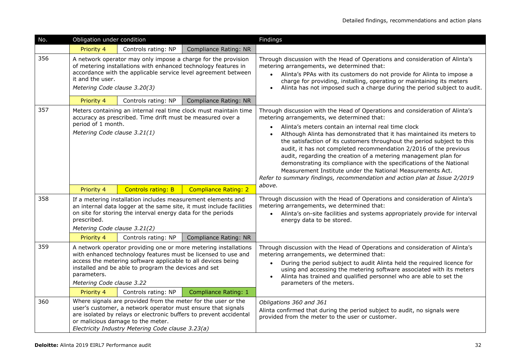| No. | Obligation under condition                                                                                                                                                                                                                                                                           |                                                                                                                                                                                                                         |                                                                    | Findings                                                                                                                                                                                                                                                                                                                                                                                                                                                                                                                                                                                                                                                                                                   |
|-----|------------------------------------------------------------------------------------------------------------------------------------------------------------------------------------------------------------------------------------------------------------------------------------------------------|-------------------------------------------------------------------------------------------------------------------------------------------------------------------------------------------------------------------------|--------------------------------------------------------------------|------------------------------------------------------------------------------------------------------------------------------------------------------------------------------------------------------------------------------------------------------------------------------------------------------------------------------------------------------------------------------------------------------------------------------------------------------------------------------------------------------------------------------------------------------------------------------------------------------------------------------------------------------------------------------------------------------------|
|     | Priority 4                                                                                                                                                                                                                                                                                           | Controls rating: NP                                                                                                                                                                                                     | <b>Compliance Rating: NR</b>                                       |                                                                                                                                                                                                                                                                                                                                                                                                                                                                                                                                                                                                                                                                                                            |
| 356 | A network operator may only impose a charge for the provision<br>of metering installations with enhanced technology features in<br>accordance with the applicable service level agreement between<br>it and the user.<br>Metering Code clause 3.20(3)                                                |                                                                                                                                                                                                                         |                                                                    | Through discussion with the Head of Operations and consideration of Alinta's<br>metering arrangements, we determined that:<br>Alinta's PPAs with its customers do not provide for Alinta to impose a<br>charge for providing, installing, operating or maintaining its meters<br>Alinta has not imposed such a charge during the period subject to audit.                                                                                                                                                                                                                                                                                                                                                  |
|     | Priority 4                                                                                                                                                                                                                                                                                           | Controls rating: NP                                                                                                                                                                                                     | <b>Compliance Rating: NR</b>                                       |                                                                                                                                                                                                                                                                                                                                                                                                                                                                                                                                                                                                                                                                                                            |
| 357 | Meters containing an internal real time clock must maintain time<br>accuracy as prescribed. Time drift must be measured over a<br>period of 1 month.<br>Metering Code clause 3.21(1)                                                                                                                 |                                                                                                                                                                                                                         |                                                                    | Through discussion with the Head of Operations and consideration of Alinta's<br>metering arrangements, we determined that:<br>Alinta's meters contain an internal real time clock<br>Although Alinta has demonstrated that it has maintained its meters to<br>the satisfaction of its customers throughout the period subject to this<br>audit, it has not completed recommendation 2/2016 of the previous<br>audit, regarding the creation of a metering management plan for<br>demonstrating its compliance with the specifications of the National<br>Measurement Institute under the National Measurements Act.<br>Refer to summary findings, recommendation and action plan at Issue 2/2019<br>above. |
|     | Priority 4                                                                                                                                                                                                                                                                                           | <b>Controls rating: B</b>                                                                                                                                                                                               | <b>Compliance Rating: 2</b>                                        |                                                                                                                                                                                                                                                                                                                                                                                                                                                                                                                                                                                                                                                                                                            |
| 358 | If a metering installation includes measurement elements and<br>an internal data logger at the same site, it must include facilities<br>on site for storing the interval energy data for the periods<br>prescribed.<br>Metering Code clause 3.21(2)                                                  |                                                                                                                                                                                                                         |                                                                    | Through discussion with the Head of Operations and consideration of Alinta's<br>metering arrangements, we determined that:<br>Alinta's on-site facilities and systems appropriately provide for interval<br>energy data to be stored.                                                                                                                                                                                                                                                                                                                                                                                                                                                                      |
|     | Priority 4                                                                                                                                                                                                                                                                                           | Controls rating: NP                                                                                                                                                                                                     | <b>Compliance Rating: NR</b>                                       |                                                                                                                                                                                                                                                                                                                                                                                                                                                                                                                                                                                                                                                                                                            |
| 359 | A network operator providing one or more metering installations<br>with enhanced technology features must be licensed to use and<br>access the metering software applicable to all devices being<br>installed and be able to program the devices and set<br>parameters.<br>Metering Code clause 3.22 |                                                                                                                                                                                                                         |                                                                    | Through discussion with the Head of Operations and consideration of Alinta's<br>metering arrangements, we determined that:<br>During the period subject to audit Alinta held the required licence for<br>using and accessing the metering software associated with its meters<br>Alinta has trained and qualified personnel who are able to set the<br>parameters of the meters.                                                                                                                                                                                                                                                                                                                           |
|     | Priority 4                                                                                                                                                                                                                                                                                           | Controls rating: NP                                                                                                                                                                                                     | <b>Compliance Rating: 1</b>                                        |                                                                                                                                                                                                                                                                                                                                                                                                                                                                                                                                                                                                                                                                                                            |
| 360 |                                                                                                                                                                                                                                                                                                      | Where signals are provided from the meter for the user or the<br>user's customer, a network operator must ensure that signals<br>or malicious damage to the meter.<br>Electricity Industry Metering Code clause 3.23(a) | are isolated by relays or electronic buffers to prevent accidental | Obligations 360 and 361<br>Alinta confirmed that during the period subject to audit, no signals were<br>provided from the meter to the user or customer.                                                                                                                                                                                                                                                                                                                                                                                                                                                                                                                                                   |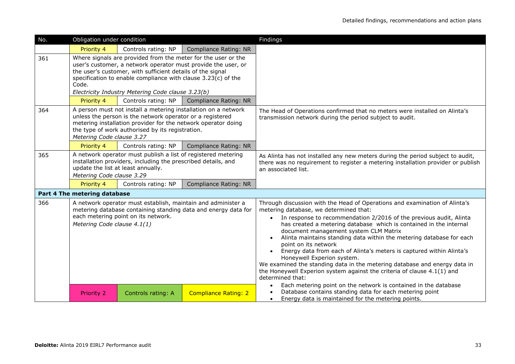| No. | Obligation under condition                                                                                                                                                                                                                                                                                                  |                     |                              | Findings                                                                                                                                                                                                                                                                                                                                                                                                                                                                                                                                                                                                                                                                                                                                                                    |
|-----|-----------------------------------------------------------------------------------------------------------------------------------------------------------------------------------------------------------------------------------------------------------------------------------------------------------------------------|---------------------|------------------------------|-----------------------------------------------------------------------------------------------------------------------------------------------------------------------------------------------------------------------------------------------------------------------------------------------------------------------------------------------------------------------------------------------------------------------------------------------------------------------------------------------------------------------------------------------------------------------------------------------------------------------------------------------------------------------------------------------------------------------------------------------------------------------------|
|     | Priority 4                                                                                                                                                                                                                                                                                                                  | Controls rating: NP | <b>Compliance Rating: NR</b> |                                                                                                                                                                                                                                                                                                                                                                                                                                                                                                                                                                                                                                                                                                                                                                             |
| 361 | Where signals are provided from the meter for the user or the<br>user's customer, a network operator must provide the user, or<br>the user's customer, with sufficient details of the signal<br>specification to enable compliance with clause 3.23(c) of the<br>Code.<br>Electricity Industry Metering Code clause 3.23(b) |                     |                              |                                                                                                                                                                                                                                                                                                                                                                                                                                                                                                                                                                                                                                                                                                                                                                             |
|     | Priority 4                                                                                                                                                                                                                                                                                                                  | Controls rating: NP | <b>Compliance Rating: NR</b> |                                                                                                                                                                                                                                                                                                                                                                                                                                                                                                                                                                                                                                                                                                                                                                             |
| 364 | A person must not install a metering installation on a network<br>unless the person is the network operator or a registered<br>metering installation provider for the network operator doing<br>the type of work authorised by its registration.<br>Metering Code clause 3.27                                               |                     |                              | The Head of Operations confirmed that no meters were installed on Alinta's<br>transmission network during the period subject to audit.                                                                                                                                                                                                                                                                                                                                                                                                                                                                                                                                                                                                                                      |
|     | Priority 4                                                                                                                                                                                                                                                                                                                  | Controls rating: NP | <b>Compliance Rating: NR</b> |                                                                                                                                                                                                                                                                                                                                                                                                                                                                                                                                                                                                                                                                                                                                                                             |
| 365 | A network operator must publish a list of registered metering<br>installation providers, including the prescribed details, and<br>update the list at least annually.<br>Metering Code clause 3.29                                                                                                                           |                     |                              | As Alinta has not installed any new meters during the period subject to audit,<br>there was no requirement to register a metering installation provider or publish<br>an associated list.                                                                                                                                                                                                                                                                                                                                                                                                                                                                                                                                                                                   |
|     | Priority 4                                                                                                                                                                                                                                                                                                                  | Controls rating: NP | <b>Compliance Rating: NR</b> |                                                                                                                                                                                                                                                                                                                                                                                                                                                                                                                                                                                                                                                                                                                                                                             |
|     | Part 4 The metering database                                                                                                                                                                                                                                                                                                |                     |                              |                                                                                                                                                                                                                                                                                                                                                                                                                                                                                                                                                                                                                                                                                                                                                                             |
| 366 | A network operator must establish, maintain and administer a<br>metering database containing standing data and energy data for<br>each metering point on its network.<br>Metering Code clause 4.1(1)                                                                                                                        |                     |                              | Through discussion with the Head of Operations and examination of Alinta's<br>metering database, we determined that:<br>In response to recommendation 2/2016 of the previous audit, Alinta<br>$\bullet$<br>has created a metering database which is contained in the internal<br>document management system CLM Matrix<br>Alinta maintains standing data within the metering database for each<br>point on its network<br>Energy data from each of Alinta's meters is captured within Alinta's<br>Honeywell Experion system.<br>We examined the standing data in the metering database and energy data in<br>the Honeywell Experion system against the criteria of clause 4.1(1) and<br>determined that:<br>Each metering point on the network is contained in the database |
|     | <b>Priority 2</b>                                                                                                                                                                                                                                                                                                           | Controls rating: A  | <b>Compliance Rating: 2</b>  | Database contains standing data for each metering point<br>Energy data is maintained for the metering points.<br>$\bullet$                                                                                                                                                                                                                                                                                                                                                                                                                                                                                                                                                                                                                                                  |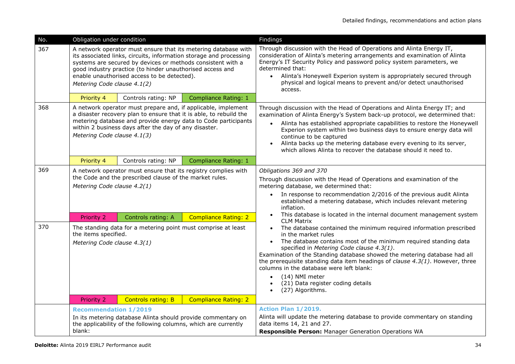| No. | Obligation under condition                                                                                                                                                                                                                                                                                                                     |                                                                 |                                                              | Findings                                                                                                                                                                                                                                                                                                                                                                                                                                                                                                             |
|-----|------------------------------------------------------------------------------------------------------------------------------------------------------------------------------------------------------------------------------------------------------------------------------------------------------------------------------------------------|-----------------------------------------------------------------|--------------------------------------------------------------|----------------------------------------------------------------------------------------------------------------------------------------------------------------------------------------------------------------------------------------------------------------------------------------------------------------------------------------------------------------------------------------------------------------------------------------------------------------------------------------------------------------------|
| 367 | A network operator must ensure that its metering database with<br>its associated links, circuits, information storage and processing<br>systems are secured by devices or methods consistent with a<br>good industry practice (to hinder unauthorised access and<br>enable unauthorised access to be detected).<br>Metering Code clause 4.1(2) |                                                                 |                                                              | Through discussion with the Head of Operations and Alinta Energy IT,<br>consideration of Alinta's metering arrangements and examination of Alinta<br>Energy's IT Security Policy and password policy system parameters, we<br>determined that:<br>Alinta's Honeywell Experion system is appropriately secured through<br>$\bullet$<br>physical and logical means to prevent and/or detect unauthorised<br>access.                                                                                                    |
|     | Priority 4                                                                                                                                                                                                                                                                                                                                     | Controls rating: NP                                             | Compliance Rating: 1                                         |                                                                                                                                                                                                                                                                                                                                                                                                                                                                                                                      |
| 368 | A network operator must prepare and, if applicable, implement<br>a disaster recovery plan to ensure that it is able, to rebuild the<br>metering database and provide energy data to Code participants<br>within 2 business days after the day of any disaster.<br>Metering Code clause 4.1(3)                                                  |                                                                 |                                                              | Through discussion with the Head of Operations and Alinta Energy IT; and<br>examination of Alinta Energy's System back-up protocol, we determined that:<br>Alinta has established appropriate capabilities to restore the Honeywell<br>$\bullet$<br>Experion system within two business days to ensure energy data will<br>continue to be captured<br>Alinta backs up the metering database every evening to its server,<br>which allows Alinta to recover the database should it need to.                           |
|     | Priority 4                                                                                                                                                                                                                                                                                                                                     | Controls rating: NP                                             | <b>Compliance Rating: 1</b>                                  |                                                                                                                                                                                                                                                                                                                                                                                                                                                                                                                      |
| 369 | A network operator must ensure that its registry complies with<br>the Code and the prescribed clause of the market rules.<br>Metering Code clause 4.2(1)                                                                                                                                                                                       |                                                                 |                                                              | Obligations 369 and 370<br>Through discussion with the Head of Operations and examination of the<br>metering database, we determined that:<br>• In response to recommendation 2/2016 of the previous audit Alinta<br>established a metering database, which includes relevant metering<br>inflation.                                                                                                                                                                                                                 |
|     | <b>Priority 2</b>                                                                                                                                                                                                                                                                                                                              | Controls rating: A                                              | <b>Compliance Rating: 2</b>                                  | This database is located in the internal document management system<br>$\bullet$<br><b>CLM Matrix</b>                                                                                                                                                                                                                                                                                                                                                                                                                |
| 370 | The standing data for a metering point must comprise at least<br>the items specified.<br>Metering Code clause 4.3(1)                                                                                                                                                                                                                           |                                                                 |                                                              | The database contained the minimum required information prescribed<br>in the market rules<br>The database contains most of the minimum required standing data<br>$\bullet$<br>specified in Metering Code clause 4.3(1).<br>Examination of the Standing database showed the metering database had all<br>the prerequisite standing data item headings of <i>clause 4.3(1)</i> . However, three<br>columns in the database were left blank:<br>(14) NMI meter<br>(21) Data register coding details<br>(27) Algorithms. |
|     | Priority 2                                                                                                                                                                                                                                                                                                                                     | <b>Controls rating: B</b>                                       | <b>Compliance Rating: 2</b>                                  |                                                                                                                                                                                                                                                                                                                                                                                                                                                                                                                      |
|     | <b>Recommendation 1/2019</b>                                                                                                                                                                                                                                                                                                                   |                                                                 |                                                              | Action Plan 1/2019.                                                                                                                                                                                                                                                                                                                                                                                                                                                                                                  |
|     |                                                                                                                                                                                                                                                                                                                                                | the applicability of the following columns, which are currently | In its metering database Alinta should provide commentary on | Alinta will update the metering database to provide commentary on standing<br>data items 14, 21 and 27.                                                                                                                                                                                                                                                                                                                                                                                                              |
|     | blank:                                                                                                                                                                                                                                                                                                                                         |                                                                 |                                                              | Responsible Person: Manager Generation Operations WA                                                                                                                                                                                                                                                                                                                                                                                                                                                                 |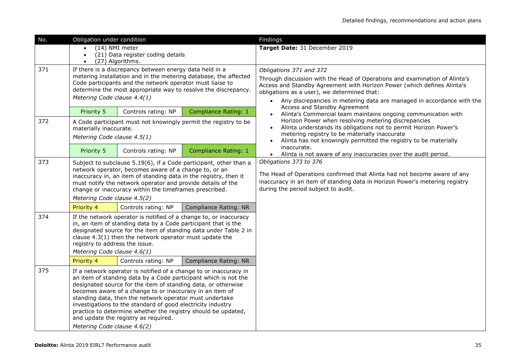| No. | Obligation under condition                                                                                                                                                                                                                                                                                                                                                                                                                                                                                                          |                     |                             | Findings                                                                                                                                                                                                                                                                                                                                 |
|-----|-------------------------------------------------------------------------------------------------------------------------------------------------------------------------------------------------------------------------------------------------------------------------------------------------------------------------------------------------------------------------------------------------------------------------------------------------------------------------------------------------------------------------------------|---------------------|-----------------------------|------------------------------------------------------------------------------------------------------------------------------------------------------------------------------------------------------------------------------------------------------------------------------------------------------------------------------------------|
|     | (14) NMI meter<br>(21) Data register coding details<br>$\bullet$<br>(27) Algorithms.                                                                                                                                                                                                                                                                                                                                                                                                                                                |                     |                             | Target Date: 31 December 2019                                                                                                                                                                                                                                                                                                            |
| 371 | If there is a discrepancy between energy data held in a<br>metering installation and in the metering database, the affected<br>Code participants and the network operator must liaise to<br>determine the most appropriate way to resolve the discrepancy.<br>Metering Code clause 4.4(1)                                                                                                                                                                                                                                           |                     |                             | Obligations 371 and 372<br>Through discussion with the Head of Operations and examination of Alinta's<br>Access and Standby Agreement with Horizon Power (which defines Alinta's<br>obligations as a user), we determined that:<br>Any discrepancies in metering data are managed in accordance with the<br>Access and Standby Agreement |
|     | Priority 5                                                                                                                                                                                                                                                                                                                                                                                                                                                                                                                          | Controls rating: NP | <b>Compliance Rating: 1</b> | Alinta's Commercial team maintains ongoing communication with                                                                                                                                                                                                                                                                            |
| 372 | A Code participant must not knowingly permit the registry to be<br>materially inaccurate.<br>Metering Code clause 4.5(1)                                                                                                                                                                                                                                                                                                                                                                                                            |                     |                             | Horizon Power when resolving metering discrepancies<br>Alinta understands its obligations not to permit Horizon Power's<br>$\bullet$<br>metering registry to be materially inaccurate<br>Alinta has not knowingly permitted the registry to be materially                                                                                |
|     | Priority 5                                                                                                                                                                                                                                                                                                                                                                                                                                                                                                                          | Controls rating: NP | <b>Compliance Rating: 1</b> | inaccurate.<br>Alinta is not aware of any inaccuracies over the audit period.                                                                                                                                                                                                                                                            |
| 373 | Subject to subclause 5.19(6), if a Code participant, other than a<br>network operator, becomes aware of a change to, or an<br>inaccuracy in, an item of standing data in the registry, then it<br>must notify the network operator and provide details of the<br>change or inaccuracy within the timeframes prescribed.<br>Metering Code clause 4.5(2)                                                                                                                                                                              |                     |                             | Obligations 373 to 376<br>The Head of Operations confirmed that Alinta had not become aware of any<br>inaccuracy in an item of standing data in Horizon Power's metering registry<br>during the period subject to audit.                                                                                                                 |
|     | Priority 4                                                                                                                                                                                                                                                                                                                                                                                                                                                                                                                          | Controls rating: NP | Compliance Rating: NR       |                                                                                                                                                                                                                                                                                                                                          |
| 374 | If the network operator is notified of a change to, or inaccuracy<br>in, an item of standing data by a Code participant that is the<br>designated source for the item of standing data under Table 2 in<br>clause 4.3(1) then the network operator must update the<br>registry to address the issue.<br>Metering Code clause 4.6(1)                                                                                                                                                                                                 |                     |                             |                                                                                                                                                                                                                                                                                                                                          |
|     | Priority 4                                                                                                                                                                                                                                                                                                                                                                                                                                                                                                                          | Controls rating: NP | Compliance Rating: NR       |                                                                                                                                                                                                                                                                                                                                          |
| 375 | If a network operator is notified of a change to or inaccuracy in<br>an item of standing data by a Code participant which is not the<br>designated source for the item of standing data, or otherwise<br>becomes aware of a change to or inaccuracy in an item of<br>standing data, then the network operator must undertake<br>investigations to the standard of good electricity industry<br>practice to determine whether the registry should be updated,<br>and update the registry as required.<br>Metering Code clause 4.6(2) |                     |                             |                                                                                                                                                                                                                                                                                                                                          |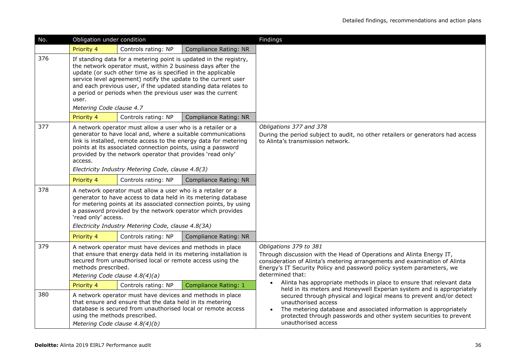| No. | Obligation under condition                                                                                                                                                                                                                                                                                                                                                                                                               |                                                                                                                                                                                        |                              | Findings                                                                                                                                                                                                                                                                                                                                                      |
|-----|------------------------------------------------------------------------------------------------------------------------------------------------------------------------------------------------------------------------------------------------------------------------------------------------------------------------------------------------------------------------------------------------------------------------------------------|----------------------------------------------------------------------------------------------------------------------------------------------------------------------------------------|------------------------------|---------------------------------------------------------------------------------------------------------------------------------------------------------------------------------------------------------------------------------------------------------------------------------------------------------------------------------------------------------------|
|     | Priority 4                                                                                                                                                                                                                                                                                                                                                                                                                               | Controls rating: NP                                                                                                                                                                    | <b>Compliance Rating: NR</b> |                                                                                                                                                                                                                                                                                                                                                               |
| 376 | If standing data for a metering point is updated in the registry,<br>the network operator must, within 2 business days after the<br>update (or such other time as is specified in the applicable<br>service level agreement) notify the update to the current user<br>and each previous user, if the updated standing data relates to<br>a period or periods when the previous user was the current<br>user.<br>Metering Code clause 4.7 |                                                                                                                                                                                        |                              |                                                                                                                                                                                                                                                                                                                                                               |
|     | Priority 4                                                                                                                                                                                                                                                                                                                                                                                                                               | Controls rating: NP                                                                                                                                                                    | Compliance Rating: NR        |                                                                                                                                                                                                                                                                                                                                                               |
| 377 | A network operator must allow a user who is a retailer or a<br>generator to have local and, where a suitable communications<br>link is installed, remote access to the energy data for metering<br>points at its associated connection points, using a password<br>provided by the network operator that provides 'read only'<br>access.<br>Electricity Industry Metering Code, clause 4.8(3)                                            |                                                                                                                                                                                        |                              | Obligations 377 and 378<br>During the period subject to audit, no other retailers or generators had access<br>to Alinta's transmission network.                                                                                                                                                                                                               |
|     |                                                                                                                                                                                                                                                                                                                                                                                                                                          |                                                                                                                                                                                        |                              |                                                                                                                                                                                                                                                                                                                                                               |
| 378 | Priority 4<br>Controls rating: NP<br><b>Compliance Rating: NR</b><br>A network operator must allow a user who is a retailer or a<br>generator to have access to data held in its metering database<br>for metering points at its associated connection points, by using<br>a password provided by the network operator which provides<br>'read only' access.<br>Electricity Industry Metering Code, clause 4.8(3A)                       |                                                                                                                                                                                        |                              |                                                                                                                                                                                                                                                                                                                                                               |
|     | Priority 4                                                                                                                                                                                                                                                                                                                                                                                                                               | Controls rating: NP                                                                                                                                                                    | <b>Compliance Rating: NR</b> |                                                                                                                                                                                                                                                                                                                                                               |
| 379 | A network operator must have devices and methods in place<br>that ensure that energy data held in its metering installation is<br>secured from unauthorised local or remote access using the<br>methods prescribed.<br>Metering Code clause 4.8(4)(a)                                                                                                                                                                                    |                                                                                                                                                                                        |                              | Obligations 379 to 381<br>Through discussion with the Head of Operations and Alinta Energy IT,<br>consideration of Alinta's metering arrangements and examination of Alinta<br>Energy's IT Security Policy and password policy system parameters, we<br>determined that:<br>Alinta has appropriate methods in place to ensure that relevant data<br>$\bullet$ |
|     | Priority 4                                                                                                                                                                                                                                                                                                                                                                                                                               | Controls rating: NP                                                                                                                                                                    | <b>Compliance Rating: 1</b>  | held in its meters and Honeywell Experian system and is appropriately                                                                                                                                                                                                                                                                                         |
| 380 | using the methods prescribed.<br>Metering Code clause 4.8(4)(b)                                                                                                                                                                                                                                                                                                                                                                          | A network operator must have devices and methods in place<br>that ensure and ensure that the data held in its metering<br>database is secured from unauthorised local or remote access |                              | secured through physical and logical means to prevent and/or detect<br>unauthorised access<br>The metering database and associated information is appropriately<br>protected through passwords and other system securities to prevent<br>unauthorised access                                                                                                  |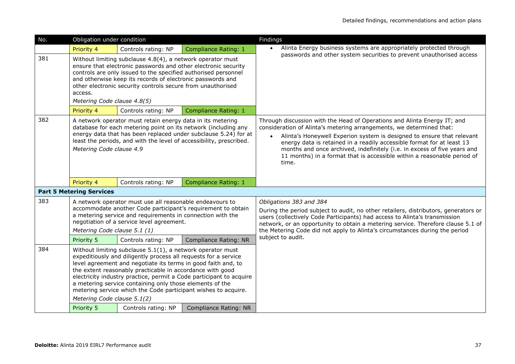| No. | Obligation under condition                                                                                                                                                                                                                                                                                                                                                                                                                                                                         |                     |                              | Findings                                                                                                                                                                                                                                                                                                                                                                                                                                                                          |
|-----|----------------------------------------------------------------------------------------------------------------------------------------------------------------------------------------------------------------------------------------------------------------------------------------------------------------------------------------------------------------------------------------------------------------------------------------------------------------------------------------------------|---------------------|------------------------------|-----------------------------------------------------------------------------------------------------------------------------------------------------------------------------------------------------------------------------------------------------------------------------------------------------------------------------------------------------------------------------------------------------------------------------------------------------------------------------------|
|     | Priority 4                                                                                                                                                                                                                                                                                                                                                                                                                                                                                         | Controls rating: NP | <b>Compliance Rating: 1</b>  | Alinta Energy business systems are appropriately protected through<br>$\bullet$                                                                                                                                                                                                                                                                                                                                                                                                   |
| 381 | Without limiting subclause 4.8(4), a network operator must<br>ensure that electronic passwords and other electronic security<br>controls are only issued to the specified authorised personnel<br>and otherwise keep its records of electronic passwords and<br>other electronic security controls secure from unauthorised<br>access.<br>Metering Code clause 4.8(5)                                                                                                                              |                     |                              | passwords and other system securities to prevent unauthorised access                                                                                                                                                                                                                                                                                                                                                                                                              |
|     | Priority 4                                                                                                                                                                                                                                                                                                                                                                                                                                                                                         | Controls rating: NP | <b>Compliance Rating: 1</b>  |                                                                                                                                                                                                                                                                                                                                                                                                                                                                                   |
| 382 | A network operator must retain energy data in its metering<br>database for each metering point on its network (including any<br>energy data that has been replaced under subclause 5.24) for at<br>least the periods, and with the level of accessibility, prescribed.<br>Metering Code clause 4.9                                                                                                                                                                                                 |                     |                              | Through discussion with the Head of Operations and Alinta Energy IT; and<br>consideration of Alinta's metering arrangements, we determined that:<br>Alinta's Honeywell Experion system is designed to ensure that relevant<br>$\bullet$<br>energy data is retained in a readily accessible format for at least 13<br>months and once archived, indefinitely (i.e. in excess of five years and<br>11 months) in a format that is accessible within a reasonable period of<br>time. |
|     | Priority 4                                                                                                                                                                                                                                                                                                                                                                                                                                                                                         | Controls rating: NP | <b>Compliance Rating: 1</b>  |                                                                                                                                                                                                                                                                                                                                                                                                                                                                                   |
|     | <b>Part 5 Metering Services</b>                                                                                                                                                                                                                                                                                                                                                                                                                                                                    |                     |                              |                                                                                                                                                                                                                                                                                                                                                                                                                                                                                   |
| 383 | A network operator must use all reasonable endeavours to<br>accommodate another Code participant's requirement to obtain<br>a metering service and requirements in connection with the<br>negotiation of a service level agreement.<br>Metering Code clause 5.1 (1)                                                                                                                                                                                                                                |                     |                              | Obligations 383 and 384<br>During the period subject to audit, no other retailers, distributors, generators or<br>users (collectively Code Participants) had access to Alinta's transmission<br>network, or an opportunity to obtain a metering service. Therefore clause 5.1 of<br>the Metering Code did not apply to Alinta's circumstances during the period                                                                                                                   |
|     | Priority 5                                                                                                                                                                                                                                                                                                                                                                                                                                                                                         | Controls rating: NP | <b>Compliance Rating: NR</b> | subject to audit.                                                                                                                                                                                                                                                                                                                                                                                                                                                                 |
| 384 | Without limiting subclause $5.1(1)$ , a network operator must<br>expeditiously and diligently process all requests for a service<br>level agreement and negotiate its terms in good faith and, to<br>the extent reasonably practicable in accordance with good<br>electricity industry practice, permit a Code participant to acquire<br>a metering service containing only those elements of the<br>metering service which the Code participant wishes to acquire.<br>Metering Code clause 5.1(2) |                     |                              |                                                                                                                                                                                                                                                                                                                                                                                                                                                                                   |
|     | Priority 5                                                                                                                                                                                                                                                                                                                                                                                                                                                                                         | Controls rating: NP | Compliance Rating: NR        |                                                                                                                                                                                                                                                                                                                                                                                                                                                                                   |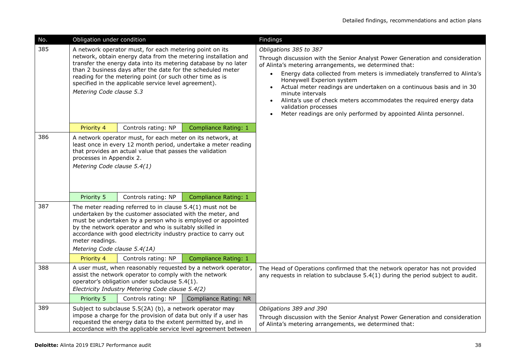| No. | Obligation under condition                                                                                                                                                                                                                                                                                                                                                                                                            |                                                                                                                                                                                    |                                                                                                                                    | Findings                                                                                                                                                                                                                                                                                                                                                                                                                                                                                                                                              |
|-----|---------------------------------------------------------------------------------------------------------------------------------------------------------------------------------------------------------------------------------------------------------------------------------------------------------------------------------------------------------------------------------------------------------------------------------------|------------------------------------------------------------------------------------------------------------------------------------------------------------------------------------|------------------------------------------------------------------------------------------------------------------------------------|-------------------------------------------------------------------------------------------------------------------------------------------------------------------------------------------------------------------------------------------------------------------------------------------------------------------------------------------------------------------------------------------------------------------------------------------------------------------------------------------------------------------------------------------------------|
| 385 | A network operator must, for each metering point on its<br>network, obtain energy data from the metering installation and<br>transfer the energy data into its metering database by no later<br>than 2 business days after the date for the scheduled meter<br>reading for the metering point (or such other time as is<br>specified in the applicable service level agreement).<br>Metering Code clause 5.3                          |                                                                                                                                                                                    |                                                                                                                                    | Obligations 385 to 387<br>Through discussion with the Senior Analyst Power Generation and consideration<br>of Alinta's metering arrangements, we determined that:<br>Energy data collected from meters is immediately transferred to Alinta's<br>Honeywell Experion system<br>Actual meter readings are undertaken on a continuous basis and in 30<br>minute intervals<br>Alinta's use of check meters accommodates the required energy data<br>validation processes<br>Meter readings are only performed by appointed Alinta personnel.<br>$\bullet$ |
|     | Priority 4                                                                                                                                                                                                                                                                                                                                                                                                                            | Controls rating: NP                                                                                                                                                                | <b>Compliance Rating: 1</b>                                                                                                        |                                                                                                                                                                                                                                                                                                                                                                                                                                                                                                                                                       |
| 386 | A network operator must, for each meter on its network, at<br>least once in every 12 month period, undertake a meter reading<br>that provides an actual value that passes the validation<br>processes in Appendix 2.<br>Metering Code clause 5.4(1)                                                                                                                                                                                   |                                                                                                                                                                                    |                                                                                                                                    |                                                                                                                                                                                                                                                                                                                                                                                                                                                                                                                                                       |
|     | Priority 5                                                                                                                                                                                                                                                                                                                                                                                                                            | Controls rating: NP                                                                                                                                                                | Compliance Rating: 1                                                                                                               |                                                                                                                                                                                                                                                                                                                                                                                                                                                                                                                                                       |
| 387 | The meter reading referred to in clause $5.4(1)$ must not be<br>undertaken by the customer associated with the meter, and<br>must be undertaken by a person who is employed or appointed<br>by the network operator and who is suitably skilled in<br>accordance with good electricity industry practice to carry out<br>meter readings.<br>Metering Code clause 5.4(1A)<br>Compliance Rating: 1<br>Priority 4<br>Controls rating: NP |                                                                                                                                                                                    |                                                                                                                                    |                                                                                                                                                                                                                                                                                                                                                                                                                                                                                                                                                       |
| 388 |                                                                                                                                                                                                                                                                                                                                                                                                                                       |                                                                                                                                                                                    | A user must, when reasonably requested by a network operator,                                                                      | The Head of Operations confirmed that the network operator has not provided                                                                                                                                                                                                                                                                                                                                                                                                                                                                           |
|     | Priority 5                                                                                                                                                                                                                                                                                                                                                                                                                            | assist the network operator to comply with the network<br>operator's obligation under subclause 5.4(1).<br>Electricity Industry Metering Code clause 5.4(2)<br>Controls rating: NP | Compliance Rating: NR                                                                                                              | any requests in relation to subclause $5.4(1)$ during the period subject to audit.                                                                                                                                                                                                                                                                                                                                                                                                                                                                    |
| 389 |                                                                                                                                                                                                                                                                                                                                                                                                                                       | Subject to subclause 5.5(2A) (b), a network operator may<br>requested the energy data to the extent permitted by, and in                                                           | impose a charge for the provision of data but only if a user has<br>accordance with the applicable service level agreement between | Obligations 389 and 390<br>Through discussion with the Senior Analyst Power Generation and consideration<br>of Alinta's metering arrangements, we determined that:                                                                                                                                                                                                                                                                                                                                                                                    |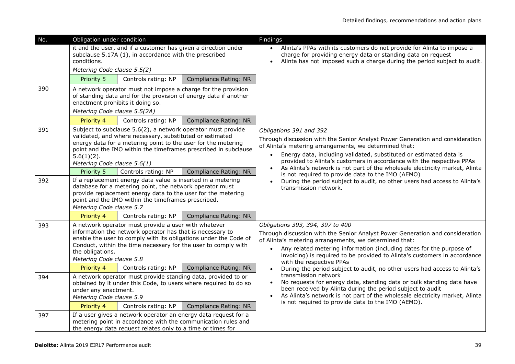| No. | Obligation under condition                                                                                                                                                                                                                                                                                   |  |                              | Findings                                                                                                                                                                                                                                                                                                                                                                                         |
|-----|--------------------------------------------------------------------------------------------------------------------------------------------------------------------------------------------------------------------------------------------------------------------------------------------------------------|--|------------------------------|--------------------------------------------------------------------------------------------------------------------------------------------------------------------------------------------------------------------------------------------------------------------------------------------------------------------------------------------------------------------------------------------------|
|     | it and the user, and if a customer has given a direction under<br>subclause 5.17A (1), in accordance with the prescribed<br>conditions.<br>Metering Code clause 5.5(2)                                                                                                                                       |  |                              | Alinta's PPAs with its customers do not provide for Alinta to impose a<br>charge for providing energy data or standing data on request<br>Alinta has not imposed such a charge during the period subject to audit.                                                                                                                                                                               |
|     | Priority 5<br>Controls rating: NP                                                                                                                                                                                                                                                                            |  | <b>Compliance Rating: NR</b> |                                                                                                                                                                                                                                                                                                                                                                                                  |
| 390 | A network operator must not impose a charge for the provision<br>of standing data and for the provision of energy data if another<br>enactment prohibits it doing so.<br>Metering Code clause 5.5(2A)                                                                                                        |  |                              |                                                                                                                                                                                                                                                                                                                                                                                                  |
|     | Controls rating: NP<br>Priority 4                                                                                                                                                                                                                                                                            |  | Compliance Rating: NR        |                                                                                                                                                                                                                                                                                                                                                                                                  |
| 391 | Subject to subclause 5.6(2), a network operator must provide<br>validated, and where necessary, substituted or estimated<br>energy data for a metering point to the user for the metering<br>point and the IMO within the timeframes prescribed in subclause<br>$5.6(1)(2)$ .<br>Metering Code clause 5.6(1) |  |                              | Obligations 391 and 392<br>Through discussion with the Senior Analyst Power Generation and consideration<br>of Alinta's metering arrangements, we determined that:<br>Energy data, including validated, substituted or estimated data is<br>provided to Alinta's customers in accordance with the respective PPAs<br>As Alinta's network is not part of the wholesale electricity market, Alinta |
|     | Priority 5<br>Controls rating: NP                                                                                                                                                                                                                                                                            |  | Compliance Rating: NR        | is not required to provide data to the IMO (AEMO)                                                                                                                                                                                                                                                                                                                                                |
| 392 | If a replacement energy data value is inserted in a metering<br>database for a metering point, the network operator must<br>provide replacement energy data to the user for the metering<br>point and the IMO within the timeframes prescribed.<br>Metering Code clause 5.7                                  |  |                              | During the period subject to audit, no other users had access to Alinta's<br>transmission network.                                                                                                                                                                                                                                                                                               |
|     | Priority 4<br>Controls rating: NP                                                                                                                                                                                                                                                                            |  | <b>Compliance Rating: NR</b> |                                                                                                                                                                                                                                                                                                                                                                                                  |
| 393 | A network operator must provide a user with whatever<br>information the network operator has that is necessary to<br>enable the user to comply with its obligations under the Code of<br>Conduct, within the time necessary for the user to comply with<br>the obligations.<br>Metering Code clause 5.8      |  |                              | Obligations 393, 394, 397 to 400<br>Through discussion with the Senior Analyst Power Generation and consideration<br>of Alinta's metering arrangements, we determined that:<br>Any related metering information (including dates for the purpose of<br>invoicing) is required to be provided to Alinta's customers in accordance<br>with the respective PPAs                                     |
|     | Controls rating: NP<br>Priority 4                                                                                                                                                                                                                                                                            |  | <b>Compliance Rating: NR</b> | During the period subject to audit, no other users had access to Alinta's                                                                                                                                                                                                                                                                                                                        |
| 394 | A network operator must provide standing data, provided to or<br>obtained by it under this Code, to users where required to do so<br>under any enactment.<br>Metering Code clause 5.9<br>Priority 4<br>Controls rating: NP                                                                                   |  | Compliance Rating: NR        | transmission network<br>No requests for energy data, standing data or bulk standing data have<br>$\bullet$<br>been received by Alinta during the period subject to audit<br>As Alinta's network is not part of the wholesale electricity market, Alinta<br>is not required to provide data to the IMO (AEMO).                                                                                    |
| 397 | If a user gives a network operator an energy data request for a<br>metering point in accordance with the communication rules and<br>the energy data request relates only to a time or times for                                                                                                              |  |                              |                                                                                                                                                                                                                                                                                                                                                                                                  |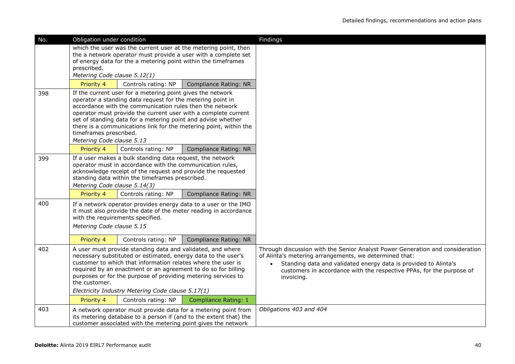| No. | Obligation under condition                                                                                                                                                                                                                                                                                                                                                                                                                                              |                                                               |                                                                                                                                                                                                      | Findings                                                                                                                                                                                                                                                                                                      |
|-----|-------------------------------------------------------------------------------------------------------------------------------------------------------------------------------------------------------------------------------------------------------------------------------------------------------------------------------------------------------------------------------------------------------------------------------------------------------------------------|---------------------------------------------------------------|------------------------------------------------------------------------------------------------------------------------------------------------------------------------------------------------------|---------------------------------------------------------------------------------------------------------------------------------------------------------------------------------------------------------------------------------------------------------------------------------------------------------------|
|     | prescribed.<br>Metering Code clause 5.12(1)                                                                                                                                                                                                                                                                                                                                                                                                                             | of energy data for the a metering point within the timeframes | which the user was the current user at the metering point, then<br>the a network operator must provide a user with a complete set                                                                    |                                                                                                                                                                                                                                                                                                               |
|     | Priority 4                                                                                                                                                                                                                                                                                                                                                                                                                                                              | Controls rating: NP                                           | Compliance Rating: NR                                                                                                                                                                                |                                                                                                                                                                                                                                                                                                               |
| 398 | If the current user for a metering point gives the network<br>operator a standing data request for the metering point in<br>accordance with the communication rules then the network<br>operator must provide the current user with a complete current<br>set of standing data for a metering point and advise whether<br>there is a communications link for the metering point, within the<br>timeframes prescribed.<br>Metering Code clause 5.13                      |                                                               |                                                                                                                                                                                                      |                                                                                                                                                                                                                                                                                                               |
|     | Priority 4                                                                                                                                                                                                                                                                                                                                                                                                                                                              | Controls rating: NP                                           | Compliance Rating: NR                                                                                                                                                                                |                                                                                                                                                                                                                                                                                                               |
| 399 | If a user makes a bulk standing data request, the network<br>operator must in accordance with the communication rules,<br>acknowledge receipt of the request and provide the requested<br>standing data within the timeframes prescribed.<br>Metering Code clause 5.14(3)                                                                                                                                                                                               |                                                               |                                                                                                                                                                                                      |                                                                                                                                                                                                                                                                                                               |
|     | Priority 4                                                                                                                                                                                                                                                                                                                                                                                                                                                              | Controls rating: NP                                           | Compliance Rating: NR                                                                                                                                                                                |                                                                                                                                                                                                                                                                                                               |
| 400 | Metering Code clause 5.15                                                                                                                                                                                                                                                                                                                                                                                                                                               | with the requirements specified.                              | If a network operator provides energy data to a user or the IMO<br>it must also provide the date of the meter reading in accordance                                                                  |                                                                                                                                                                                                                                                                                                               |
|     | Priority 4                                                                                                                                                                                                                                                                                                                                                                                                                                                              | Controls rating: NP                                           | Compliance Rating: NR                                                                                                                                                                                |                                                                                                                                                                                                                                                                                                               |
| 402 | A user must provide standing data and validated, and where<br>necessary substituted or estimated, energy data to the user's<br>customer to which that information relates where the user is<br>required by an enactment or an agreement to do so for billing<br>purposes or for the purpose of providing metering services to<br>the customer.<br>Electricity Industry Metering Code clause 5.17(1)<br>Priority 4<br>Controls rating: NP<br><b>Compliance Rating: 1</b> |                                                               |                                                                                                                                                                                                      | Through discussion with the Senior Analyst Power Generation and consideration<br>of Alinta's metering arrangements, we determined that:<br>Standing data and validated energy data is provided to Alinta's<br>$\bullet$<br>customers in accordance with the respective PPAs, for the purpose of<br>invoicing. |
| 403 |                                                                                                                                                                                                                                                                                                                                                                                                                                                                         |                                                               | A network operator must provide data for a metering point from<br>its metering database to a person if (and to the extent that) the<br>customer associated with the metering point gives the network | Obligations 403 and 404                                                                                                                                                                                                                                                                                       |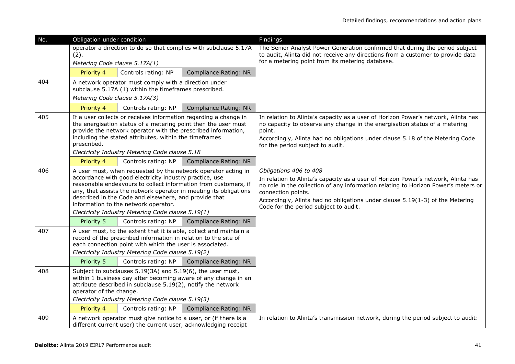| No. | Obligation under condition                                                                                                                                                                                                                                                                                                                                                                                             |                                                                                                                |                                                                  | Findings                                                                                                                                                                                                                                                                                                                                          |
|-----|------------------------------------------------------------------------------------------------------------------------------------------------------------------------------------------------------------------------------------------------------------------------------------------------------------------------------------------------------------------------------------------------------------------------|----------------------------------------------------------------------------------------------------------------|------------------------------------------------------------------|---------------------------------------------------------------------------------------------------------------------------------------------------------------------------------------------------------------------------------------------------------------------------------------------------------------------------------------------------|
|     | operator a direction to do so that complies with subclause 5.17A<br>(2).<br>Metering Code clause 5.17A(1)                                                                                                                                                                                                                                                                                                              |                                                                                                                |                                                                  | The Senior Analyst Power Generation confirmed that during the period subject<br>to audit, Alinta did not receive any directions from a customer to provide data<br>for a metering point from its metering database.                                                                                                                               |
|     | Priority 4                                                                                                                                                                                                                                                                                                                                                                                                             | Controls rating: NP                                                                                            | <b>Compliance Rating: NR</b>                                     |                                                                                                                                                                                                                                                                                                                                                   |
| 404 | Metering Code clause 5.17A(3)                                                                                                                                                                                                                                                                                                                                                                                          | A network operator must comply with a direction under<br>subclause 5.17A (1) within the timeframes prescribed. |                                                                  |                                                                                                                                                                                                                                                                                                                                                   |
|     | Priority 4                                                                                                                                                                                                                                                                                                                                                                                                             | Controls rating: NP                                                                                            | <b>Compliance Rating: NR</b>                                     |                                                                                                                                                                                                                                                                                                                                                   |
| 405 | If a user collects or receives information regarding a change in<br>the energisation status of a metering point then the user must<br>provide the network operator with the prescribed information,<br>including the stated attributes, within the timeframes<br>prescribed.<br>Electricity Industry Metering Code clause 5.18                                                                                         |                                                                                                                |                                                                  | In relation to Alinta's capacity as a user of Horizon Power's network, Alinta has<br>no capacity to observe any change in the energisation status of a metering<br>point.<br>Accordingly, Alinta had no obligations under clause 5.18 of the Metering Code<br>for the period subject to audit.                                                    |
|     | Priority 4                                                                                                                                                                                                                                                                                                                                                                                                             | Controls rating: NP                                                                                            | Compliance Rating: NR                                            |                                                                                                                                                                                                                                                                                                                                                   |
| 406 | A user must, when requested by the network operator acting in<br>accordance with good electricity industry practice, use<br>reasonable endeavours to collect information from customers, if<br>any, that assists the network operator in meeting its obligations<br>described in the Code and elsewhere, and provide that<br>information to the network operator.<br>Electricity Industry Metering Code clause 5.19(1) |                                                                                                                |                                                                  | Obligations 406 to 408<br>In relation to Alinta's capacity as a user of Horizon Power's network, Alinta has<br>no role in the collection of any information relating to Horizon Power's meters or<br>connection points.<br>Accordingly, Alinta had no obligations under clause 5.19(1-3) of the Metering<br>Code for the period subject to audit. |
|     | Priority 5                                                                                                                                                                                                                                                                                                                                                                                                             | Controls rating: NP                                                                                            | Compliance Rating: NR                                            |                                                                                                                                                                                                                                                                                                                                                   |
| 407 | A user must, to the extent that it is able, collect and maintain a<br>record of the prescribed information in relation to the site of<br>each connection point with which the user is associated.<br>Electricity Industry Metering Code clause 5.19(2)                                                                                                                                                                 |                                                                                                                |                                                                  |                                                                                                                                                                                                                                                                                                                                                   |
|     | Priority 5                                                                                                                                                                                                                                                                                                                                                                                                             | Controls rating: NP                                                                                            | <b>Compliance Rating: NR</b>                                     |                                                                                                                                                                                                                                                                                                                                                   |
| 408 | Subject to subclauses 5.19(3A) and 5.19(6), the user must,<br>within 1 business day after becoming aware of any change in an<br>attribute described in subclause 5.19(2), notify the network<br>operator of the change.<br>Electricity Industry Metering Code clause 5.19(3)<br>Priority 4<br>Controls rating: NP<br><b>Compliance Rating: NR</b>                                                                      |                                                                                                                |                                                                  |                                                                                                                                                                                                                                                                                                                                                   |
| 409 |                                                                                                                                                                                                                                                                                                                                                                                                                        |                                                                                                                | A network operator must give notice to a user, or (if there is a | In relation to Alinta's transmission network, during the period subject to audit:                                                                                                                                                                                                                                                                 |
|     |                                                                                                                                                                                                                                                                                                                                                                                                                        |                                                                                                                | different current user) the current user, acknowledging receipt  |                                                                                                                                                                                                                                                                                                                                                   |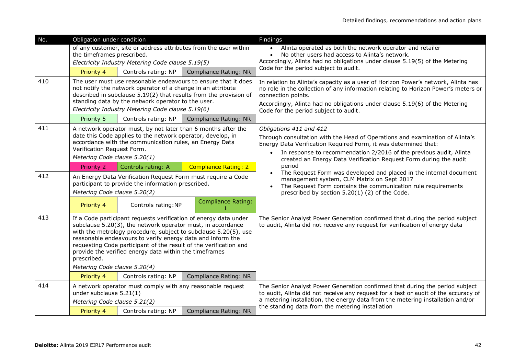| No. | Obligation under condition                                                                                                                                                                                                                                                                                                                                                                                                                     |                                                            |                                                                  | <b>Findings</b>                                                                                                                                                                                                                                                                                                       |
|-----|------------------------------------------------------------------------------------------------------------------------------------------------------------------------------------------------------------------------------------------------------------------------------------------------------------------------------------------------------------------------------------------------------------------------------------------------|------------------------------------------------------------|------------------------------------------------------------------|-----------------------------------------------------------------------------------------------------------------------------------------------------------------------------------------------------------------------------------------------------------------------------------------------------------------------|
|     | the timeframes prescribed.                                                                                                                                                                                                                                                                                                                                                                                                                     | Electricity Industry Metering Code clause 5.19(5)          | of any customer, site or address attributes from the user within | Alinta operated as both the network operator and retailer<br>$\bullet$<br>No other users had access to Alinta's network.<br>$\bullet$<br>Accordingly, Alinta had no obligations under clause 5.19(5) of the Metering                                                                                                  |
|     | Priority 4                                                                                                                                                                                                                                                                                                                                                                                                                                     | Controls rating: NP                                        | <b>Compliance Rating: NR</b>                                     | Code for the period subject to audit.                                                                                                                                                                                                                                                                                 |
| 410 | The user must use reasonable endeavours to ensure that it does<br>not notify the network operator of a change in an attribute<br>described in subclause 5.19(2) that results from the provision of<br>standing data by the network operator to the user.<br>Electricity Industry Metering Code clause 5.19(6)                                                                                                                                  |                                                            |                                                                  | In relation to Alinta's capacity as a user of Horizon Power's network, Alinta has<br>no role in the collection of any information relating to Horizon Power's meters or<br>connection points.<br>Accordingly, Alinta had no obligations under clause 5.19(6) of the Metering<br>Code for the period subject to audit. |
|     | Priority 5                                                                                                                                                                                                                                                                                                                                                                                                                                     | Controls rating: NP                                        | Compliance Rating: NR                                            |                                                                                                                                                                                                                                                                                                                       |
| 411 | A network operator must, by not later than 6 months after the<br>date this Code applies to the network operator, develop, in<br>accordance with the communication rules, an Energy Data<br>Verification Request Form.<br>Metering Code clause 5.20(1)                                                                                                                                                                                          |                                                            |                                                                  | Obligations 411 and 412<br>Through consultation with the Head of Operations and examination of Alinta's<br>Energy Data Verification Required Form, it was determined that:<br>In response to recommendation 2/2016 of the previous audit, Alinta<br>created an Energy Data Verification Request Form during the audit |
|     | <b>Priority 2</b>                                                                                                                                                                                                                                                                                                                                                                                                                              | Controls rating: A                                         | <b>Compliance Rating: 2</b>                                      | period                                                                                                                                                                                                                                                                                                                |
| 412 | Metering Code clause 5.20(2)                                                                                                                                                                                                                                                                                                                                                                                                                   | participant to provide the information prescribed.         | An Energy Data Verification Request Form must require a Code     | The Request Form was developed and placed in the internal document<br>management system, CLM Matrix on Sept 2017<br>The Request Form contains the communication rule requirements<br>prescribed by section 5.20(1) (2) of the Code.                                                                                   |
|     | Priority 4                                                                                                                                                                                                                                                                                                                                                                                                                                     | Controls rating:NP                                         | <b>Compliance Rating:</b>                                        |                                                                                                                                                                                                                                                                                                                       |
| 413 | If a Code participant requests verification of energy data under<br>subclause 5.20(3), the network operator must, in accordance<br>with the metrology procedure, subject to subclause 5.20(5), use<br>reasonable endeavours to verify energy data and inform the<br>requesting Code participant of the result of the verification and<br>provide the verified energy data within the timeframes<br>prescribed.<br>Metering Code clause 5.20(4) |                                                            |                                                                  | The Senior Analyst Power Generation confirmed that during the period subject<br>to audit, Alinta did not receive any request for verification of energy data                                                                                                                                                          |
|     | Priority 4                                                                                                                                                                                                                                                                                                                                                                                                                                     | Controls rating: NP                                        | Compliance Rating: NR                                            |                                                                                                                                                                                                                                                                                                                       |
| 414 | under subclause 5.21(1)<br>Metering Code clause 5.21(2)                                                                                                                                                                                                                                                                                                                                                                                        | A network operator must comply with any reasonable request |                                                                  | The Senior Analyst Power Generation confirmed that during the period subject<br>to audit, Alinta did not receive any request for a test or audit of the accuracy of<br>a metering installation, the energy data from the metering installation and/or                                                                 |
|     | Priority 4                                                                                                                                                                                                                                                                                                                                                                                                                                     | Controls rating: NP                                        | <b>Compliance Rating: NR</b>                                     | the standing data from the metering installation                                                                                                                                                                                                                                                                      |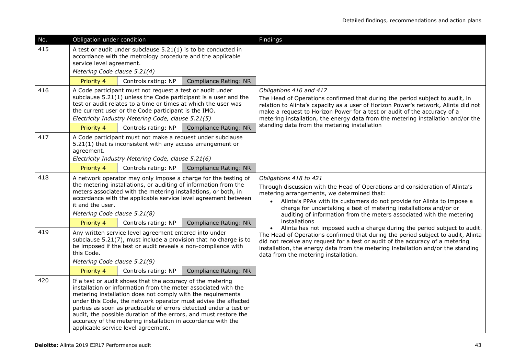| No. | Obligation under condition                                                                                                                                                                                                                                                                                                                                                                                                                                                                                    |                     |                       | Findings                                                                                                                                                                                                                                                                                                                                                                               |
|-----|---------------------------------------------------------------------------------------------------------------------------------------------------------------------------------------------------------------------------------------------------------------------------------------------------------------------------------------------------------------------------------------------------------------------------------------------------------------------------------------------------------------|---------------------|-----------------------|----------------------------------------------------------------------------------------------------------------------------------------------------------------------------------------------------------------------------------------------------------------------------------------------------------------------------------------------------------------------------------------|
| 415 | A test or audit under subclause 5.21(1) is to be conducted in<br>accordance with the metrology procedure and the applicable<br>service level agreement.<br>Metering Code clause 5.21(4)                                                                                                                                                                                                                                                                                                                       |                     |                       |                                                                                                                                                                                                                                                                                                                                                                                        |
|     | Priority 4                                                                                                                                                                                                                                                                                                                                                                                                                                                                                                    | Controls rating: NP | Compliance Rating: NR |                                                                                                                                                                                                                                                                                                                                                                                        |
| 416 | A Code participant must not request a test or audit under<br>subclause 5.21(1) unless the Code participant is a user and the<br>test or audit relates to a time or times at which the user was<br>the current user or the Code participant is the IMO.<br>Electricity Industry Metering Code, clause 5.21(5)                                                                                                                                                                                                  |                     |                       | Obligations 416 and 417<br>The Head of Operations confirmed that during the period subject to audit, in<br>relation to Alinta's capacity as a user of Horizon Power's network, Alinta did not<br>make a request to Horizon Power for a test or audit of the accuracy of a<br>metering installation, the energy data from the metering installation and/or the                          |
|     | Priority 4                                                                                                                                                                                                                                                                                                                                                                                                                                                                                                    | Controls rating: NP | Compliance Rating: NR | standing data from the metering installation                                                                                                                                                                                                                                                                                                                                           |
| 417 | A Code participant must not make a request under subclause<br>5.21(1) that is inconsistent with any access arrangement or<br>agreement.<br>Electricity Industry Metering Code, clause 5.21(6)                                                                                                                                                                                                                                                                                                                 |                     |                       |                                                                                                                                                                                                                                                                                                                                                                                        |
|     | Priority 4                                                                                                                                                                                                                                                                                                                                                                                                                                                                                                    | Controls rating: NP | Compliance Rating: NR |                                                                                                                                                                                                                                                                                                                                                                                        |
| 418 | A network operator may only impose a charge for the testing of<br>the metering installations, or auditing of information from the<br>meters associated with the metering installations, or both, in<br>accordance with the applicable service level agreement between<br>it and the user.<br>Metering Code clause 5.21(8)                                                                                                                                                                                     |                     |                       | Obligations 418 to 421<br>Through discussion with the Head of Operations and consideration of Alinta's<br>metering arrangements, we determined that:<br>Alinta's PPAs with its customers do not provide for Alinta to impose a<br>charge for undertaking a test of metering installations and/or or<br>auditing of information from the meters associated with the metering            |
|     | Priority 4                                                                                                                                                                                                                                                                                                                                                                                                                                                                                                    | Controls rating: NP | Compliance Rating: NR | installations                                                                                                                                                                                                                                                                                                                                                                          |
| 419 | Any written service level agreement entered into under<br>subclause 5.21(7), must include a provision that no charge is to<br>be imposed if the test or audit reveals a non-compliance with<br>this Code.<br>Metering Code clause 5.21(9)                                                                                                                                                                                                                                                                     |                     |                       | Alinta has not imposed such a charge during the period subject to audit.<br>$\bullet$<br>The Head of Operations confirmed that during the period subject to audit, Alinta<br>did not receive any request for a test or audit of the accuracy of a metering<br>installation, the energy data from the metering installation and/or the standing<br>data from the metering installation. |
|     | Priority 4                                                                                                                                                                                                                                                                                                                                                                                                                                                                                                    | Controls rating: NP | Compliance Rating: NR |                                                                                                                                                                                                                                                                                                                                                                                        |
| 420 | If a test or audit shows that the accuracy of the metering<br>installation or information from the meter associated with the<br>metering installation does not comply with the requirements<br>under this Code, the network operator must advise the affected<br>parties as soon as practicable of errors detected under a test or<br>audit, the possible duration of the errors, and must restore the<br>accuracy of the metering installation in accordance with the<br>applicable service level agreement. |                     |                       |                                                                                                                                                                                                                                                                                                                                                                                        |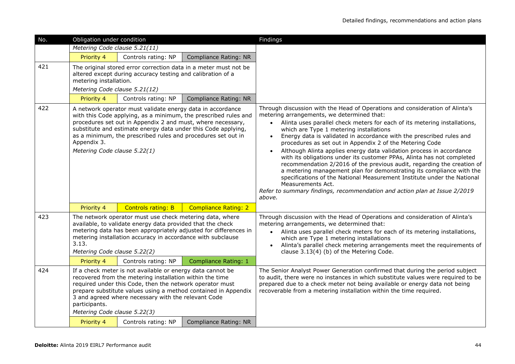| No. | Obligation under condition                                                                                                                                                                                                                                                                                                                                                   |                                                             |                                                                  | Findings                                                                                                                                                                                                                                                                                                                                                                                                                                                                                                                                                                                                                                                                                                                                                                                                                                                                                       |
|-----|------------------------------------------------------------------------------------------------------------------------------------------------------------------------------------------------------------------------------------------------------------------------------------------------------------------------------------------------------------------------------|-------------------------------------------------------------|------------------------------------------------------------------|------------------------------------------------------------------------------------------------------------------------------------------------------------------------------------------------------------------------------------------------------------------------------------------------------------------------------------------------------------------------------------------------------------------------------------------------------------------------------------------------------------------------------------------------------------------------------------------------------------------------------------------------------------------------------------------------------------------------------------------------------------------------------------------------------------------------------------------------------------------------------------------------|
|     | Metering Code clause 5.21(11)                                                                                                                                                                                                                                                                                                                                                |                                                             |                                                                  |                                                                                                                                                                                                                                                                                                                                                                                                                                                                                                                                                                                                                                                                                                                                                                                                                                                                                                |
|     | Priority 4                                                                                                                                                                                                                                                                                                                                                                   | Controls rating: NP                                         | <b>Compliance Rating: NR</b>                                     |                                                                                                                                                                                                                                                                                                                                                                                                                                                                                                                                                                                                                                                                                                                                                                                                                                                                                                |
| 421 | metering installation.                                                                                                                                                                                                                                                                                                                                                       | altered except during accuracy testing and calibration of a | The original stored error correction data in a meter must not be |                                                                                                                                                                                                                                                                                                                                                                                                                                                                                                                                                                                                                                                                                                                                                                                                                                                                                                |
|     | Metering Code clause 5.21(12)                                                                                                                                                                                                                                                                                                                                                |                                                             |                                                                  |                                                                                                                                                                                                                                                                                                                                                                                                                                                                                                                                                                                                                                                                                                                                                                                                                                                                                                |
|     | Priority 4                                                                                                                                                                                                                                                                                                                                                                   | Controls rating: NP                                         | Compliance Rating: NR                                            |                                                                                                                                                                                                                                                                                                                                                                                                                                                                                                                                                                                                                                                                                                                                                                                                                                                                                                |
| 422 | A network operator must validate energy data in accordance<br>with this Code applying, as a minimum, the prescribed rules and<br>procedures set out in Appendix 2 and must, where necessary,<br>substitute and estimate energy data under this Code applying,<br>as a minimum, the prescribed rules and procedures set out in<br>Appendix 3.<br>Metering Code clause 5.22(1) |                                                             |                                                                  | Through discussion with the Head of Operations and consideration of Alinta's<br>metering arrangements, we determined that:<br>Alinta uses parallel check meters for each of its metering installations,<br>$\bullet$<br>which are Type 1 metering installations<br>Energy data is validated in accordance with the prescribed rules and<br>procedures as set out in Appendix 2 of the Metering Code<br>Although Alinta applies energy data validation process in accordance<br>with its obligations under its customer PPAs, Alinta has not completed<br>recommendation 2/2016 of the previous audit, regarding the creation of<br>a metering management plan for demonstrating its compliance with the<br>specifications of the National Measurement Institute under the National<br>Measurements Act.<br>Refer to summary findings, recommendation and action plan at Issue 2/2019<br>above. |
|     | Priority 4                                                                                                                                                                                                                                                                                                                                                                   | <b>Controls rating: B</b>                                   | <b>Compliance Rating: 2</b>                                      |                                                                                                                                                                                                                                                                                                                                                                                                                                                                                                                                                                                                                                                                                                                                                                                                                                                                                                |
| 423 | The network operator must use check metering data, where<br>available, to validate energy data provided that the check<br>metering data has been appropriately adjusted for differences in<br>metering installation accuracy in accordance with subclause<br>3.13.<br>Metering Code clause 5.22(2)                                                                           |                                                             |                                                                  | Through discussion with the Head of Operations and consideration of Alinta's<br>metering arrangements, we determined that:<br>Alinta uses parallel check meters for each of its metering installations,<br>$\bullet$<br>which are Type 1 metering installations<br>Alinta's parallel check metering arrangements meet the requirements of<br>clause 3.13(4) (b) of the Metering Code.                                                                                                                                                                                                                                                                                                                                                                                                                                                                                                          |
|     | Priority 4                                                                                                                                                                                                                                                                                                                                                                   | Controls rating: NP                                         | <b>Compliance Rating: 1</b>                                      |                                                                                                                                                                                                                                                                                                                                                                                                                                                                                                                                                                                                                                                                                                                                                                                                                                                                                                |
| 424 | If a check meter is not available or energy data cannot be<br>recovered from the metering installation within the time<br>required under this Code, then the network operator must<br>prepare substitute values using a method contained in Appendix<br>3 and agreed where necessary with the relevant Code<br>participants.<br>Metering Code clause 5.22(3)                 |                                                             |                                                                  | The Senior Analyst Power Generation confirmed that during the period subject<br>to audit, there were no instances in which substitute values were required to be<br>prepared due to a check meter not being available or energy data not being<br>recoverable from a metering installation within the time required.                                                                                                                                                                                                                                                                                                                                                                                                                                                                                                                                                                           |
|     | Priority 4                                                                                                                                                                                                                                                                                                                                                                   | Controls rating: NP                                         | <b>Compliance Rating: NR</b>                                     |                                                                                                                                                                                                                                                                                                                                                                                                                                                                                                                                                                                                                                                                                                                                                                                                                                                                                                |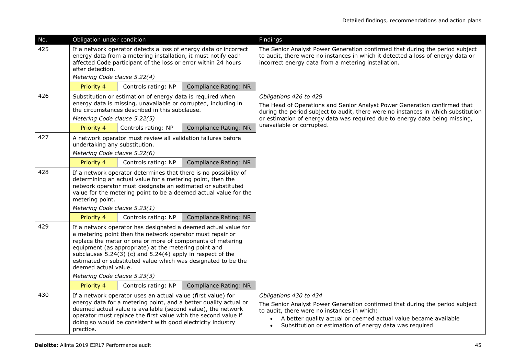| No. | Obligation under condition                                                                                                                                                                                                                                                                                                                                                                                                                   |                     |                              | Findings                                                                                                                                                                                                                                                                           |
|-----|----------------------------------------------------------------------------------------------------------------------------------------------------------------------------------------------------------------------------------------------------------------------------------------------------------------------------------------------------------------------------------------------------------------------------------------------|---------------------|------------------------------|------------------------------------------------------------------------------------------------------------------------------------------------------------------------------------------------------------------------------------------------------------------------------------|
| 425 | If a network operator detects a loss of energy data or incorrect<br>energy data from a metering installation, it must notify each<br>affected Code participant of the loss or error within 24 hours<br>after detection.<br>Metering Code clause 5.22(4)                                                                                                                                                                                      |                     |                              | The Senior Analyst Power Generation confirmed that during the period subject<br>to audit, there were no instances in which it detected a loss of energy data or<br>incorrect energy data from a metering installation.                                                             |
|     | Priority 4                                                                                                                                                                                                                                                                                                                                                                                                                                   | Controls rating: NP | Compliance Rating: NR        |                                                                                                                                                                                                                                                                                    |
| 426 | Substitution or estimation of energy data is required when<br>energy data is missing, unavailable or corrupted, including in<br>the circumstances described in this subclause.<br>Metering Code clause 5.22(5)                                                                                                                                                                                                                               |                     |                              | Obligations 426 to 429<br>The Head of Operations and Senior Analyst Power Generation confirmed that<br>during the period subject to audit, there were no instances in which substitution<br>or estimation of energy data was required due to energy data being missing,            |
|     | Priority 4                                                                                                                                                                                                                                                                                                                                                                                                                                   | Controls rating: NP | <b>Compliance Rating: NR</b> | unavailable or corrupted.                                                                                                                                                                                                                                                          |
| 427 | A network operator must review all validation failures before<br>undertaking any substitution.<br>Metering Code clause 5.22(6)                                                                                                                                                                                                                                                                                                               |                     |                              |                                                                                                                                                                                                                                                                                    |
|     | Priority 4                                                                                                                                                                                                                                                                                                                                                                                                                                   | Controls rating: NP | Compliance Rating: NR        |                                                                                                                                                                                                                                                                                    |
| 428 | If a network operator determines that there is no possibility of<br>determining an actual value for a metering point, then the<br>network operator must designate an estimated or substituted<br>value for the metering point to be a deemed actual value for the<br>metering point.<br>Metering Code clause 5.23(1)                                                                                                                         |                     |                              |                                                                                                                                                                                                                                                                                    |
|     | Priority 4                                                                                                                                                                                                                                                                                                                                                                                                                                   | Controls rating: NP | Compliance Rating: NR        |                                                                                                                                                                                                                                                                                    |
| 429 | If a network operator has designated a deemed actual value for<br>a metering point then the network operator must repair or<br>replace the meter or one or more of components of metering<br>equipment (as appropriate) at the metering point and<br>subclauses 5.24(3) (c) and 5.24(4) apply in respect of the<br>estimated or substituted value which was designated to be the<br>deemed actual value.                                     |                     |                              |                                                                                                                                                                                                                                                                                    |
|     |                                                                                                                                                                                                                                                                                                                                                                                                                                              |                     |                              |                                                                                                                                                                                                                                                                                    |
| 430 | Metering Code clause 5.23(3)<br>Controls rating: NP<br>Priority 4<br>Compliance Rating: NR<br>If a network operator uses an actual value (first value) for<br>energy data for a metering point, and a better quality actual or<br>deemed actual value is available (second value), the network<br>operator must replace the first value with the second value if<br>doing so would be consistent with good electricity industry<br>practice. |                     |                              | Obligations 430 to 434<br>The Senior Analyst Power Generation confirmed that during the period subject<br>to audit, there were no instances in which:<br>A better quality actual or deemed actual value became available<br>Substitution or estimation of energy data was required |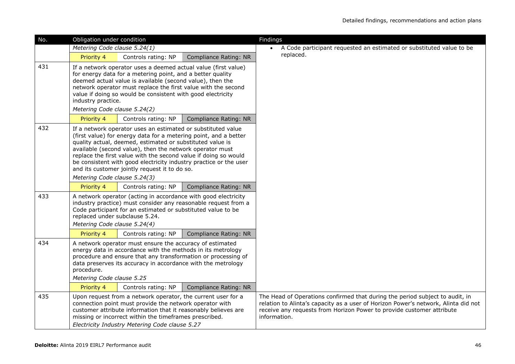| No. | Obligation under condition                                                                                                                                                                                                                                                                                                                                                                                                                         |                                                                                                                                |                                                                | Findings                                                                                                                                                                                                                                                    |
|-----|----------------------------------------------------------------------------------------------------------------------------------------------------------------------------------------------------------------------------------------------------------------------------------------------------------------------------------------------------------------------------------------------------------------------------------------------------|--------------------------------------------------------------------------------------------------------------------------------|----------------------------------------------------------------|-------------------------------------------------------------------------------------------------------------------------------------------------------------------------------------------------------------------------------------------------------------|
|     | Metering Code clause 5.24(1)                                                                                                                                                                                                                                                                                                                                                                                                                       |                                                                                                                                |                                                                | A Code participant requested an estimated or substituted value to be                                                                                                                                                                                        |
|     | Priority 4                                                                                                                                                                                                                                                                                                                                                                                                                                         | Controls rating: NP                                                                                                            | Compliance Rating: NR                                          | replaced.                                                                                                                                                                                                                                                   |
| 431 | If a network operator uses a deemed actual value (first value)<br>for energy data for a metering point, and a better quality<br>deemed actual value is available (second value), then the<br>network operator must replace the first value with the second<br>value if doing so would be consistent with good electricity<br>industry practice.                                                                                                    |                                                                                                                                |                                                                |                                                                                                                                                                                                                                                             |
|     | Metering Code clause 5.24(2)                                                                                                                                                                                                                                                                                                                                                                                                                       |                                                                                                                                |                                                                |                                                                                                                                                                                                                                                             |
|     | Priority 4                                                                                                                                                                                                                                                                                                                                                                                                                                         | Controls rating: NP                                                                                                            | Compliance Rating: NR                                          |                                                                                                                                                                                                                                                             |
| 432 | If a network operator uses an estimated or substituted value<br>(first value) for energy data for a metering point, and a better<br>quality actual, deemed, estimated or substituted value is<br>available (second value), then the network operator must<br>replace the first value with the second value if doing so would<br>be consistent with good electricity industry practice or the user<br>and its customer jointly request it to do so. |                                                                                                                                |                                                                |                                                                                                                                                                                                                                                             |
|     | Metering Code clause 5.24(3)                                                                                                                                                                                                                                                                                                                                                                                                                       |                                                                                                                                |                                                                |                                                                                                                                                                                                                                                             |
|     | Priority 4                                                                                                                                                                                                                                                                                                                                                                                                                                         | Controls rating: NP                                                                                                            | Compliance Rating: NR                                          |                                                                                                                                                                                                                                                             |
| 433 | replaced under subclause 5.24.<br>Metering Code clause 5.24(4)                                                                                                                                                                                                                                                                                                                                                                                     | A network operator (acting in accordance with good electricity<br>Code participant for an estimated or substituted value to be | industry practice) must consider any reasonable request from a |                                                                                                                                                                                                                                                             |
|     | Priority 4                                                                                                                                                                                                                                                                                                                                                                                                                                         | Controls rating: NP                                                                                                            | Compliance Rating: NR                                          |                                                                                                                                                                                                                                                             |
| 434 | A network operator must ensure the accuracy of estimated<br>energy data in accordance with the methods in its metrology<br>procedure and ensure that any transformation or processing of<br>data preserves its accuracy in accordance with the metrology<br>procedure.<br>Metering Code clause 5.25                                                                                                                                                |                                                                                                                                |                                                                |                                                                                                                                                                                                                                                             |
|     | Priority 4                                                                                                                                                                                                                                                                                                                                                                                                                                         | Controls rating: NP                                                                                                            | Compliance Rating: NR                                          |                                                                                                                                                                                                                                                             |
| 435 | Upon request from a network operator, the current user for a<br>connection point must provide the network operator with<br>customer attribute information that it reasonably believes are<br>missing or incorrect within the timeframes prescribed.<br>Electricity Industry Metering Code clause 5.27                                                                                                                                              |                                                                                                                                |                                                                | The Head of Operations confirmed that during the period subject to audit, in<br>relation to Alinta's capacity as a user of Horizon Power's network, Alinta did not<br>receive any requests from Horizon Power to provide customer attribute<br>information. |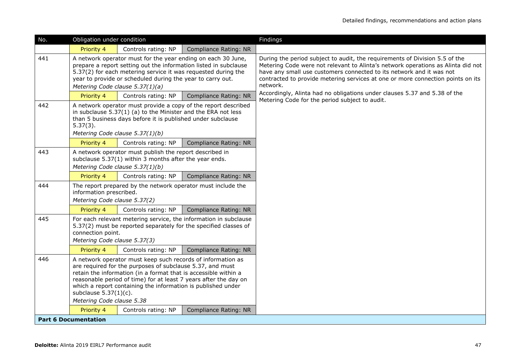| No. | Obligation under condition                                                                                                                                                                                                                                                                                                                                                               |                                                                                                                                                      |                                                              | Findings                                                                                                                                                                                                                                                                                                                               |
|-----|------------------------------------------------------------------------------------------------------------------------------------------------------------------------------------------------------------------------------------------------------------------------------------------------------------------------------------------------------------------------------------------|------------------------------------------------------------------------------------------------------------------------------------------------------|--------------------------------------------------------------|----------------------------------------------------------------------------------------------------------------------------------------------------------------------------------------------------------------------------------------------------------------------------------------------------------------------------------------|
|     | Priority 4                                                                                                                                                                                                                                                                                                                                                                               | Controls rating: NP                                                                                                                                  | <b>Compliance Rating: NR</b>                                 |                                                                                                                                                                                                                                                                                                                                        |
| 441 | A network operator must for the year ending on each 30 June,<br>prepare a report setting out the information listed in subclause<br>5.37(2) for each metering service it was requested during the<br>year to provide or scheduled during the year to carry out.<br>Metering Code clause 5.37(1)(a)                                                                                       |                                                                                                                                                      |                                                              | During the period subject to audit, the requirements of Division 5.5 of the<br>Metering Code were not relevant to Alinta's network operations as Alinta did not<br>have any small use customers connected to its network and it was not<br>contracted to provide metering services at one or more connection points on its<br>network. |
|     | Priority 4                                                                                                                                                                                                                                                                                                                                                                               | Controls rating: NP                                                                                                                                  | <b>Compliance Rating: NR</b>                                 | Accordingly, Alinta had no obligations under clauses 5.37 and 5.38 of the<br>Metering Code for the period subject to audit.                                                                                                                                                                                                            |
| 442 | A network operator must provide a copy of the report described<br>in subclause 5.37(1) (a) to the Minister and the ERA not less<br>than 5 business days before it is published under subclause<br>$5.37(3)$ .<br>Metering Code clause 5.37(1)(b)                                                                                                                                         |                                                                                                                                                      |                                                              |                                                                                                                                                                                                                                                                                                                                        |
|     | Priority 4                                                                                                                                                                                                                                                                                                                                                                               | Controls rating: NP                                                                                                                                  | Compliance Rating: NR                                        |                                                                                                                                                                                                                                                                                                                                        |
| 443 |                                                                                                                                                                                                                                                                                                                                                                                          | A network operator must publish the report described in<br>subclause 5.37(1) within 3 months after the year ends.<br>Metering Code clause 5.37(1)(b) |                                                              |                                                                                                                                                                                                                                                                                                                                        |
|     | Priority 4                                                                                                                                                                                                                                                                                                                                                                               | Controls rating: NP                                                                                                                                  | Compliance Rating: NR                                        |                                                                                                                                                                                                                                                                                                                                        |
| 444 | information prescribed.<br>Metering Code clause 5.37(2)                                                                                                                                                                                                                                                                                                                                  |                                                                                                                                                      | The report prepared by the network operator must include the |                                                                                                                                                                                                                                                                                                                                        |
|     | Priority 4                                                                                                                                                                                                                                                                                                                                                                               | Controls rating: NP                                                                                                                                  | Compliance Rating: NR                                        |                                                                                                                                                                                                                                                                                                                                        |
| 445 | For each relevant metering service, the information in subclause<br>5.37(2) must be reported separately for the specified classes of<br>connection point.<br>Metering Code clause 5.37(3)                                                                                                                                                                                                |                                                                                                                                                      |                                                              |                                                                                                                                                                                                                                                                                                                                        |
|     | Priority 4                                                                                                                                                                                                                                                                                                                                                                               | Controls rating: NP                                                                                                                                  | Compliance Rating: NR                                        |                                                                                                                                                                                                                                                                                                                                        |
| 446 | A network operator must keep such records of information as<br>are required for the purposes of subclause 5.37, and must<br>retain the information (in a format that is accessible within a<br>reasonable period of time) for at least 7 years after the day on<br>which a report containing the information is published under<br>subclause $5.37(1)(c)$ .<br>Metering Code clause 5.38 |                                                                                                                                                      |                                                              |                                                                                                                                                                                                                                                                                                                                        |
|     | Priority 4                                                                                                                                                                                                                                                                                                                                                                               | Controls rating: NP                                                                                                                                  | Compliance Rating: NR                                        |                                                                                                                                                                                                                                                                                                                                        |
|     | <b>Part 6 Documentation</b>                                                                                                                                                                                                                                                                                                                                                              |                                                                                                                                                      |                                                              |                                                                                                                                                                                                                                                                                                                                        |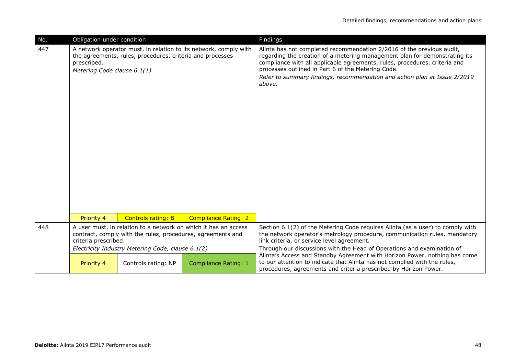| No. | Obligation under condition                                                                                                                                                                                  |                                                           |                                                                  | Findings                                                                                                                                                                                                                                                                                                                                                                       |
|-----|-------------------------------------------------------------------------------------------------------------------------------------------------------------------------------------------------------------|-----------------------------------------------------------|------------------------------------------------------------------|--------------------------------------------------------------------------------------------------------------------------------------------------------------------------------------------------------------------------------------------------------------------------------------------------------------------------------------------------------------------------------|
| 447 | prescribed.<br>Metering Code clause 6.1(1)                                                                                                                                                                  | the agreements, rules, procedures, criteria and processes | A network operator must, in relation to its network, comply with | Alinta has not completed recommendation 2/2016 of the previous audit,<br>regarding the creation of a metering management plan for demonstrating its<br>compliance with all applicable agreements, rules, procedures, criteria and<br>processes outlined in Part 6 of the Metering Code.<br>Refer to summary findings, recommendation and action plan at Issue 2/2019<br>above. |
|     | Priority 4                                                                                                                                                                                                  | <b>Controls rating: B</b>                                 | <b>Compliance Rating: 2</b>                                      |                                                                                                                                                                                                                                                                                                                                                                                |
| 448 | A user must, in relation to a network on which it has an access<br>contract, comply with the rules, procedures, agreements and<br>criteria prescribed.<br>Electricity Industry Metering Code, clause 6.1(2) |                                                           |                                                                  | Section 6.1(2) of the Metering Code requires Alinta (as a user) to comply with<br>the network operator's metrology procedure, communication rules, mandatory<br>link criteria, or service level agreement.<br>Through our discussions with the Head of Operations and examination of                                                                                           |
|     | Priority 4                                                                                                                                                                                                  | Controls rating: NP                                       | <b>Compliance Rating: 1</b>                                      | Alinta's Access and Standby Agreement with Horizon Power, nothing has come<br>to our attention to indicate that Alinta has not complied with the rules,<br>procedures, agreements and criteria prescribed by Horizon Power.                                                                                                                                                    |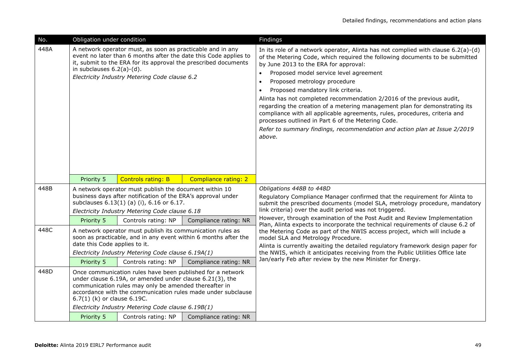| No.  | Obligation under condition                                                                                                                                                                                                                                                                                                           |                                                    |                       | Findings                                                                                                                                                                                                                                                                                                                                                                                                                                                                                                                                                                                                                                                                                                                                             |
|------|--------------------------------------------------------------------------------------------------------------------------------------------------------------------------------------------------------------------------------------------------------------------------------------------------------------------------------------|----------------------------------------------------|-----------------------|------------------------------------------------------------------------------------------------------------------------------------------------------------------------------------------------------------------------------------------------------------------------------------------------------------------------------------------------------------------------------------------------------------------------------------------------------------------------------------------------------------------------------------------------------------------------------------------------------------------------------------------------------------------------------------------------------------------------------------------------------|
| 448A | A network operator must, as soon as practicable and in any<br>event no later than 6 months after the date this Code applies to<br>it, submit to the ERA for its approval the prescribed documents<br>in subclauses $6.2(a)-(d)$ .<br>Electricity Industry Metering Code clause 6.2                                                   |                                                    |                       | In its role of a network operator, Alinta has not complied with clause $6.2(a)-(d)$<br>of the Metering Code, which required the following documents to be submitted<br>by June 2013 to the ERA for approval:<br>Proposed model service level agreement<br>$\bullet$<br>Proposed metrology procedure<br>$\bullet$<br>Proposed mandatory link criteria.<br>$\bullet$<br>Alinta has not completed recommendation 2/2016 of the previous audit,<br>regarding the creation of a metering management plan for demonstrating its<br>compliance with all applicable agreements, rules, procedures, criteria and<br>processes outlined in Part 6 of the Metering Code.<br>Refer to summary findings, recommendation and action plan at Issue 2/2019<br>above. |
|      | Priority 5                                                                                                                                                                                                                                                                                                                           | <b>Controls rating: B</b>                          | Compliance rating: 2  |                                                                                                                                                                                                                                                                                                                                                                                                                                                                                                                                                                                                                                                                                                                                                      |
| 448B | A network operator must publish the document within 10<br>business days after notification of the ERA's approval under<br>subclauses 6.13(1) (a) (i), 6.16 or 6.17.<br>Electricity Industry Metering Code clause 6.18                                                                                                                |                                                    | Compliance rating: NR | Obligations 448B to 448D<br>Regulatory Compliance Manager confirmed that the requirement for Alinta to<br>submit the prescribed documents (model SLA, metrology procedure, mandatory<br>link criteria) over the audit period was not triggered.<br>However, through examination of the Post Audit and Review Implementation<br>Plan, Alinta expects to incorporate the technical requirements of clause 6.2 of<br>the Metering Code as part of the NWIS access project, which will include a<br>model SLA and Metrology Procedure.<br>Alinta is currently awaiting the detailed regulatory framework design paper for                                                                                                                                |
| 448C | Priority 5<br>Controls rating: NP<br>A network operator must publish its communication rules as<br>soon as practicable, and in any event within 6 months after the<br>date this Code applies to it.                                                                                                                                  |                                                    |                       |                                                                                                                                                                                                                                                                                                                                                                                                                                                                                                                                                                                                                                                                                                                                                      |
|      |                                                                                                                                                                                                                                                                                                                                      | Electricity Industry Metering Code clause 6.19A(1) |                       | the NWIS, which it anticipates receiving from the Public Utilities Office late                                                                                                                                                                                                                                                                                                                                                                                                                                                                                                                                                                                                                                                                       |
|      | Priority 5                                                                                                                                                                                                                                                                                                                           | Controls rating: NP                                | Compliance rating: NR | Jan/early Feb after review by the new Minister for Energy.                                                                                                                                                                                                                                                                                                                                                                                                                                                                                                                                                                                                                                                                                           |
| 448D | Once communication rules have been published for a network<br>under clause 6.19A, or amended under clause 6.21(3), the<br>communication rules may only be amended thereafter in<br>accordance with the communication rules made under subclause<br>6.7(1) (k) or clause 6.19C.<br>Electricity Industry Metering Code clause 6.19B(1) |                                                    |                       |                                                                                                                                                                                                                                                                                                                                                                                                                                                                                                                                                                                                                                                                                                                                                      |
|      | Priority 5                                                                                                                                                                                                                                                                                                                           | Controls rating: NP                                | Compliance rating: NR |                                                                                                                                                                                                                                                                                                                                                                                                                                                                                                                                                                                                                                                                                                                                                      |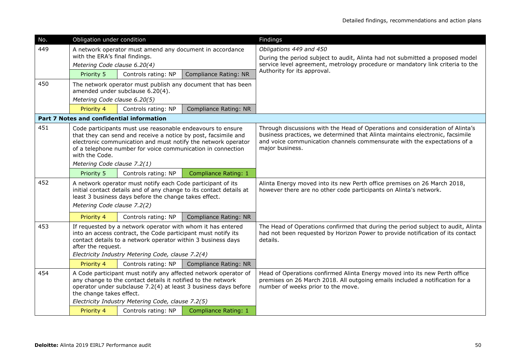| No. | Obligation under condition                                                                                                                                                                                                                                                          |                                                                                                                                                                                                                                                   |                                                                     | Findings                                                                                                                                                                                                                                                      |  |
|-----|-------------------------------------------------------------------------------------------------------------------------------------------------------------------------------------------------------------------------------------------------------------------------------------|---------------------------------------------------------------------------------------------------------------------------------------------------------------------------------------------------------------------------------------------------|---------------------------------------------------------------------|---------------------------------------------------------------------------------------------------------------------------------------------------------------------------------------------------------------------------------------------------------------|--|
| 449 | with the ERA's final findings.                                                                                                                                                                                                                                                      | A network operator must amend any document in accordance                                                                                                                                                                                          |                                                                     | Obligations 449 and 450<br>During the period subject to audit, Alinta had not submitted a proposed model                                                                                                                                                      |  |
|     | Metering Code clause 6.20(4)                                                                                                                                                                                                                                                        |                                                                                                                                                                                                                                                   |                                                                     | service level agreement, metrology procedure or mandatory link criteria to the                                                                                                                                                                                |  |
|     | Priority 5                                                                                                                                                                                                                                                                          | Controls rating: NP                                                                                                                                                                                                                               | <b>Compliance Rating: NR</b>                                        | Authority for its approval.                                                                                                                                                                                                                                   |  |
| 450 |                                                                                                                                                                                                                                                                                     | amended under subclause 6.20(4).                                                                                                                                                                                                                  | The network operator must publish any document that has been        |                                                                                                                                                                                                                                                               |  |
|     | Metering Code clause 6.20(5)                                                                                                                                                                                                                                                        |                                                                                                                                                                                                                                                   |                                                                     |                                                                                                                                                                                                                                                               |  |
|     | Priority 4                                                                                                                                                                                                                                                                          | Controls rating: NP                                                                                                                                                                                                                               | <b>Compliance Rating: NR</b>                                        |                                                                                                                                                                                                                                                               |  |
|     |                                                                                                                                                                                                                                                                                     | <b>Part 7 Notes and confidential information</b>                                                                                                                                                                                                  |                                                                     |                                                                                                                                                                                                                                                               |  |
| 451 | with the Code.                                                                                                                                                                                                                                                                      | Code participants must use reasonable endeavours to ensure<br>that they can send and receive a notice by post, facsimile and<br>of a telephone number for voice communication in connection                                                       | electronic communication and must notify the network operator       | Through discussions with the Head of Operations and consideration of Alinta's<br>business practices, we determined that Alinta maintains electronic, facsimile<br>and voice communication channels commensurate with the expectations of a<br>major business. |  |
|     | Metering Code clause 7.2(1)                                                                                                                                                                                                                                                         |                                                                                                                                                                                                                                                   |                                                                     |                                                                                                                                                                                                                                                               |  |
|     | Priority 5                                                                                                                                                                                                                                                                          | Controls rating: NP                                                                                                                                                                                                                               | <b>Compliance Rating: 1</b>                                         |                                                                                                                                                                                                                                                               |  |
| 452 | Metering Code clause 7.2(2)                                                                                                                                                                                                                                                         | A network operator must notify each Code participant of its<br>least 3 business days before the change takes effect.                                                                                                                              | initial contact details and of any change to its contact details at | Alinta Energy moved into its new Perth office premises on 26 March 2018,<br>however there are no other code participants on Alinta's network.                                                                                                                 |  |
|     | Priority 4                                                                                                                                                                                                                                                                          | Controls rating: NP                                                                                                                                                                                                                               | <b>Compliance Rating: NR</b>                                        |                                                                                                                                                                                                                                                               |  |
| 453 | after the request.                                                                                                                                                                                                                                                                  | If requested by a network operator with whom it has entered<br>into an access contract, the Code participant must notify its<br>contact details to a network operator within 3 business days<br>Electricity Industry Metering Code, clause 7.2(4) |                                                                     | The Head of Operations confirmed that during the period subject to audit, Alinta<br>had not been requested by Horizon Power to provide notification of its contact<br>details.                                                                                |  |
|     | Priority 4                                                                                                                                                                                                                                                                          | Controls rating: NP                                                                                                                                                                                                                               | <b>Compliance Rating: NR</b>                                        |                                                                                                                                                                                                                                                               |  |
| 454 | A Code participant must notify any affected network operator of<br>any change to the contact details it notified to the network<br>operator under subclause 7.2(4) at least 3 business days before<br>the change takes effect.<br>Electricity Industry Metering Code, clause 7.2(5) |                                                                                                                                                                                                                                                   |                                                                     | Head of Operations confirmed Alinta Energy moved into its new Perth office<br>premises on 26 March 2018. All outgoing emails included a notification for a<br>number of weeks prior to the move.                                                              |  |
|     | Controls rating: NP<br>Priority 4<br><b>Compliance Rating: 1</b>                                                                                                                                                                                                                    |                                                                                                                                                                                                                                                   |                                                                     |                                                                                                                                                                                                                                                               |  |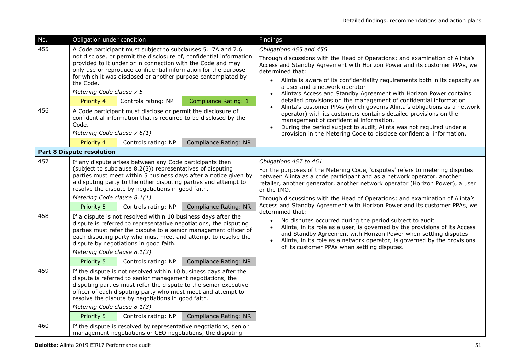| No.                                                        | Obligation under condition                                               |                                                                                                                                                                                                                                                                                                                 |                                                                                                                                                                                                                                                                                                                                                                        | Findings                                                                                                                                                                                                                                                                                                                                                                                                                                                                                                                                                                                                                                                                                                                                                                                                                 |  |  |  |
|------------------------------------------------------------|--------------------------------------------------------------------------|-----------------------------------------------------------------------------------------------------------------------------------------------------------------------------------------------------------------------------------------------------------------------------------------------------------------|------------------------------------------------------------------------------------------------------------------------------------------------------------------------------------------------------------------------------------------------------------------------------------------------------------------------------------------------------------------------|--------------------------------------------------------------------------------------------------------------------------------------------------------------------------------------------------------------------------------------------------------------------------------------------------------------------------------------------------------------------------------------------------------------------------------------------------------------------------------------------------------------------------------------------------------------------------------------------------------------------------------------------------------------------------------------------------------------------------------------------------------------------------------------------------------------------------|--|--|--|
| 455                                                        | the Code.<br>Metering Code clause 7.5<br>Priority 4                      | A Code participant must subject to subclauses 5.17A and 7.6<br>provided to it under or in connection with the Code and may<br>only use or reproduce confidential information for the purpose<br>Controls rating: NP                                                                                             | not disclose, or permit the disclosure of, confidential information<br>for which it was disclosed or another purpose contemplated by<br><b>Compliance Rating: 1</b>                                                                                                                                                                                                    | Obligations 455 and 456<br>Through discussions with the Head of Operations; and examination of Alinta's<br>Access and Standby Agreement with Horizon Power and its customer PPAs, we<br>determined that:<br>Alinta is aware of its confidentiality requirements both in its capacity as<br>a user and a network operator<br>Alinta's Access and Standby Agreement with Horizon Power contains<br>$\bullet$<br>detailed provisions on the management of confidential information<br>Alinta's customer PPAs (which governs Alinta's obligations as a network                                                                                                                                                                                                                                                               |  |  |  |
| 456                                                        | Code.<br>Metering Code clause 7.6(1)<br>Priority 4                       | A Code participant must disclose or permit the disclosure of<br>confidential information that is required to be disclosed by the<br>Controls rating: NP                                                                                                                                                         | Compliance Rating: NR                                                                                                                                                                                                                                                                                                                                                  | operator) with its customers contains detailed provisions on the<br>management of confidential information.<br>During the period subject to audit, Alinta was not required under a<br>provision in the Metering Code to disclose confidential information.                                                                                                                                                                                                                                                                                                                                                                                                                                                                                                                                                               |  |  |  |
|                                                            | <b>Part 8 Dispute resolution</b>                                         |                                                                                                                                                                                                                                                                                                                 |                                                                                                                                                                                                                                                                                                                                                                        |                                                                                                                                                                                                                                                                                                                                                                                                                                                                                                                                                                                                                                                                                                                                                                                                                          |  |  |  |
| 457<br>458                                                 | Metering Code clause 8.1(1)<br>Priority 5<br>Metering Code clause 8.1(2) | If any dispute arises between any Code participants then<br>(subject to subclause 8.2(3)) representatives of disputing<br>resolve the dispute by negotiations in good faith.<br>Controls rating: NP<br>If a dispute is not resolved within 10 business days after the<br>dispute by negotiations in good faith. | parties must meet within 5 business days after a notice given by<br>a disputing party to the other disputing parties and attempt to<br>Compliance Rating: NR<br>dispute is referred to representative negotiations, the disputing<br>parties must refer the dispute to a senior management officer of<br>each disputing party who must meet and attempt to resolve the | Obligations 457 to 461<br>For the purposes of the Metering Code, 'disputes' refers to metering disputes<br>between Alinta as a code participant and as a network operator, another<br>retailer, another generator, another network operator (Horizon Power), a user<br>or the IMO.<br>Through discussions with the Head of Operations; and examination of Alinta's<br>Access and Standby Agreement with Horizon Power and its customer PPAs, we<br>determined that:<br>No disputes occurred during the period subject to audit<br>$\bullet$<br>Alinta, in its role as a user, is governed by the provisions of its Access<br>and Standby Agreement with Horizon Power when settling disputes<br>Alinta, in its role as a network operator, is governed by the provisions<br>of its customer PPAs when settling disputes. |  |  |  |
| 459<br>460                                                 | Priority 5<br>Metering Code clause 8.1(3)<br>Priority 5                  | Controls rating: NP<br>dispute is referred to senior management negotiations, the<br>officer of each disputing party who must meet and attempt to<br>resolve the dispute by negotiations in good faith.<br>Controls rating: NP                                                                                  | <b>Compliance Rating: NR</b><br>If the dispute is not resolved within 10 business days after the<br>disputing parties must refer the dispute to the senior executive<br><b>Compliance Rating: NR</b><br>If the dispute is resolved by representative negotiations, senior                                                                                              |                                                                                                                                                                                                                                                                                                                                                                                                                                                                                                                                                                                                                                                                                                                                                                                                                          |  |  |  |
| management negotiations or CEO negotiations, the disputing |                                                                          |                                                                                                                                                                                                                                                                                                                 |                                                                                                                                                                                                                                                                                                                                                                        |                                                                                                                                                                                                                                                                                                                                                                                                                                                                                                                                                                                                                                                                                                                                                                                                                          |  |  |  |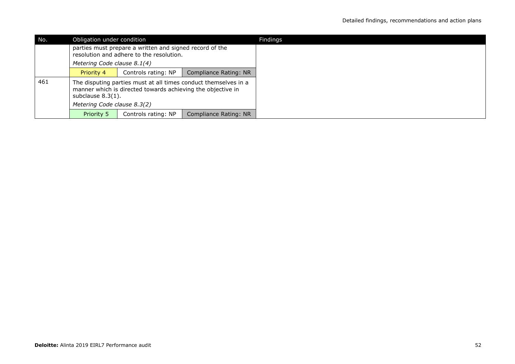| No. |                                                                                                     | Obligation under condition                                  |                                                                 |  |  |
|-----|-----------------------------------------------------------------------------------------------------|-------------------------------------------------------------|-----------------------------------------------------------------|--|--|
|     | parties must prepare a written and signed record of the<br>resolution and adhere to the resolution. |                                                             |                                                                 |  |  |
|     | Metering Code clause 8.1(4)<br>Compliance Rating: NR<br>Controls rating: NP<br><b>Priority 4</b>    |                                                             |                                                                 |  |  |
|     |                                                                                                     |                                                             |                                                                 |  |  |
| 461 | subclause $8.3(1)$ .                                                                                | manner which is directed towards achieving the objective in | The disputing parties must at all times conduct themselves in a |  |  |
|     | Metering Code clause 8.3(2)                                                                         |                                                             |                                                                 |  |  |
|     | Compliance Rating: NR<br>Priority 5<br>Controls rating: NP                                          |                                                             |                                                                 |  |  |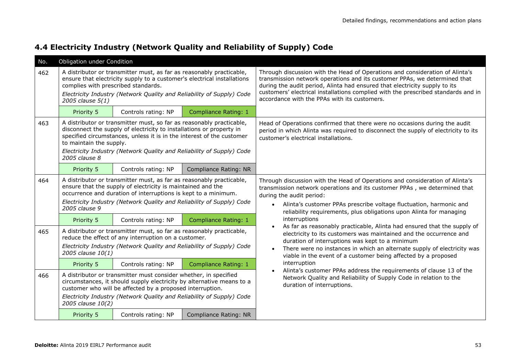| No. | Obligation under Condition                              |                                                                                                                                                                                                                       |                                                                                                                                                |                                                                                                                                                                                                                                                                                                                                                                              |
|-----|---------------------------------------------------------|-----------------------------------------------------------------------------------------------------------------------------------------------------------------------------------------------------------------------|------------------------------------------------------------------------------------------------------------------------------------------------|------------------------------------------------------------------------------------------------------------------------------------------------------------------------------------------------------------------------------------------------------------------------------------------------------------------------------------------------------------------------------|
| 462 | complies with prescribed standards.<br>2005 clause 5(1) | A distributor or transmitter must, as far as reasonably practicable,<br>ensure that electricity supply to a customer's electrical installations                                                                       | Electricity Industry (Network Quality and Reliability of Supply) Code                                                                          | Through discussion with the Head of Operations and consideration of Alinta's<br>transmission network operations and its customer PPAs, we determined that<br>during the audit period, Alinta had ensured that electricity supply to its<br>customers' electrical installations complied with the prescribed standards and in<br>accordance with the PPAs with its customers. |
|     | Priority 5                                              | Controls rating: NP                                                                                                                                                                                                   | <b>Compliance Rating: 1</b>                                                                                                                    |                                                                                                                                                                                                                                                                                                                                                                              |
| 463 | to maintain the supply.<br>2005 clause 8                | A distributor or transmitter must, so far as reasonably practicable,<br>disconnect the supply of electricity to installations or property in<br>specified circumstances, unless it is in the interest of the customer | Electricity Industry (Network Quality and Reliability of Supply) Code                                                                          | Head of Operations confirmed that there were no occasions during the audit<br>period in which Alinta was required to disconnect the supply of electricity to its<br>customer's electrical installations.                                                                                                                                                                     |
|     | Priority 5                                              | Controls rating: NP                                                                                                                                                                                                   | Compliance Rating: NR                                                                                                                          |                                                                                                                                                                                                                                                                                                                                                                              |
| 464 | 2005 clause 9                                           | A distributor or transmitter must, as far as reasonably practicable,<br>ensure that the supply of electricity is maintained and the<br>occurrence and duration of interruptions is kept to a minimum.                 | Electricity Industry (Network Quality and Reliability of Supply) Code                                                                          | Through discussion with the Head of Operations and consideration of Alinta's<br>transmission network operations and its customer PPAs, we determined that<br>during the audit period:<br>Alinta's customer PPAs prescribe voltage fluctuation, harmonic and<br>reliability requirements, plus obligations upon Alinta for managing                                           |
|     | Priority 5                                              | Controls rating: NP                                                                                                                                                                                                   | Compliance Rating: 1                                                                                                                           | interruptions                                                                                                                                                                                                                                                                                                                                                                |
| 465 | 2005 clause 10(1)                                       | A distributor or transmitter must, so far as reasonably practicable,<br>reduce the effect of any interruption on a customer.                                                                                          | Electricity Industry (Network Quality and Reliability of Supply) Code                                                                          | As far as reasonably practicable, Alinta had ensured that the supply of<br>$\bullet$<br>electricity to its customers was maintained and the occurrence and<br>duration of interruptions was kept to a minimum<br>There were no instances in which an alternate supply of electricity was<br>viable in the event of a customer being affected by a proposed                   |
|     | Priority 5                                              | Controls rating: NP                                                                                                                                                                                                   | <b>Compliance Rating: 1</b>                                                                                                                    | interruption                                                                                                                                                                                                                                                                                                                                                                 |
| 466 | 2005 clause 10(2)                                       | A distributor or transmitter must consider whether, in specified<br>customer who will be affected by a proposed interruption.                                                                                         | circumstances, it should supply electricity by alternative means to a<br>Electricity Industry (Network Quality and Reliability of Supply) Code | Alinta's customer PPAs address the requirements of clause 13 of the<br>Network Quality and Reliability of Supply Code in relation to the<br>duration of interruptions.                                                                                                                                                                                                       |
|     | Priority 5                                              | Controls rating: NP                                                                                                                                                                                                   | <b>Compliance Rating: NR</b>                                                                                                                   |                                                                                                                                                                                                                                                                                                                                                                              |

### **4.4 Electricity Industry (Network Quality and Reliability of Supply) Code**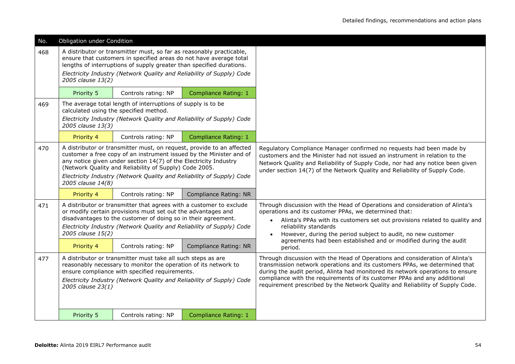| No. | Obligation under Condition                                                                                                                                                                                                                                                      |                                                                                                                                                                                                                    |                                                                                                                                                                                                                       |                                                                                                                                                                                                                                                                                                                                                                                                           |
|-----|---------------------------------------------------------------------------------------------------------------------------------------------------------------------------------------------------------------------------------------------------------------------------------|--------------------------------------------------------------------------------------------------------------------------------------------------------------------------------------------------------------------|-----------------------------------------------------------------------------------------------------------------------------------------------------------------------------------------------------------------------|-----------------------------------------------------------------------------------------------------------------------------------------------------------------------------------------------------------------------------------------------------------------------------------------------------------------------------------------------------------------------------------------------------------|
| 468 | 2005 clause 13(2)                                                                                                                                                                                                                                                               | A distributor or transmitter must, so far as reasonably practicable,<br>ensure that customers in specified areas do not have average total<br>lengths of interruptions of supply greater than specified durations. | Electricity Industry (Network Quality and Reliability of Supply) Code                                                                                                                                                 |                                                                                                                                                                                                                                                                                                                                                                                                           |
|     | Priority 5                                                                                                                                                                                                                                                                      | Controls rating: NP                                                                                                                                                                                                | <b>Compliance Rating: 1</b>                                                                                                                                                                                           |                                                                                                                                                                                                                                                                                                                                                                                                           |
| 469 |                                                                                                                                                                                                                                                                                 | The average total length of interruptions of supply is to be<br>calculated using the specified method.                                                                                                             |                                                                                                                                                                                                                       |                                                                                                                                                                                                                                                                                                                                                                                                           |
|     | 2005 clause 13(3)                                                                                                                                                                                                                                                               |                                                                                                                                                                                                                    | Electricity Industry (Network Quality and Reliability of Supply) Code                                                                                                                                                 |                                                                                                                                                                                                                                                                                                                                                                                                           |
|     | Priority 4                                                                                                                                                                                                                                                                      | Controls rating: NP                                                                                                                                                                                                | Compliance Rating: 1                                                                                                                                                                                                  |                                                                                                                                                                                                                                                                                                                                                                                                           |
| 470 | 2005 clause 14(8)                                                                                                                                                                                                                                                               | any notice given under section 14(7) of the Electricity Industry<br>(Network Quality and Reliability of Supply) Code 2005.                                                                                         | A distributor or transmitter must, on request, provide to an affected<br>customer a free copy of an instrument issued by the Minister and of<br>Electricity Industry (Network Quality and Reliability of Supply) Code | Regulatory Compliance Manager confirmed no requests had been made by<br>customers and the Minister had not issued an instrument in relation to the<br>Network Quality and Reliability of Supply Code, nor had any notice been given<br>under section 14(7) of the Network Quality and Reliability of Supply Code.                                                                                         |
|     | Priority 4                                                                                                                                                                                                                                                                      | Controls rating: NP                                                                                                                                                                                                | <b>Compliance Rating: NR</b>                                                                                                                                                                                          |                                                                                                                                                                                                                                                                                                                                                                                                           |
| 471 | 2005 clause 15(2)                                                                                                                                                                                                                                                               | A distributor or transmitter that agrees with a customer to exclude<br>or modify certain provisions must set out the advantages and<br>disadvantages to the customer of doing so in their agreement.               | Electricity Industry (Network Quality and Reliability of Supply) Code                                                                                                                                                 | Through discussion with the Head of Operations and consideration of Alinta's<br>operations and its customer PPAs, we determined that:<br>Alinta's PPAs with its customers set out provisions related to quality and<br>$\bullet$<br>reliability standards<br>However, during the period subject to audit, no new customer                                                                                 |
|     | Priority 4                                                                                                                                                                                                                                                                      | Controls rating: NP                                                                                                                                                                                                | <b>Compliance Rating: NR</b>                                                                                                                                                                                          | agreements had been established and or modified during the audit<br>period.                                                                                                                                                                                                                                                                                                                               |
| 477 | A distributor or transmitter must take all such steps as are<br>reasonably necessary to monitor the operation of its network to<br>ensure compliance with specified requirements.<br>Electricity Industry (Network Quality and Reliability of Supply) Code<br>2005 clause 23(1) |                                                                                                                                                                                                                    |                                                                                                                                                                                                                       | Through discussion with the Head of Operations and consideration of Alinta's<br>transmission network operations and its customers PPAs, we determined that<br>during the audit period, Alinta had monitored its network operations to ensure<br>compliance with the requirements of its customer PPAs and any additional<br>requirement prescribed by the Network Quality and Reliability of Supply Code. |
|     | Priority 5                                                                                                                                                                                                                                                                      | Controls rating: NP                                                                                                                                                                                                | Compliance Rating: 1                                                                                                                                                                                                  |                                                                                                                                                                                                                                                                                                                                                                                                           |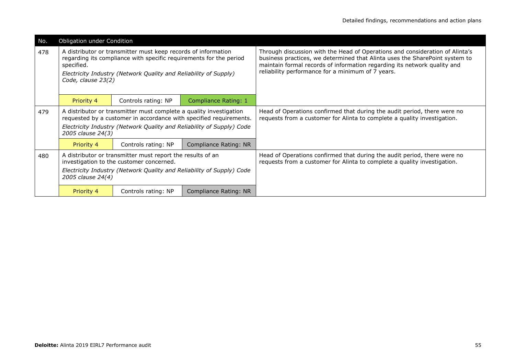| No. | Obligation under Condition       |                                                                                                                                                                                                         |                                                                                                                                             |                                                                                                                                                                                                                                                                                              |  |  |
|-----|----------------------------------|---------------------------------------------------------------------------------------------------------------------------------------------------------------------------------------------------------|---------------------------------------------------------------------------------------------------------------------------------------------|----------------------------------------------------------------------------------------------------------------------------------------------------------------------------------------------------------------------------------------------------------------------------------------------|--|--|
| 478 | specified.<br>Code, clause 23(2) | A distributor or transmitter must keep records of information<br>regarding its compliance with specific requirements for the period<br>Electricity Industry (Network Quality and Reliability of Supply) |                                                                                                                                             | Through discussion with the Head of Operations and consideration of Alinta's<br>business practices, we determined that Alinta uses the SharePoint system to<br>maintain formal records of information regarding its network quality and<br>reliability performance for a minimum of 7 years. |  |  |
|     | Priority 4                       | Controls rating: NP                                                                                                                                                                                     | <b>Compliance Rating: 1</b>                                                                                                                 |                                                                                                                                                                                                                                                                                              |  |  |
| 479 | 2005 clause 24(3)                | A distributor or transmitter must complete a quality investigation                                                                                                                                      | requested by a customer in accordance with specified requirements.<br>Electricity Industry (Network Quality and Reliability of Supply) Code | Head of Operations confirmed that during the audit period, there were no<br>requests from a customer for Alinta to complete a quality investigation.                                                                                                                                         |  |  |
|     | Priority 4                       | Controls rating: NP                                                                                                                                                                                     | <b>Compliance Rating: NR</b>                                                                                                                |                                                                                                                                                                                                                                                                                              |  |  |
| 480 | 2005 clause 24(4)                | A distributor or transmitter must report the results of an<br>investigation to the customer concerned.                                                                                                  | Electricity Industry (Network Quality and Reliability of Supply) Code                                                                       | Head of Operations confirmed that during the audit period, there were no<br>requests from a customer for Alinta to complete a quality investigation.                                                                                                                                         |  |  |
|     | Priority 4                       | Controls rating: NP                                                                                                                                                                                     | Compliance Rating: NR                                                                                                                       |                                                                                                                                                                                                                                                                                              |  |  |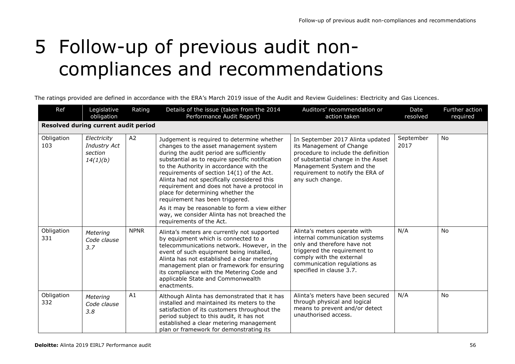# 5 Follow-up of previous audit noncompliances and recommendations

The ratings provided are defined in accordance with the ERA's March 2019 issue of the Audit and Review Guidelines: Electricity and Gas Licences.

| Ref               | Legislative<br>obligation                                 | Rating         | Details of the issue (taken from the 2014<br>Performance Audit Report)                                                                                                                                                                                                                                                                                                                                                                                                                                                                                                         | Auditors' recommendation or<br>action taken                                                                                                                                                                                    | Date<br>resolved  | Further action<br>required |  |  |
|-------------------|-----------------------------------------------------------|----------------|--------------------------------------------------------------------------------------------------------------------------------------------------------------------------------------------------------------------------------------------------------------------------------------------------------------------------------------------------------------------------------------------------------------------------------------------------------------------------------------------------------------------------------------------------------------------------------|--------------------------------------------------------------------------------------------------------------------------------------------------------------------------------------------------------------------------------|-------------------|----------------------------|--|--|
|                   | Resolved during current audit period                      |                |                                                                                                                                                                                                                                                                                                                                                                                                                                                                                                                                                                                |                                                                                                                                                                                                                                |                   |                            |  |  |
| Obligation<br>103 | Electricity<br><b>Industry Act</b><br>section<br>14(1)(b) | A <sub>2</sub> | Judgement is required to determine whether<br>changes to the asset management system<br>during the audit period are sufficiently<br>substantial as to require specific notification<br>to the Authority in accordance with the<br>requirements of section 14(1) of the Act.<br>Alinta had not specifically considered this<br>requirement and does not have a protocol in<br>place for determining whether the<br>requirement has been triggered.<br>As it may be reasonable to form a view either<br>way, we consider Alinta has not breached the<br>requirements of the Act. | In September 2017 Alinta updated<br>its Management of Change<br>procedure to include the definition<br>of substantial change in the Asset<br>Management System and the<br>requirement to notify the ERA of<br>any such change. | September<br>2017 | No                         |  |  |
| Obligation<br>331 | Metering<br>Code clause<br>3.7                            | <b>NPNR</b>    | Alinta's meters are currently not supported<br>by equipment which is connected to a<br>telecommunications network. However, in the<br>event of such equipment being installed,<br>Alinta has not established a clear metering<br>management plan or framework for ensuring<br>its compliance with the Metering Code and<br>applicable State and Commonwealth<br>enactments.                                                                                                                                                                                                    | Alinta's meters operate with<br>internal communication systems<br>only and therefore have not<br>triggered the requirement to<br>comply with the external<br>communication regulations as<br>specified in clause 3.7.          | N/A               | No                         |  |  |
| Obligation<br>332 | Metering<br>Code clause<br>3.8                            | A1             | Although Alinta has demonstrated that it has<br>installed and maintained its meters to the<br>satisfaction of its customers throughout the<br>period subject to this audit, it has not<br>established a clear metering management<br>plan or framework for demonstrating its                                                                                                                                                                                                                                                                                                   | Alinta's meters have been secured<br>through physical and logical<br>means to prevent and/or detect<br>unauthorised access.                                                                                                    | N/A               | No                         |  |  |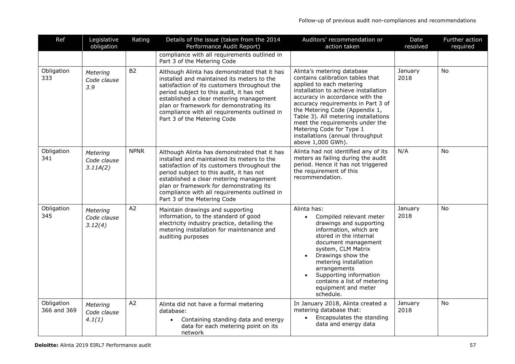| Ref                       | Legislative<br>obligation           | Rating         | Details of the issue (taken from the 2014<br>Performance Audit Report)                                                                                                                                                                                                                                                                                      | Auditors' recommendation or<br>action taken                                                                                                                                                                                                                                                                                                                                                                   | Date<br>resolved | Further action<br>required |
|---------------------------|-------------------------------------|----------------|-------------------------------------------------------------------------------------------------------------------------------------------------------------------------------------------------------------------------------------------------------------------------------------------------------------------------------------------------------------|---------------------------------------------------------------------------------------------------------------------------------------------------------------------------------------------------------------------------------------------------------------------------------------------------------------------------------------------------------------------------------------------------------------|------------------|----------------------------|
|                           |                                     |                | compliance with all requirements outlined in<br>Part 3 of the Metering Code                                                                                                                                                                                                                                                                                 |                                                                                                                                                                                                                                                                                                                                                                                                               |                  |                            |
| Obligation<br>333         | Metering<br>Code clause<br>3.9      | <b>B2</b>      | Although Alinta has demonstrated that it has<br>installed and maintained its meters to the<br>satisfaction of its customers throughout the<br>period subject to this audit, it has not<br>established a clear metering management<br>plan or framework for demonstrating its<br>compliance with all requirements outlined in<br>Part 3 of the Metering Code | Alinta's metering database<br>contains calibration tables that<br>applied to each metering<br>installation to achieve installation<br>accuracy in accordance with the<br>accuracy requirements in Part 3 of<br>the Metering Code (Appendix 1,<br>Table 3). All metering installations<br>meet the requirements under the<br>Metering Code for Type 1<br>installations (annual throughput<br>above 1,000 GWh). | January<br>2018  | <b>No</b>                  |
| Obligation<br>341         | Metering<br>Code clause<br>3.11A(2) | <b>NPNR</b>    | Although Alinta has demonstrated that it has<br>installed and maintained its meters to the<br>satisfaction of its customers throughout the<br>period subject to this audit, it has not<br>established a clear metering management<br>plan or framework for demonstrating its<br>compliance with all requirements outlined in<br>Part 3 of the Metering Code | Alinta had not identified any of its<br>meters as failing during the audit<br>period. Hence it has not triggered<br>the requirement of this<br>recommendation.                                                                                                                                                                                                                                                | N/A              | <b>No</b>                  |
| Obligation<br>345         | Metering<br>Code clause<br>3.12(4)  | A <sub>2</sub> | Maintain drawings and supporting<br>information, to the standard of good<br>electricity industry practice, detailing the<br>metering installation for maintenance and<br>auditing purposes                                                                                                                                                                  | Alinta has:<br>Compiled relevant meter<br>$\bullet$<br>drawings and supporting<br>information, which are<br>stored in the internal<br>document management<br>system, CLM Matrix<br>Drawings show the<br>$\bullet$<br>metering installation<br>arrangements<br>Supporting information<br>$\bullet$<br>contains a list of metering<br>equipment and meter<br>schedule.                                          | January<br>2018  | No                         |
| Obligation<br>366 and 369 | Metering<br>Code clause<br>4.1(1)   | A2             | Alinta did not have a formal metering<br>database:<br>Containing standing data and energy<br>$\bullet$<br>data for each metering point on its<br>network                                                                                                                                                                                                    | In January 2018, Alinta created a<br>metering database that:<br>Encapsulates the standing<br>$\bullet$<br>data and energy data                                                                                                                                                                                                                                                                                | January<br>2018  | <b>No</b>                  |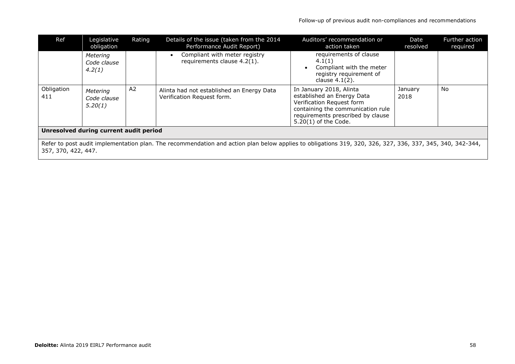| Ref                                                                                                                                                                              | Legislative<br>obligation          | Rating         | Details of the issue (taken from the 2014<br>Performance Audit Report)  | Auditors' recommendation or<br>action taken                                                                                                                                            | Date<br>resolved | Further action<br>required |
|----------------------------------------------------------------------------------------------------------------------------------------------------------------------------------|------------------------------------|----------------|-------------------------------------------------------------------------|----------------------------------------------------------------------------------------------------------------------------------------------------------------------------------------|------------------|----------------------------|
|                                                                                                                                                                                  | Metering<br>Code clause<br>4.2(1)  |                | Compliant with meter registry<br>requirements clause 4.2(1).            | requirements of clause<br>4.1(1)<br>Compliant with the meter<br>$\bullet$<br>registry requirement of<br>clause $4.1(2)$ .                                                              |                  |                            |
| Obligation<br>411                                                                                                                                                                | Metering<br>Code clause<br>5.20(1) | A <sub>2</sub> | Alinta had not established an Energy Data<br>Verification Request form. | In January 2018, Alinta<br>established an Energy Data<br>Verification Request form<br>containing the communication rule<br>requirements prescribed by clause<br>$5.20(1)$ of the Code. | January<br>2018  | No                         |
| Unresolved during current audit period                                                                                                                                           |                                    |                |                                                                         |                                                                                                                                                                                        |                  |                            |
| Refer to post audit implementation plan. The recommendation and action plan below applies to obligations 319, 320, 326, 327, 336, 337, 345, 340, 342-344,<br>357, 370, 422, 447. |                                    |                |                                                                         |                                                                                                                                                                                        |                  |                            |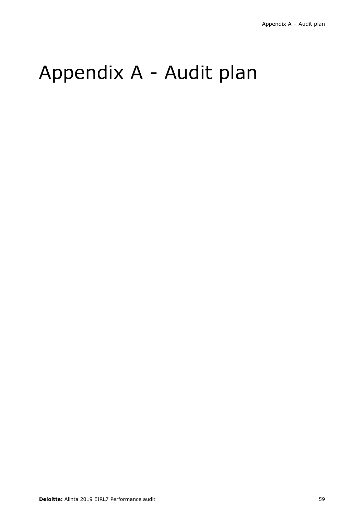# Appendix A - Audit plan